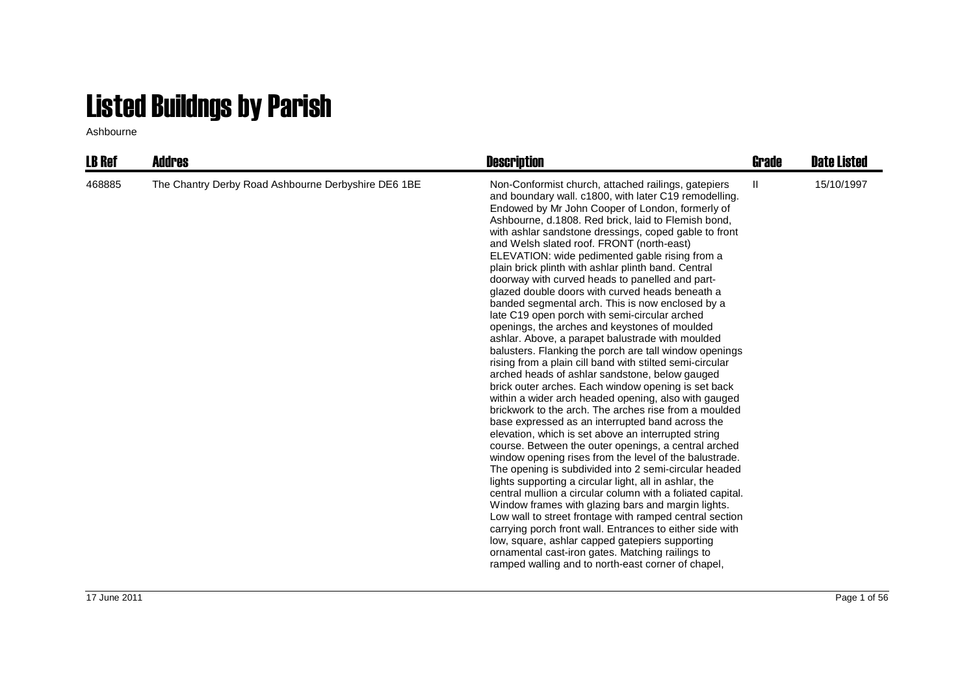## Listed Buildngs by Parish

Ashbourne

| <b>LB Ref</b> | Addres                                              | <b>Description</b>                                                                                                                                                                                                                                                                                                                                                                                                                                                                                                                                                                                                                                                                                                                                                                                                                                                                                                                                                                                                                                                                                                                                                                                                                                                                                                                                                                                                                                                                                                                                                                                                                                                                                                                                                                                                                                             | Grade | <b>Date Listed</b> |
|---------------|-----------------------------------------------------|----------------------------------------------------------------------------------------------------------------------------------------------------------------------------------------------------------------------------------------------------------------------------------------------------------------------------------------------------------------------------------------------------------------------------------------------------------------------------------------------------------------------------------------------------------------------------------------------------------------------------------------------------------------------------------------------------------------------------------------------------------------------------------------------------------------------------------------------------------------------------------------------------------------------------------------------------------------------------------------------------------------------------------------------------------------------------------------------------------------------------------------------------------------------------------------------------------------------------------------------------------------------------------------------------------------------------------------------------------------------------------------------------------------------------------------------------------------------------------------------------------------------------------------------------------------------------------------------------------------------------------------------------------------------------------------------------------------------------------------------------------------------------------------------------------------------------------------------------------------|-------|--------------------|
| 468885        | The Chantry Derby Road Ashbourne Derbyshire DE6 1BE | Non-Conformist church, attached railings, gatepiers<br>and boundary wall. c1800, with later C19 remodelling.<br>Endowed by Mr John Cooper of London, formerly of<br>Ashbourne, d.1808. Red brick, laid to Flemish bond,<br>with ashlar sandstone dressings, coped gable to front<br>and Welsh slated roof. FRONT (north-east)<br>ELEVATION: wide pedimented gable rising from a<br>plain brick plinth with ashlar plinth band. Central<br>doorway with curved heads to panelled and part-<br>glazed double doors with curved heads beneath a<br>banded segmental arch. This is now enclosed by a<br>late C19 open porch with semi-circular arched<br>openings, the arches and keystones of moulded<br>ashlar. Above, a parapet balustrade with moulded<br>balusters. Flanking the porch are tall window openings<br>rising from a plain cill band with stilted semi-circular<br>arched heads of ashlar sandstone, below gauged<br>brick outer arches. Each window opening is set back<br>within a wider arch headed opening, also with gauged<br>brickwork to the arch. The arches rise from a moulded<br>base expressed as an interrupted band across the<br>elevation, which is set above an interrupted string<br>course. Between the outer openings, a central arched<br>window opening rises from the level of the balustrade.<br>The opening is subdivided into 2 semi-circular headed<br>lights supporting a circular light, all in ashlar, the<br>central mullion a circular column with a foliated capital.<br>Window frames with glazing bars and margin lights.<br>Low wall to street frontage with ramped central section<br>carrying porch front wall. Entrances to either side with<br>low, square, ashlar capped gatepiers supporting<br>ornamental cast-iron gates. Matching railings to<br>ramped walling and to north-east corner of chapel, | Ш     | 15/10/1997         |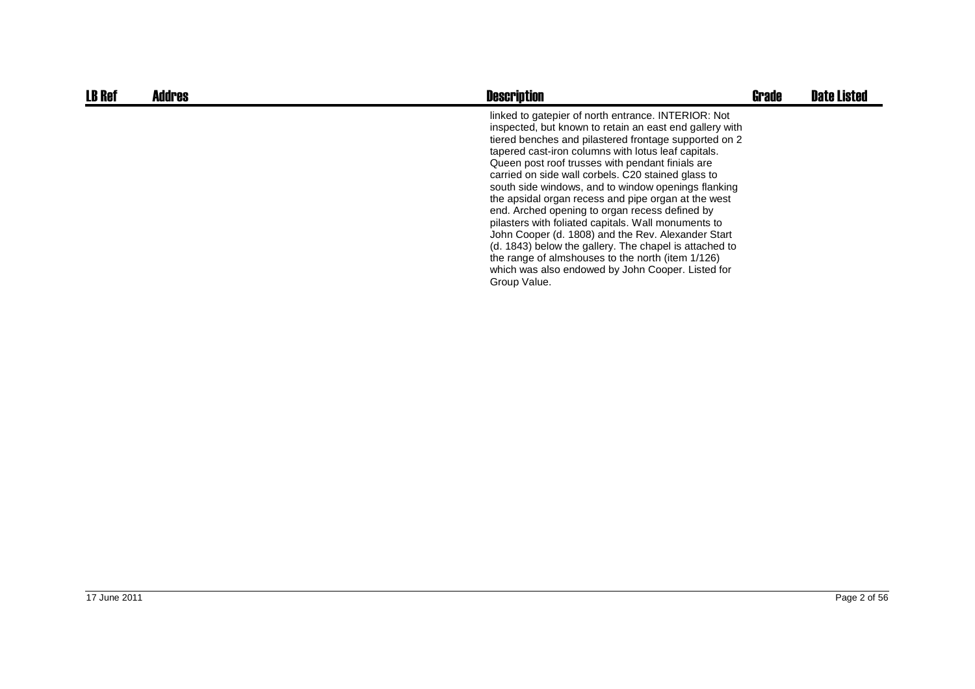| <b>LB Ref</b> | <b>Addres</b> | <b>Description</b>                                                                                                                                                                                                                                                                                                                                                                                                                                                                                                                                                                                                                                                                                                                                                                                        | <b>Grade</b> | <b>Date Listed</b> |
|---------------|---------------|-----------------------------------------------------------------------------------------------------------------------------------------------------------------------------------------------------------------------------------------------------------------------------------------------------------------------------------------------------------------------------------------------------------------------------------------------------------------------------------------------------------------------------------------------------------------------------------------------------------------------------------------------------------------------------------------------------------------------------------------------------------------------------------------------------------|--------------|--------------------|
|               |               | linked to gatepier of north entrance. INTERIOR: Not<br>inspected, but known to retain an east end gallery with<br>tiered benches and pilastered frontage supported on 2<br>tapered cast-iron columns with lotus leaf capitals.<br>Queen post roof trusses with pendant finials are<br>carried on side wall corbels. C20 stained glass to<br>south side windows, and to window openings flanking<br>the apsidal organ recess and pipe organ at the west<br>end. Arched opening to organ recess defined by<br>pilasters with foliated capitals. Wall monuments to<br>John Cooper (d. 1808) and the Rev. Alexander Start<br>(d. 1843) below the gallery. The chapel is attached to<br>the range of almshouses to the north (item 1/126)<br>which was also endowed by John Cooper. Listed for<br>Group Value. |              |                    |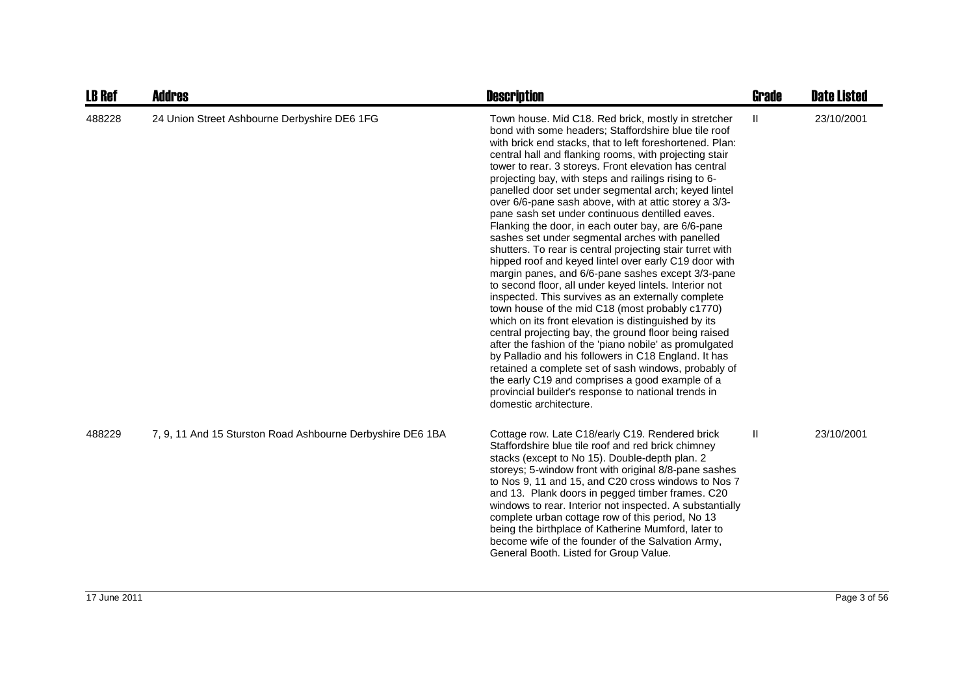| <b>LB Ref</b> | <b>Addres</b>                                              | <b>Description</b>                                                                                                                                                                                                                                                                                                                                                                                                                                                                                                                                                                                                                                                                                                                                                                                                                                                                                                                                                                                                                                                                                                                                                                                                                                                                                                                                                                                           | <b>Grade</b> | <b>Date Listed</b> |
|---------------|------------------------------------------------------------|--------------------------------------------------------------------------------------------------------------------------------------------------------------------------------------------------------------------------------------------------------------------------------------------------------------------------------------------------------------------------------------------------------------------------------------------------------------------------------------------------------------------------------------------------------------------------------------------------------------------------------------------------------------------------------------------------------------------------------------------------------------------------------------------------------------------------------------------------------------------------------------------------------------------------------------------------------------------------------------------------------------------------------------------------------------------------------------------------------------------------------------------------------------------------------------------------------------------------------------------------------------------------------------------------------------------------------------------------------------------------------------------------------------|--------------|--------------------|
| 488228        | 24 Union Street Ashbourne Derbyshire DE6 1FG               | Town house. Mid C18. Red brick, mostly in stretcher<br>bond with some headers; Staffordshire blue tile roof<br>with brick end stacks, that to left foreshortened. Plan:<br>central hall and flanking rooms, with projecting stair<br>tower to rear. 3 storeys. Front elevation has central<br>projecting bay, with steps and railings rising to 6-<br>panelled door set under segmental arch; keyed lintel<br>over 6/6-pane sash above, with at attic storey a 3/3-<br>pane sash set under continuous dentilled eaves.<br>Flanking the door, in each outer bay, are 6/6-pane<br>sashes set under segmental arches with panelled<br>shutters. To rear is central projecting stair turret with<br>hipped roof and keyed lintel over early C19 door with<br>margin panes, and 6/6-pane sashes except 3/3-pane<br>to second floor, all under keyed lintels. Interior not<br>inspected. This survives as an externally complete<br>town house of the mid C18 (most probably c1770)<br>which on its front elevation is distinguished by its<br>central projecting bay, the ground floor being raised<br>after the fashion of the 'piano nobile' as promulgated<br>by Palladio and his followers in C18 England. It has<br>retained a complete set of sash windows, probably of<br>the early C19 and comprises a good example of a<br>provincial builder's response to national trends in<br>domestic architecture. | $\mathbf{H}$ | 23/10/2001         |
| 488229        | 7, 9, 11 And 15 Sturston Road Ashbourne Derbyshire DE6 1BA | Cottage row. Late C18/early C19. Rendered brick<br>Staffordshire blue tile roof and red brick chimney<br>stacks (except to No 15). Double-depth plan. 2<br>storeys; 5-window front with original 8/8-pane sashes<br>to Nos 9, 11 and 15, and C20 cross windows to Nos 7<br>and 13. Plank doors in pegged timber frames. C20<br>windows to rear. Interior not inspected. A substantially<br>complete urban cottage row of this period, No 13<br>being the birthplace of Katherine Mumford, later to<br>become wife of the founder of the Salvation Army,<br>General Booth. Listed for Group Value.                                                                                                                                                                                                                                                                                                                                                                                                                                                                                                                                                                                                                                                                                                                                                                                                            | Ш            | 23/10/2001         |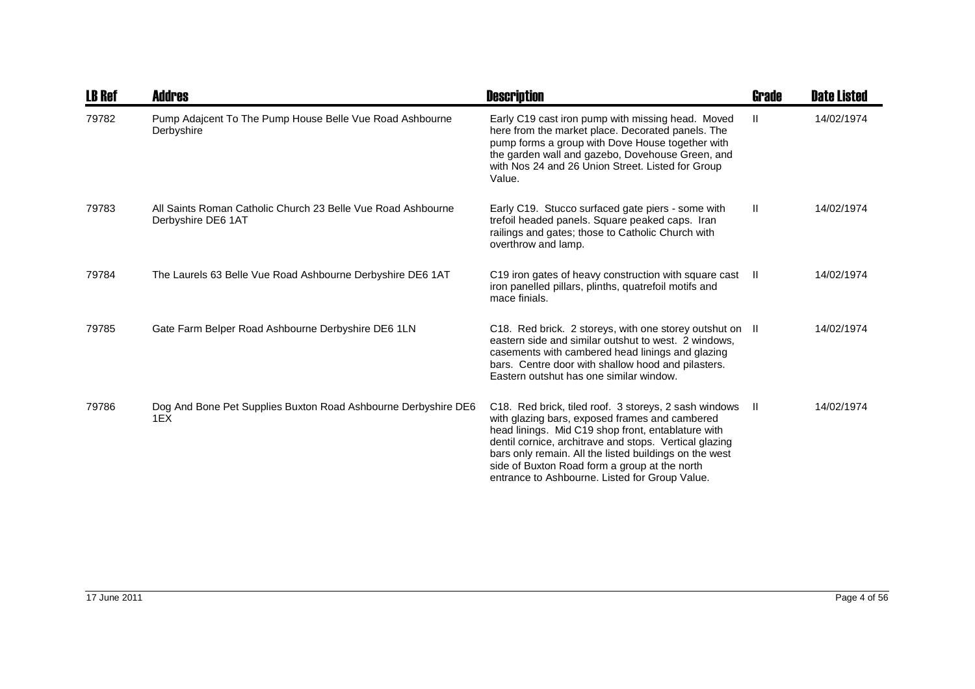| <b>LB Ref</b> | <b>Addres</b>                                                                      | <b>Description</b>                                                                                                                                                                                                                                                                                                                                                                      | <b>Grade</b> | <b>Date Listed</b> |
|---------------|------------------------------------------------------------------------------------|-----------------------------------------------------------------------------------------------------------------------------------------------------------------------------------------------------------------------------------------------------------------------------------------------------------------------------------------------------------------------------------------|--------------|--------------------|
| 79782         | Pump Adajcent To The Pump House Belle Vue Road Ashbourne<br>Derbyshire             | Early C19 cast iron pump with missing head. Moved<br>here from the market place. Decorated panels. The<br>pump forms a group with Dove House together with<br>the garden wall and gazebo, Dovehouse Green, and<br>with Nos 24 and 26 Union Street. Listed for Group<br>Value.                                                                                                           | $\mathbf{H}$ | 14/02/1974         |
| 79783         | All Saints Roman Catholic Church 23 Belle Vue Road Ashbourne<br>Derbyshire DE6 1AT | Early C19. Stucco surfaced gate piers - some with<br>trefoil headed panels. Square peaked caps. Iran<br>railings and gates; those to Catholic Church with<br>overthrow and lamp.                                                                                                                                                                                                        | $\mathbf{H}$ | 14/02/1974         |
| 79784         | The Laurels 63 Belle Vue Road Ashbourne Derbyshire DE6 1AT                         | C19 iron gates of heavy construction with square cast II<br>iron panelled pillars, plinths, quatrefoil motifs and<br>mace finials.                                                                                                                                                                                                                                                      |              | 14/02/1974         |
| 79785         | Gate Farm Belper Road Ashbourne Derbyshire DE6 1LN                                 | C18. Red brick. 2 storeys, with one storey outshut on II<br>eastern side and similar outshut to west. 2 windows.<br>casements with cambered head linings and glazing<br>bars. Centre door with shallow hood and pilasters.<br>Eastern outshut has one similar window.                                                                                                                   |              | 14/02/1974         |
| 79786         | Dog And Bone Pet Supplies Buxton Road Ashbourne Derbyshire DE6<br>1EX              | C18. Red brick, tiled roof. 3 storeys, 2 sash windows II<br>with glazing bars, exposed frames and cambered<br>head linings. Mid C19 shop front, entablature with<br>dentil cornice, architrave and stops. Vertical glazing<br>bars only remain. All the listed buildings on the west<br>side of Buxton Road form a group at the north<br>entrance to Ashbourne. Listed for Group Value. |              | 14/02/1974         |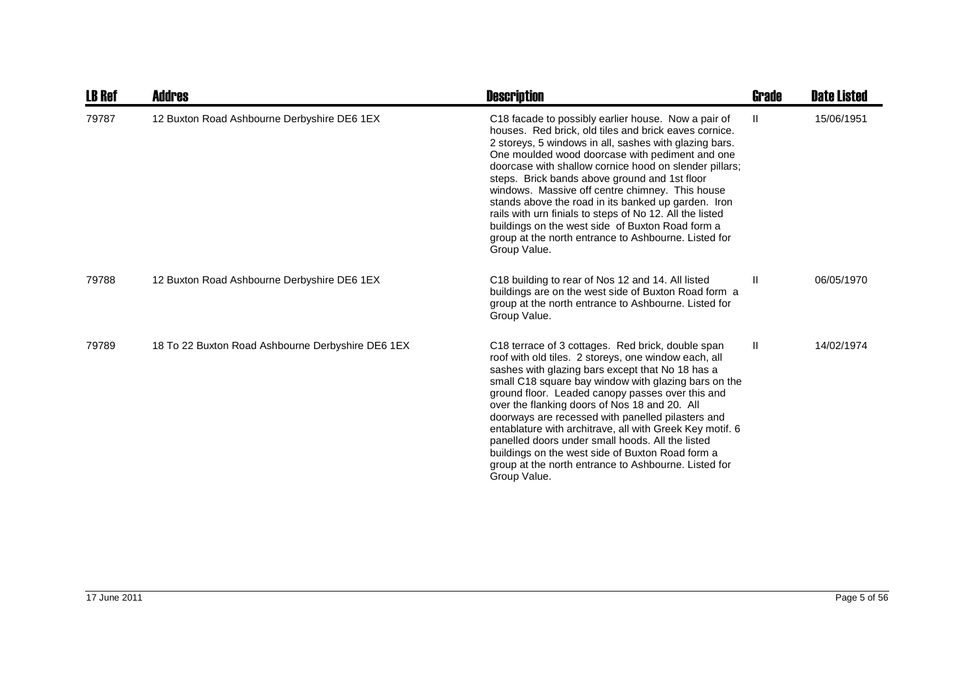| <b>LB Ref</b> | Addres                                            | <b>Description</b>                                                                                                                                                                                                                                                                                                                                                                                                                                                                                                                                                                                                                     | Grade | <b>Date Listed</b> |
|---------------|---------------------------------------------------|----------------------------------------------------------------------------------------------------------------------------------------------------------------------------------------------------------------------------------------------------------------------------------------------------------------------------------------------------------------------------------------------------------------------------------------------------------------------------------------------------------------------------------------------------------------------------------------------------------------------------------------|-------|--------------------|
| 79787         | 12 Buxton Road Ashbourne Derbyshire DE6 1EX       | C18 facade to possibly earlier house. Now a pair of<br>houses. Red brick, old tiles and brick eaves cornice.<br>2 storeys, 5 windows in all, sashes with glazing bars.<br>One moulded wood doorcase with pediment and one<br>doorcase with shallow cornice hood on slender pillars;<br>steps. Brick bands above ground and 1st floor<br>windows. Massive off centre chimney. This house<br>stands above the road in its banked up garden. Iron<br>rails with urn finials to steps of No 12. All the listed<br>buildings on the west side of Buxton Road form a<br>group at the north entrance to Ashbourne. Listed for<br>Group Value. | Ш     | 15/06/1951         |
| 79788         | 12 Buxton Road Ashbourne Derbyshire DE6 1EX       | C18 building to rear of Nos 12 and 14. All listed<br>buildings are on the west side of Buxton Road form a<br>group at the north entrance to Ashbourne. Listed for<br>Group Value.                                                                                                                                                                                                                                                                                                                                                                                                                                                      | Ш     | 06/05/1970         |
| 79789         | 18 To 22 Buxton Road Ashbourne Derbyshire DE6 1EX | C18 terrace of 3 cottages. Red brick, double span<br>roof with old tiles. 2 storeys, one window each, all<br>sashes with glazing bars except that No 18 has a<br>small C18 square bay window with glazing bars on the<br>ground floor. Leaded canopy passes over this and<br>over the flanking doors of Nos 18 and 20. All<br>doorways are recessed with panelled pilasters and<br>entablature with architrave, all with Greek Key motif. 6<br>panelled doors under small hoods. All the listed<br>buildings on the west side of Buxton Road form a<br>group at the north entrance to Ashbourne. Listed for<br>Group Value.            | H.    | 14/02/1974         |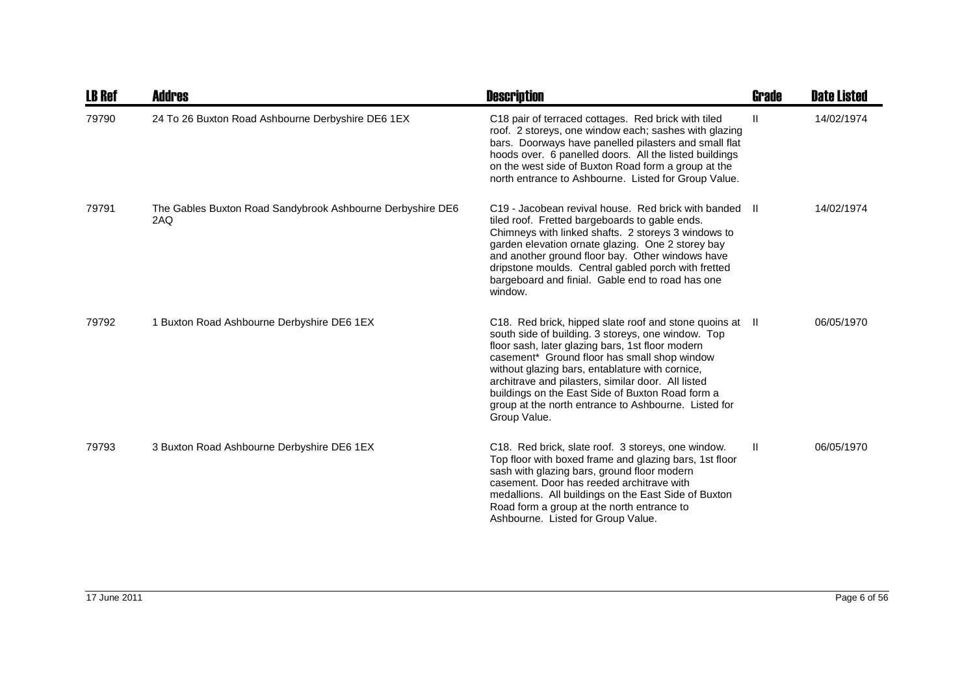| <b>LB Ref</b> | <b>Addres</b>                                                     | <b>Description</b>                                                                                                                                                                                                                                                                                                                                                                                                                                      | Grade | <b>Date Listed</b> |
|---------------|-------------------------------------------------------------------|---------------------------------------------------------------------------------------------------------------------------------------------------------------------------------------------------------------------------------------------------------------------------------------------------------------------------------------------------------------------------------------------------------------------------------------------------------|-------|--------------------|
| 79790         | 24 To 26 Buxton Road Ashbourne Derbyshire DE6 1EX                 | C18 pair of terraced cottages. Red brick with tiled<br>roof. 2 storeys, one window each; sashes with glazing<br>bars. Doorways have panelled pilasters and small flat<br>hoods over. 6 panelled doors. All the listed buildings<br>on the west side of Buxton Road form a group at the<br>north entrance to Ashbourne. Listed for Group Value.                                                                                                          | H.    | 14/02/1974         |
| 79791         | The Gables Buxton Road Sandybrook Ashbourne Derbyshire DE6<br>2AQ | C19 - Jacobean revival house. Red brick with banded<br>tiled roof. Fretted bargeboards to gable ends.<br>Chimneys with linked shafts. 2 storeys 3 windows to<br>garden elevation ornate glazing. One 2 storey bay<br>and another ground floor bay. Other windows have<br>dripstone moulds. Central gabled porch with fretted<br>bargeboard and finial. Gable end to road has one<br>window.                                                             | -H    | 14/02/1974         |
| 79792         | 1 Buxton Road Ashbourne Derbyshire DE6 1EX                        | C18. Red brick, hipped slate roof and stone quoins at II<br>south side of building. 3 storeys, one window. Top<br>floor sash, later glazing bars, 1st floor modern<br>casement* Ground floor has small shop window<br>without glazing bars, entablature with cornice,<br>architrave and pilasters, similar door. All listed<br>buildings on the East Side of Buxton Road form a<br>group at the north entrance to Ashbourne. Listed for<br>Group Value. |       | 06/05/1970         |
| 79793         | 3 Buxton Road Ashbourne Derbyshire DE6 1EX                        | C18. Red brick, slate roof. 3 storeys, one window.<br>Top floor with boxed frame and glazing bars, 1st floor<br>sash with glazing bars, ground floor modern<br>casement. Door has reeded architrave with<br>medallions. All buildings on the East Side of Buxton<br>Road form a group at the north entrance to<br>Ashbourne. Listed for Group Value.                                                                                                    | Ш     | 06/05/1970         |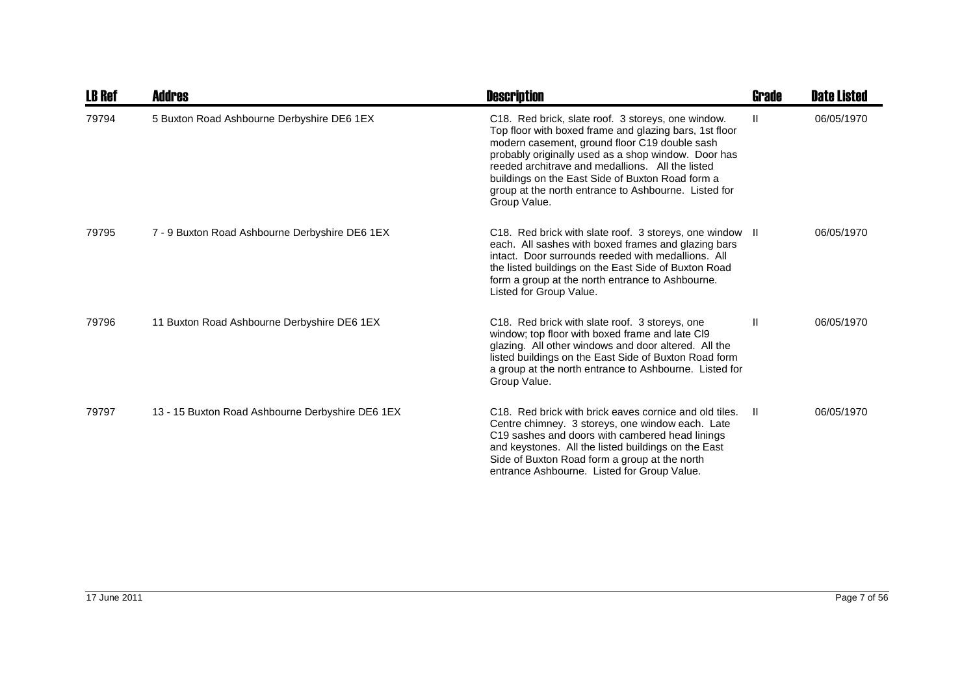| <b>LB Ref</b> | <b>Addres</b>                                    | <b>Description</b>                                                                                                                                                                                                                                                                                                                                                                                   | <b>Grade</b> | <b>Date Listed</b> |
|---------------|--------------------------------------------------|------------------------------------------------------------------------------------------------------------------------------------------------------------------------------------------------------------------------------------------------------------------------------------------------------------------------------------------------------------------------------------------------------|--------------|--------------------|
| 79794         | 5 Buxton Road Ashbourne Derbyshire DE6 1EX       | C18. Red brick, slate roof. 3 storeys, one window.<br>Top floor with boxed frame and glazing bars, 1st floor<br>modern casement, ground floor C19 double sash<br>probably originally used as a shop window. Door has<br>reeded architrave and medallions. All the listed<br>buildings on the East Side of Buxton Road form a<br>group at the north entrance to Ashbourne. Listed for<br>Group Value. | Ш            | 06/05/1970         |
| 79795         | 7 - 9 Buxton Road Ashbourne Derbyshire DE6 1EX   | C18. Red brick with slate roof. 3 storeys, one window II<br>each. All sashes with boxed frames and glazing bars<br>intact. Door surrounds reeded with medallions. All<br>the listed buildings on the East Side of Buxton Road<br>form a group at the north entrance to Ashbourne.<br>Listed for Group Value.                                                                                         |              | 06/05/1970         |
| 79796         | 11 Buxton Road Ashbourne Derbyshire DE6 1EX      | C18. Red brick with slate roof. 3 storeys, one<br>window; top floor with boxed frame and late CI9<br>glazing. All other windows and door altered. All the<br>listed buildings on the East Side of Buxton Road form<br>a group at the north entrance to Ashbourne. Listed for<br>Group Value.                                                                                                         | $\mathsf{I}$ | 06/05/1970         |
| 79797         | 13 - 15 Buxton Road Ashbourne Derbyshire DE6 1EX | C <sub>18</sub> . Red brick with brick eaves cornice and old tiles.<br>Centre chimney. 3 storeys, one window each. Late<br>C19 sashes and doors with cambered head linings<br>and keystones. All the listed buildings on the East<br>Side of Buxton Road form a group at the north<br>entrance Ashbourne. Listed for Group Value.                                                                    | -H           | 06/05/1970         |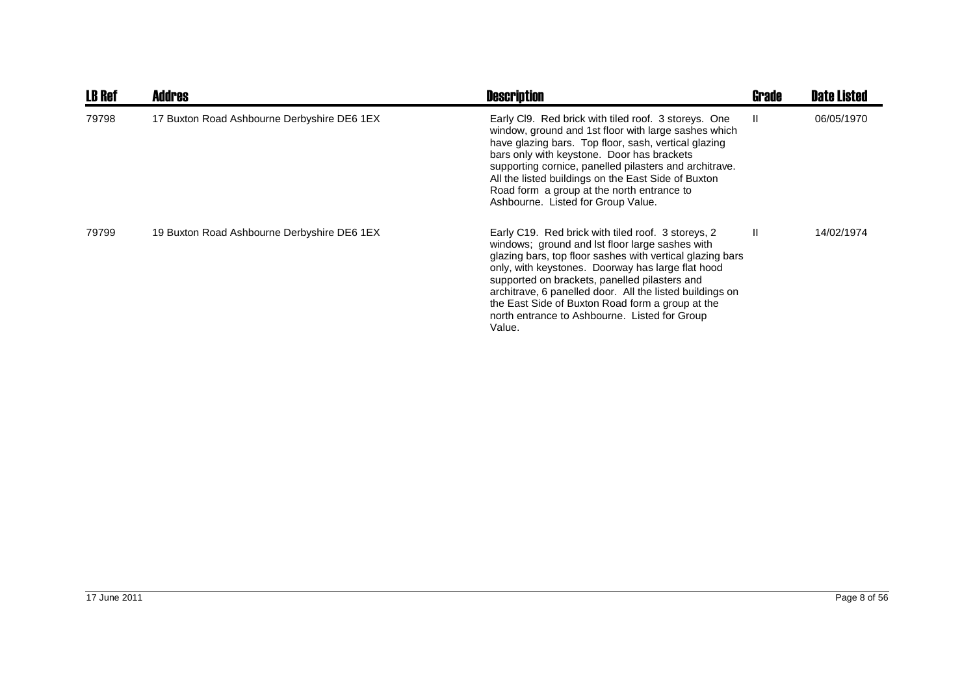| <b>LB Ref</b> | <b>Addres</b>                               | <b>Description</b>                                                                                                                                                                                                                                                                                                                                                                                                                                  | <b>Grade</b> | <b>Date Listed</b> |
|---------------|---------------------------------------------|-----------------------------------------------------------------------------------------------------------------------------------------------------------------------------------------------------------------------------------------------------------------------------------------------------------------------------------------------------------------------------------------------------------------------------------------------------|--------------|--------------------|
| 79798         | 17 Buxton Road Ashbourne Derbyshire DE6 1EX | Early CI9. Red brick with tiled roof. 3 storeys. One<br>window, ground and 1st floor with large sashes which<br>have glazing bars. Top floor, sash, vertical glazing<br>bars only with keystone. Door has brackets<br>supporting cornice, panelled pilasters and architrave.<br>All the listed buildings on the East Side of Buxton<br>Road form a group at the north entrance to<br>Ashbourne. Listed for Group Value.                             | $\mathbf{H}$ | 06/05/1970         |
| 79799         | 19 Buxton Road Ashbourne Derbyshire DE6 1EX | Early C19. Red brick with tiled roof. 3 storeys, 2<br>windows; ground and lst floor large sashes with<br>glazing bars, top floor sashes with vertical glazing bars<br>only, with keystones. Doorway has large flat hood<br>supported on brackets, panelled pilasters and<br>architrave, 6 panelled door. All the listed buildings on<br>the East Side of Buxton Road form a group at the<br>north entrance to Ashbourne. Listed for Group<br>Value. | $\mathbf{I}$ | 14/02/1974         |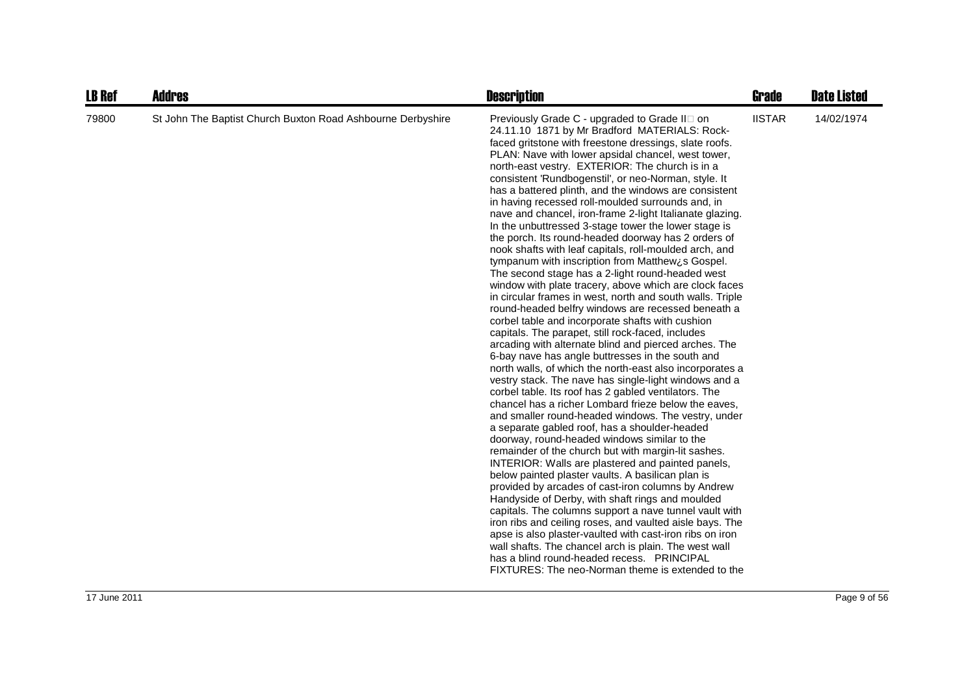| <b>LB Ref</b> | <b>Addres</b>                                               | <b>Description</b>                                                                                                                                                                                                                                                                                                                                                                                                                                                                                                                                                                                                                                                                                                                                                                                                                                                                                                                                                                                                                                                                                                                                                                                                                                                                                                                                                                                                                                                                                                                                                                                                                                                                                                                                                                                                                                                                                                                                                                                                                                                                                                                                                                                           | <b>Grade</b>  | <b>Date Listed</b> |
|---------------|-------------------------------------------------------------|--------------------------------------------------------------------------------------------------------------------------------------------------------------------------------------------------------------------------------------------------------------------------------------------------------------------------------------------------------------------------------------------------------------------------------------------------------------------------------------------------------------------------------------------------------------------------------------------------------------------------------------------------------------------------------------------------------------------------------------------------------------------------------------------------------------------------------------------------------------------------------------------------------------------------------------------------------------------------------------------------------------------------------------------------------------------------------------------------------------------------------------------------------------------------------------------------------------------------------------------------------------------------------------------------------------------------------------------------------------------------------------------------------------------------------------------------------------------------------------------------------------------------------------------------------------------------------------------------------------------------------------------------------------------------------------------------------------------------------------------------------------------------------------------------------------------------------------------------------------------------------------------------------------------------------------------------------------------------------------------------------------------------------------------------------------------------------------------------------------------------------------------------------------------------------------------------------------|---------------|--------------------|
| 79800         | St John The Baptist Church Buxton Road Ashbourne Derbyshire | Previously Grade C - upgraded to Grade II on<br>24.11.10 1871 by Mr Bradford MATERIALS: Rock-<br>faced gritstone with freestone dressings, slate roofs.<br>PLAN: Nave with lower apsidal chancel, west tower,<br>north-east vestry. EXTERIOR: The church is in a<br>consistent 'Rundbogenstil', or neo-Norman, style. It<br>has a battered plinth, and the windows are consistent<br>in having recessed roll-moulded surrounds and, in<br>nave and chancel, iron-frame 2-light Italianate glazing.<br>In the unbuttressed 3-stage tower the lower stage is<br>the porch. Its round-headed doorway has 2 orders of<br>nook shafts with leaf capitals, roll-moulded arch, and<br>tympanum with inscription from Matthew¿s Gospel.<br>The second stage has a 2-light round-headed west<br>window with plate tracery, above which are clock faces<br>in circular frames in west, north and south walls. Triple<br>round-headed belfry windows are recessed beneath a<br>corbel table and incorporate shafts with cushion<br>capitals. The parapet, still rock-faced, includes<br>arcading with alternate blind and pierced arches. The<br>6-bay nave has angle buttresses in the south and<br>north walls, of which the north-east also incorporates a<br>vestry stack. The nave has single-light windows and a<br>corbel table. Its roof has 2 gabled ventilators. The<br>chancel has a richer Lombard frieze below the eaves,<br>and smaller round-headed windows. The vestry, under<br>a separate gabled roof, has a shoulder-headed<br>doorway, round-headed windows similar to the<br>remainder of the church but with margin-lit sashes.<br>INTERIOR: Walls are plastered and painted panels,<br>below painted plaster vaults. A basilican plan is<br>provided by arcades of cast-iron columns by Andrew<br>Handyside of Derby, with shaft rings and moulded<br>capitals. The columns support a nave tunnel vault with<br>iron ribs and ceiling roses, and vaulted aisle bays. The<br>apse is also plaster-vaulted with cast-iron ribs on iron<br>wall shafts. The chancel arch is plain. The west wall<br>has a blind round-headed recess. PRINCIPAL<br>FIXTURES: The neo-Norman theme is extended to the | <b>IISTAR</b> | 14/02/1974         |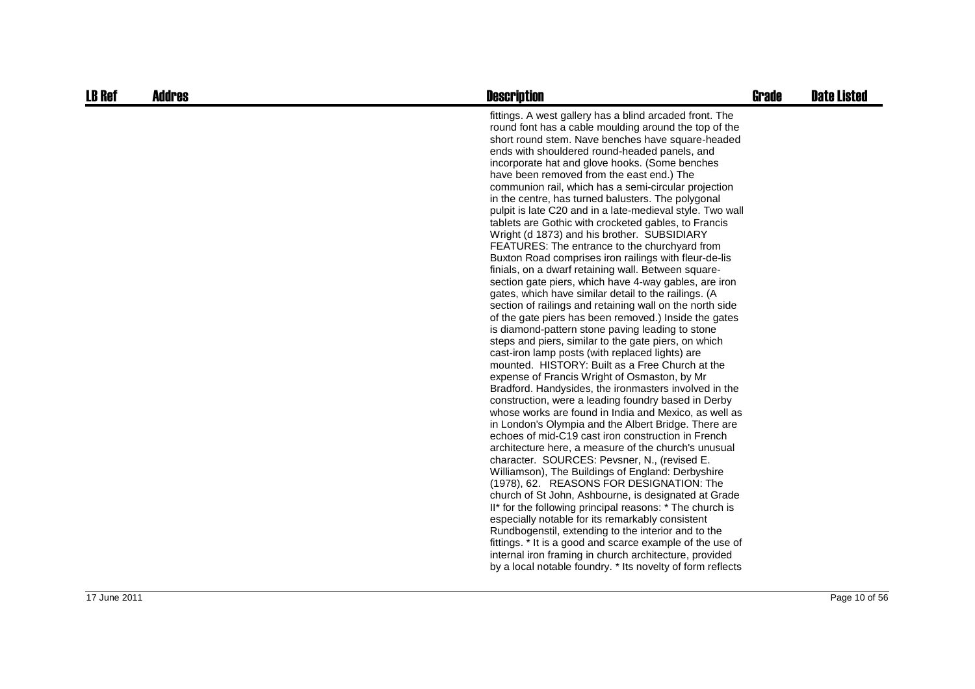| <b>LB Ref</b> | <b>Addres</b> | <b>Description</b>                                                                                                                                                                                                                                                                                                                                                                                                                                                                                                                                                                                                                                                                                                                                                                                                                                                                                                                                                                                                                                                                                                                                                                                                                                                                                                                                                                                                                                                                                                                                                                                                                                                                                                                                                                                                                                                                                                                                                                                                                                                                                                                                                                                   | <b>Grade</b> | <b>Date Listed</b> |
|---------------|---------------|------------------------------------------------------------------------------------------------------------------------------------------------------------------------------------------------------------------------------------------------------------------------------------------------------------------------------------------------------------------------------------------------------------------------------------------------------------------------------------------------------------------------------------------------------------------------------------------------------------------------------------------------------------------------------------------------------------------------------------------------------------------------------------------------------------------------------------------------------------------------------------------------------------------------------------------------------------------------------------------------------------------------------------------------------------------------------------------------------------------------------------------------------------------------------------------------------------------------------------------------------------------------------------------------------------------------------------------------------------------------------------------------------------------------------------------------------------------------------------------------------------------------------------------------------------------------------------------------------------------------------------------------------------------------------------------------------------------------------------------------------------------------------------------------------------------------------------------------------------------------------------------------------------------------------------------------------------------------------------------------------------------------------------------------------------------------------------------------------------------------------------------------------------------------------------------------------|--------------|--------------------|
|               |               | fittings. A west gallery has a blind arcaded front. The<br>round font has a cable moulding around the top of the<br>short round stem. Nave benches have square-headed<br>ends with shouldered round-headed panels, and<br>incorporate hat and glove hooks. (Some benches<br>have been removed from the east end.) The<br>communion rail, which has a semi-circular projection<br>in the centre, has turned balusters. The polygonal<br>pulpit is late C20 and in a late-medieval style. Two wall<br>tablets are Gothic with crocketed gables, to Francis<br>Wright (d 1873) and his brother. SUBSIDIARY<br>FEATURES: The entrance to the churchyard from<br>Buxton Road comprises iron railings with fleur-de-lis<br>finials, on a dwarf retaining wall. Between square-<br>section gate piers, which have 4-way gables, are iron<br>gates, which have similar detail to the railings. (A<br>section of railings and retaining wall on the north side<br>of the gate piers has been removed.) Inside the gates<br>is diamond-pattern stone paving leading to stone<br>steps and piers, similar to the gate piers, on which<br>cast-iron lamp posts (with replaced lights) are<br>mounted. HISTORY: Built as a Free Church at the<br>expense of Francis Wright of Osmaston, by Mr<br>Bradford. Handysides, the ironmasters involved in the<br>construction, were a leading foundry based in Derby<br>whose works are found in India and Mexico, as well as<br>in London's Olympia and the Albert Bridge. There are<br>echoes of mid-C19 cast iron construction in French<br>architecture here, a measure of the church's unusual<br>character. SOURCES: Pevsner, N., (revised E.<br>Williamson), The Buildings of England: Derbyshire<br>(1978), 62. REASONS FOR DESIGNATION: The<br>church of St John, Ashbourne, is designated at Grade<br>II* for the following principal reasons: * The church is<br>especially notable for its remarkably consistent<br>Rundbogenstil, extending to the interior and to the<br>fittings. * It is a good and scarce example of the use of<br>internal iron framing in church architecture, provided<br>by a local notable foundry. * Its novelty of form reflects |              |                    |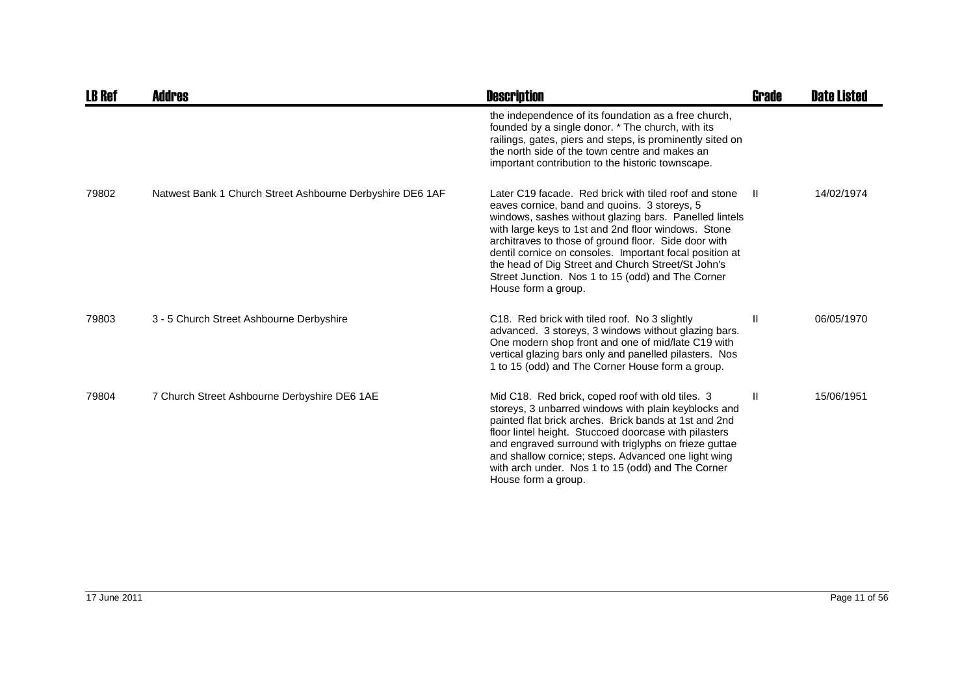| <b>LB Ref</b> | <b>Addres</b>                                             | <b>Description</b>                                                                                                                                                                                                                                                                                                                                                                                                                                                          | Grade        | <b>Date Listed</b> |
|---------------|-----------------------------------------------------------|-----------------------------------------------------------------------------------------------------------------------------------------------------------------------------------------------------------------------------------------------------------------------------------------------------------------------------------------------------------------------------------------------------------------------------------------------------------------------------|--------------|--------------------|
|               |                                                           | the independence of its foundation as a free church,<br>founded by a single donor. * The church, with its<br>railings, gates, piers and steps, is prominently sited on<br>the north side of the town centre and makes an<br>important contribution to the historic townscape.                                                                                                                                                                                               |              |                    |
| 79802         | Natwest Bank 1 Church Street Ashbourne Derbyshire DE6 1AF | Later C19 facade. Red brick with tiled roof and stone<br>eaves cornice, band and quoins. 3 storeys, 5<br>windows, sashes without glazing bars. Panelled lintels<br>with large keys to 1st and 2nd floor windows. Stone<br>architraves to those of ground floor. Side door with<br>dentil cornice on consoles. Important focal position at<br>the head of Dig Street and Church Street/St John's<br>Street Junction. Nos 1 to 15 (odd) and The Corner<br>House form a group. | -II.         | 14/02/1974         |
| 79803         | 3 - 5 Church Street Ashbourne Derbyshire                  | C18. Red brick with tiled roof. No 3 slightly<br>advanced. 3 storeys, 3 windows without glazing bars.<br>One modern shop front and one of mid/late C19 with<br>vertical glazing bars only and panelled pilasters. Nos<br>1 to 15 (odd) and The Corner House form a group.                                                                                                                                                                                                   | Ш            | 06/05/1970         |
| 79804         | 7 Church Street Ashbourne Derbyshire DE6 1AE              | Mid C18. Red brick, coped roof with old tiles. 3<br>storeys, 3 unbarred windows with plain keyblocks and<br>painted flat brick arches. Brick bands at 1st and 2nd<br>floor lintel height. Stuccoed doorcase with pilasters<br>and engraved surround with triglyphs on frieze guttae<br>and shallow cornice; steps. Advanced one light wing<br>with arch under. Nos 1 to 15 (odd) and The Corner<br>House form a group.                                                      | $\mathbf{H}$ | 15/06/1951         |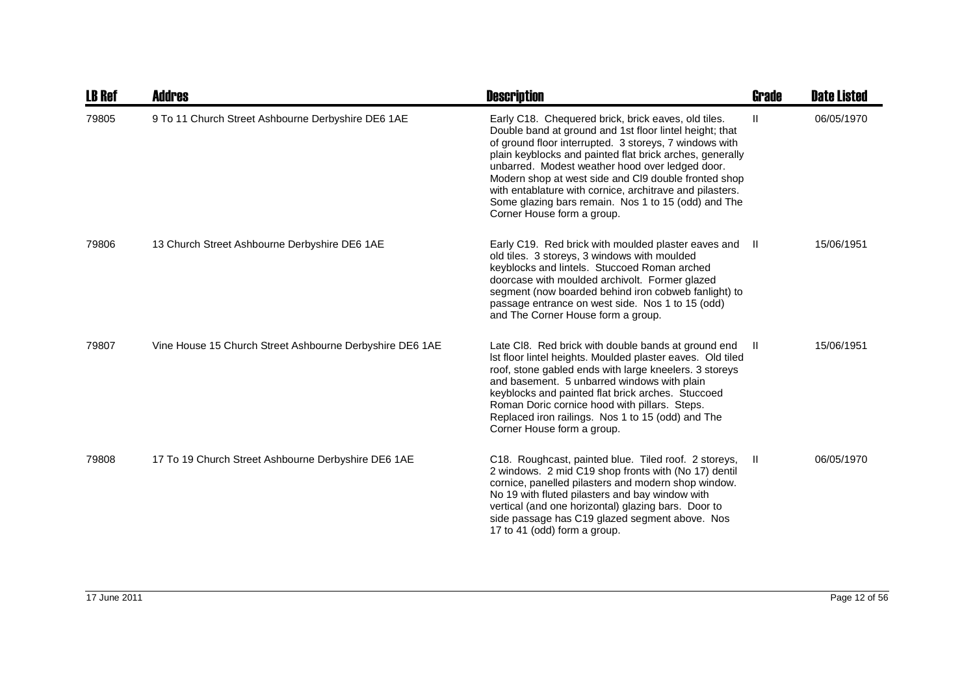| <b>LB Ref</b> | <b>Addres</b>                                            | <b>Description</b>                                                                                                                                                                                                                                                                                                                                                                                                                                                                               | <b>Grade</b> | <b>Date Listed</b> |
|---------------|----------------------------------------------------------|--------------------------------------------------------------------------------------------------------------------------------------------------------------------------------------------------------------------------------------------------------------------------------------------------------------------------------------------------------------------------------------------------------------------------------------------------------------------------------------------------|--------------|--------------------|
| 79805         | 9 To 11 Church Street Ashbourne Derbyshire DE6 1AE       | Early C18. Chequered brick, brick eaves, old tiles.<br>Double band at ground and 1st floor lintel height; that<br>of ground floor interrupted. 3 storeys, 7 windows with<br>plain keyblocks and painted flat brick arches, generally<br>unbarred. Modest weather hood over ledged door.<br>Modern shop at west side and CI9 double fronted shop<br>with entablature with cornice, architrave and pilasters.<br>Some glazing bars remain. Nos 1 to 15 (odd) and The<br>Corner House form a group. | Ш            | 06/05/1970         |
| 79806         | 13 Church Street Ashbourne Derbyshire DE6 1AE            | Early C19. Red brick with moulded plaster eaves and II<br>old tiles. 3 storeys, 3 windows with moulded<br>keyblocks and lintels. Stuccoed Roman arched<br>doorcase with moulded archivolt. Former glazed<br>segment (now boarded behind iron cobweb fanlight) to<br>passage entrance on west side. Nos 1 to 15 (odd)<br>and The Corner House form a group.                                                                                                                                       |              | 15/06/1951         |
| 79807         | Vine House 15 Church Street Ashbourne Derbyshire DE6 1AE | Late CI8. Red brick with double bands at ground end<br>Ist floor lintel heights. Moulded plaster eaves. Old tiled<br>roof, stone gabled ends with large kneelers. 3 storeys<br>and basement. 5 unbarred windows with plain<br>keyblocks and painted flat brick arches. Stuccoed<br>Roman Doric cornice hood with pillars. Steps.<br>Replaced iron railings. Nos 1 to 15 (odd) and The<br>Corner House form a group.                                                                              | - II         | 15/06/1951         |
| 79808         | 17 To 19 Church Street Ashbourne Derbyshire DE6 1AE      | C18. Roughcast, painted blue. Tiled roof. 2 storeys,<br>2 windows. 2 mid C19 shop fronts with (No 17) dentil<br>cornice, panelled pilasters and modern shop window.<br>No 19 with fluted pilasters and bay window with<br>vertical (and one horizontal) glazing bars. Door to<br>side passage has C19 glazed segment above. Nos<br>17 to 41 (odd) form a group.                                                                                                                                  | - II         | 06/05/1970         |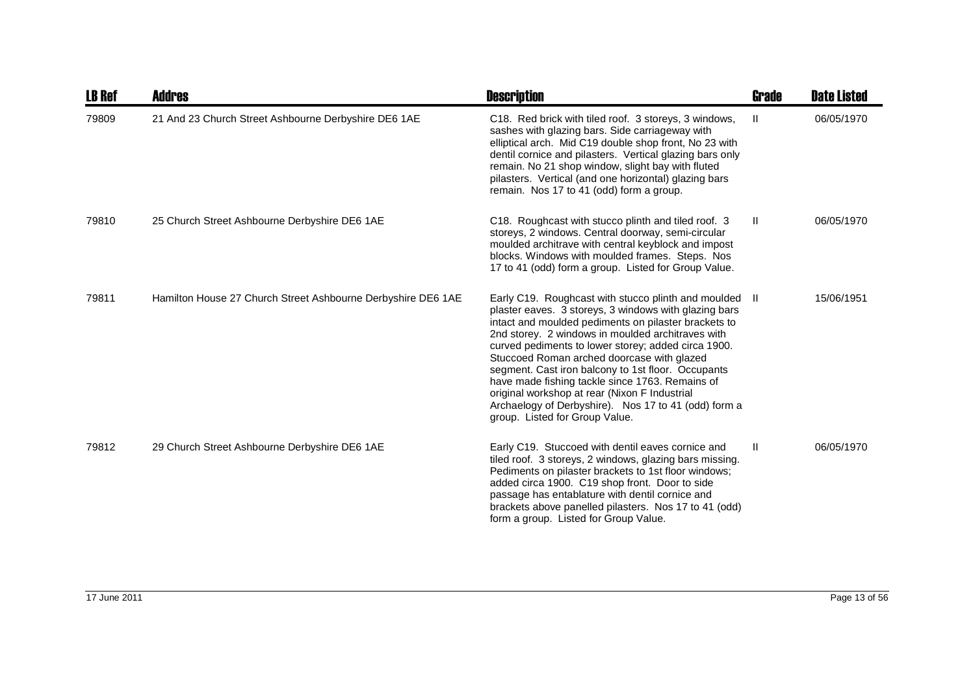| <b>LB Ref</b> | Addres                                                       | <b>Description</b>                                                                                                                                                                                                                                                                                                                                                                                                                                                                                                                                                                 | Grade        | <b>Date Listed</b> |
|---------------|--------------------------------------------------------------|------------------------------------------------------------------------------------------------------------------------------------------------------------------------------------------------------------------------------------------------------------------------------------------------------------------------------------------------------------------------------------------------------------------------------------------------------------------------------------------------------------------------------------------------------------------------------------|--------------|--------------------|
| 79809         | 21 And 23 Church Street Ashbourne Derbyshire DE6 1AE         | C18. Red brick with tiled roof. 3 storeys, 3 windows,<br>sashes with glazing bars. Side carriageway with<br>elliptical arch. Mid C19 double shop front, No 23 with<br>dentil cornice and pilasters. Vertical glazing bars only<br>remain. No 21 shop window, slight bay with fluted<br>pilasters. Vertical (and one horizontal) glazing bars<br>remain. Nos 17 to 41 (odd) form a group.                                                                                                                                                                                           | $\mathbf{H}$ | 06/05/1970         |
| 79810         | 25 Church Street Ashbourne Derbyshire DE6 1AE                | C18. Roughcast with stucco plinth and tiled roof. 3<br>storeys, 2 windows. Central doorway, semi-circular<br>moulded architrave with central keyblock and impost<br>blocks. Windows with moulded frames. Steps. Nos<br>17 to 41 (odd) form a group. Listed for Group Value.                                                                                                                                                                                                                                                                                                        | $\mathbf{H}$ | 06/05/1970         |
| 79811         | Hamilton House 27 Church Street Ashbourne Derbyshire DE6 1AE | Early C19. Roughcast with stucco plinth and moulded<br>plaster eaves. 3 storeys, 3 windows with glazing bars<br>intact and moulded pediments on pilaster brackets to<br>2nd storey. 2 windows in moulded architraves with<br>curved pediments to lower storey; added circa 1900.<br>Stuccoed Roman arched doorcase with glazed<br>segment. Cast iron balcony to 1st floor. Occupants<br>have made fishing tackle since 1763. Remains of<br>original workshop at rear (Nixon F Industrial<br>Archaelogy of Derbyshire). Nos 17 to 41 (odd) form a<br>group. Listed for Group Value. | - II         | 15/06/1951         |
| 79812         | 29 Church Street Ashbourne Derbyshire DE6 1AE                | Early C19. Stuccoed with dentil eaves cornice and<br>tiled roof. 3 storeys, 2 windows, glazing bars missing.<br>Pediments on pilaster brackets to 1st floor windows;<br>added circa 1900. C19 shop front. Door to side<br>passage has entablature with dentil cornice and<br>brackets above panelled pilasters. Nos 17 to 41 (odd)<br>form a group. Listed for Group Value.                                                                                                                                                                                                        | Ш            | 06/05/1970         |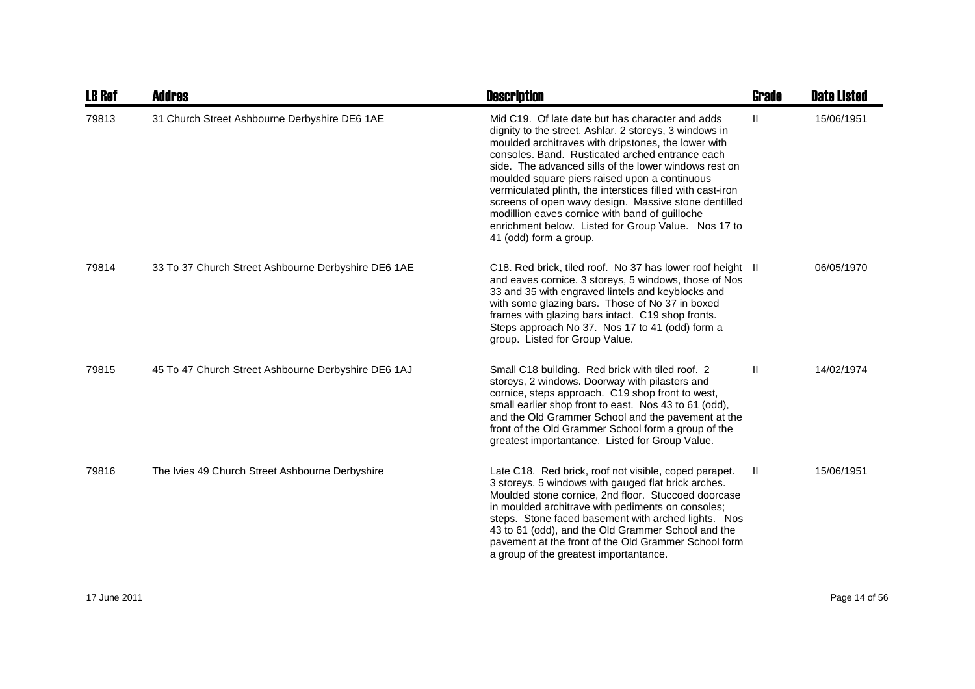| <b>LB Ref</b> | <b>Addres</b>                                       | <b>Description</b>                                                                                                                                                                                                                                                                                                                                                                                                                                                                                                                                                                      | <b>Grade</b>  | <b>Date Listed</b> |
|---------------|-----------------------------------------------------|-----------------------------------------------------------------------------------------------------------------------------------------------------------------------------------------------------------------------------------------------------------------------------------------------------------------------------------------------------------------------------------------------------------------------------------------------------------------------------------------------------------------------------------------------------------------------------------------|---------------|--------------------|
| 79813         | 31 Church Street Ashbourne Derbyshire DE6 1AE       | Mid C19. Of late date but has character and adds<br>dignity to the street. Ashlar. 2 storeys, 3 windows in<br>moulded architraves with dripstones, the lower with<br>consoles. Band. Rusticated arched entrance each<br>side. The advanced sills of the lower windows rest on<br>moulded square piers raised upon a continuous<br>vermiculated plinth, the interstices filled with cast-iron<br>screens of open wavy design. Massive stone dentilled<br>modillion eaves cornice with band of guilloche<br>enrichment below. Listed for Group Value. Nos 17 to<br>41 (odd) form a group. | $\mathbf{II}$ | 15/06/1951         |
| 79814         | 33 To 37 Church Street Ashbourne Derbyshire DE6 1AE | C18. Red brick, tiled roof. No 37 has lower roof height II<br>and eaves cornice. 3 storeys, 5 windows, those of Nos<br>33 and 35 with engraved lintels and keyblocks and<br>with some glazing bars. Those of No 37 in boxed<br>frames with glazing bars intact. C19 shop fronts.<br>Steps approach No 37. Nos 17 to 41 (odd) form a<br>group. Listed for Group Value.                                                                                                                                                                                                                   |               | 06/05/1970         |
| 79815         | 45 To 47 Church Street Ashbourne Derbyshire DE6 1AJ | Small C18 building. Red brick with tiled roof. 2<br>storeys, 2 windows. Doorway with pilasters and<br>cornice, steps approach. C19 shop front to west,<br>small earlier shop front to east. Nos 43 to 61 (odd),<br>and the Old Grammer School and the pavement at the<br>front of the Old Grammer School form a group of the<br>greatest importantance. Listed for Group Value.                                                                                                                                                                                                         | Ш             | 14/02/1974         |
| 79816         | The Ivies 49 Church Street Ashbourne Derbyshire     | Late C18. Red brick, roof not visible, coped parapet.<br>3 storeys, 5 windows with gauged flat brick arches.<br>Moulded stone cornice, 2nd floor. Stuccoed doorcase<br>in moulded architrave with pediments on consoles;<br>steps. Stone faced basement with arched lights. Nos<br>43 to 61 (odd), and the Old Grammer School and the<br>pavement at the front of the Old Grammer School form<br>a group of the greatest importantance.                                                                                                                                                 | Ш             | 15/06/1951         |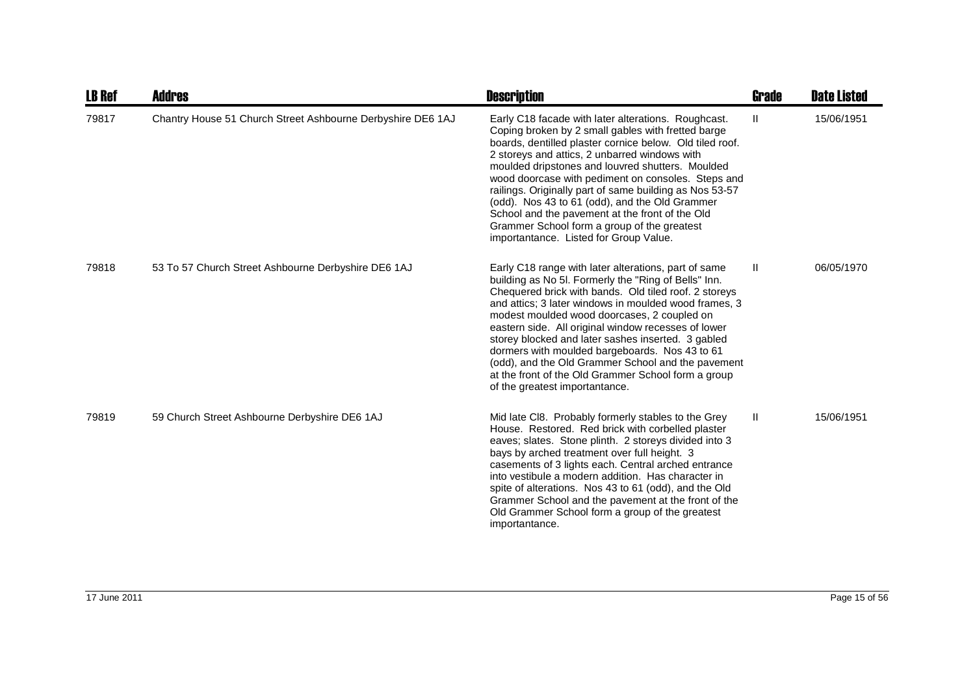| <b>LB Ref</b> | Addres                                                      | <b>Description</b>                                                                                                                                                                                                                                                                                                                                                                                                                                                                                                                                                                          | Grade         | <b>Date Listed</b> |
|---------------|-------------------------------------------------------------|---------------------------------------------------------------------------------------------------------------------------------------------------------------------------------------------------------------------------------------------------------------------------------------------------------------------------------------------------------------------------------------------------------------------------------------------------------------------------------------------------------------------------------------------------------------------------------------------|---------------|--------------------|
| 79817         | Chantry House 51 Church Street Ashbourne Derbyshire DE6 1AJ | Early C18 facade with later alterations. Roughcast.<br>Coping broken by 2 small gables with fretted barge<br>boards, dentilled plaster cornice below. Old tiled roof.<br>2 storeys and attics, 2 unbarred windows with<br>moulded dripstones and louvred shutters. Moulded<br>wood doorcase with pediment on consoles. Steps and<br>railings. Originally part of same building as Nos 53-57<br>(odd). Nos 43 to 61 (odd), and the Old Grammer<br>School and the pavement at the front of the Old<br>Grammer School form a group of the greatest<br>importantance. Listed for Group Value.   | Ш             | 15/06/1951         |
| 79818         | 53 To 57 Church Street Ashbourne Derbyshire DE6 1AJ         | Early C18 range with later alterations, part of same<br>building as No 5I. Formerly the "Ring of Bells" Inn.<br>Chequered brick with bands. Old tiled roof. 2 storeys<br>and attics; 3 later windows in moulded wood frames, 3<br>modest moulded wood doorcases, 2 coupled on<br>eastern side. All original window recesses of lower<br>storey blocked and later sashes inserted. 3 gabled<br>dormers with moulded bargeboards. Nos 43 to 61<br>(odd), and the Old Grammer School and the pavement<br>at the front of the Old Grammer School form a group<br>of the greatest importantance. | $\mathbf{H}$  | 06/05/1970         |
| 79819         | 59 Church Street Ashbourne Derbyshire DE6 1AJ               | Mid late CI8. Probably formerly stables to the Grey<br>House. Restored. Red brick with corbelled plaster<br>eaves; slates. Stone plinth. 2 storeys divided into 3<br>bays by arched treatment over full height. 3<br>casements of 3 lights each. Central arched entrance<br>into vestibule a modern addition. Has character in<br>spite of alterations. Nos 43 to 61 (odd), and the Old<br>Grammer School and the pavement at the front of the<br>Old Grammer School form a group of the greatest<br>importantance.                                                                         | $\mathbf{II}$ | 15/06/1951         |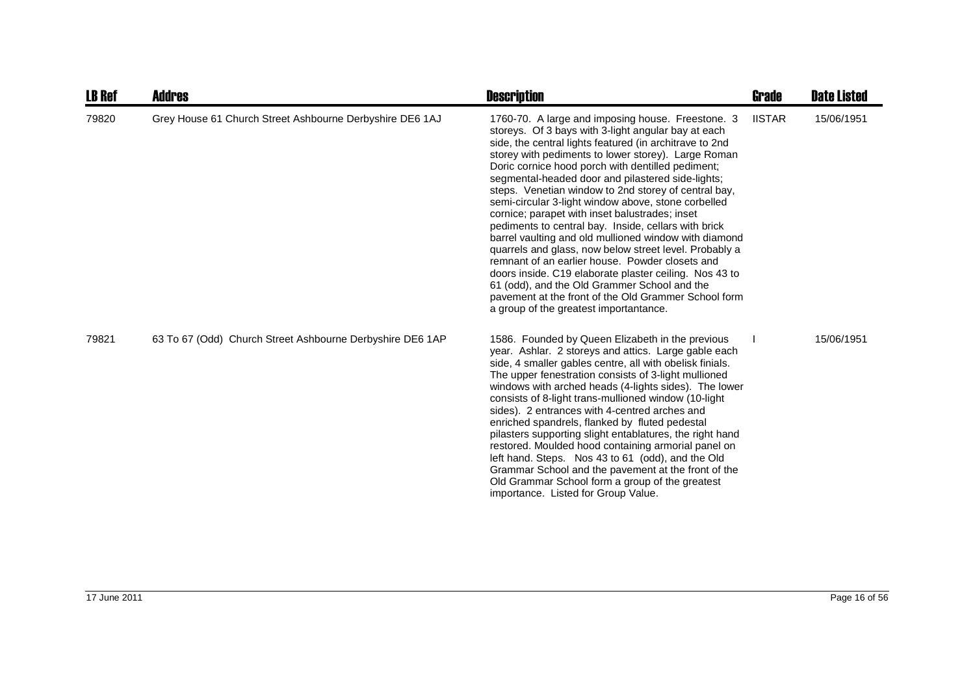| <b>LB Ref</b> | <b>Addres</b>                                             | <b>Description</b>                                                                                                                                                                                                                                                                                                                                                                                                                                                                                                                                                                                                                                                                                                                                                                                                                                                                                                                              | Grade         | <b>Date Listed</b> |
|---------------|-----------------------------------------------------------|-------------------------------------------------------------------------------------------------------------------------------------------------------------------------------------------------------------------------------------------------------------------------------------------------------------------------------------------------------------------------------------------------------------------------------------------------------------------------------------------------------------------------------------------------------------------------------------------------------------------------------------------------------------------------------------------------------------------------------------------------------------------------------------------------------------------------------------------------------------------------------------------------------------------------------------------------|---------------|--------------------|
| 79820         | Grey House 61 Church Street Ashbourne Derbyshire DE6 1AJ  | 1760-70. A large and imposing house. Freestone. 3<br>storeys. Of 3 bays with 3-light angular bay at each<br>side, the central lights featured (in architrave to 2nd<br>storey with pediments to lower storey). Large Roman<br>Doric cornice hood porch with dentilled pediment;<br>segmental-headed door and pilastered side-lights;<br>steps. Venetian window to 2nd storey of central bay,<br>semi-circular 3-light window above, stone corbelled<br>cornice; parapet with inset balustrades; inset<br>pediments to central bay. Inside, cellars with brick<br>barrel vaulting and old mullioned window with diamond<br>quarrels and glass, now below street level. Probably a<br>remnant of an earlier house. Powder closets and<br>doors inside. C19 elaborate plaster ceiling. Nos 43 to<br>61 (odd), and the Old Grammer School and the<br>pavement at the front of the Old Grammer School form<br>a group of the greatest importantance. | <b>IISTAR</b> | 15/06/1951         |
| 79821         | 63 To 67 (Odd) Church Street Ashbourne Derbyshire DE6 1AP | 1586. Founded by Queen Elizabeth in the previous<br>year. Ashlar. 2 storeys and attics. Large gable each<br>side, 4 smaller gables centre, all with obelisk finials.<br>The upper fenestration consists of 3-light mullioned<br>windows with arched heads (4-lights sides). The lower<br>consists of 8-light trans-mullioned window (10-light<br>sides). 2 entrances with 4-centred arches and<br>enriched spandrels, flanked by fluted pedestal<br>pilasters supporting slight entablatures, the right hand<br>restored. Moulded hood containing armorial panel on<br>left hand. Steps. Nos 43 to 61 (odd), and the Old<br>Grammar School and the pavement at the front of the<br>Old Grammar School form a group of the greatest<br>importance. Listed for Group Value.                                                                                                                                                                       |               | 15/06/1951         |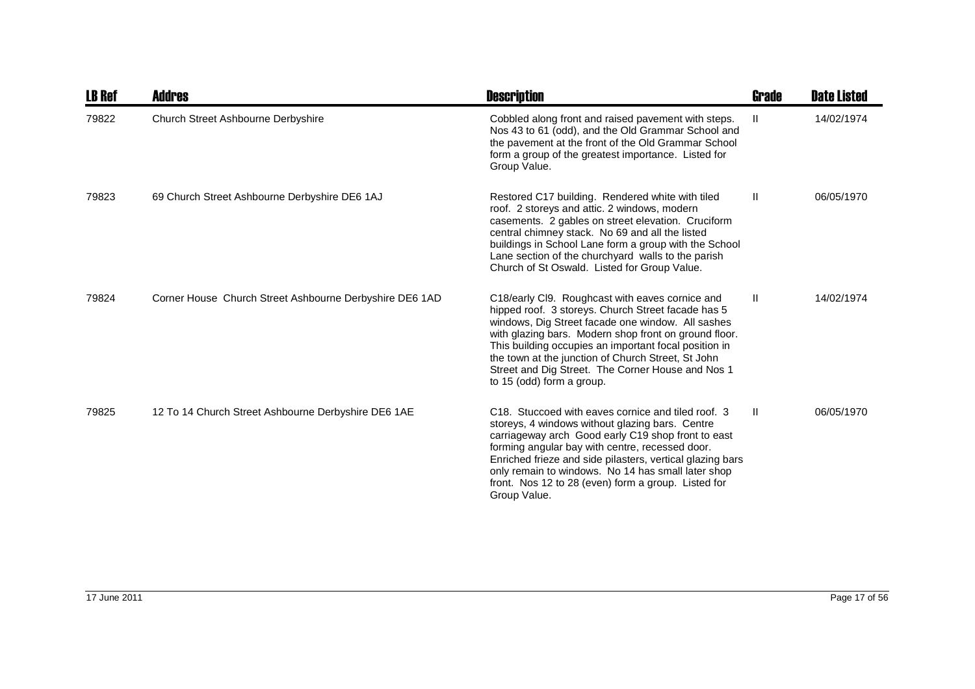| <b>LB Ref</b> | <b>Addres</b>                                           | <b>Description</b>                                                                                                                                                                                                                                                                                                                                                                                                    | <b>Grade</b> | <b>Date Listed</b> |
|---------------|---------------------------------------------------------|-----------------------------------------------------------------------------------------------------------------------------------------------------------------------------------------------------------------------------------------------------------------------------------------------------------------------------------------------------------------------------------------------------------------------|--------------|--------------------|
| 79822         | <b>Church Street Ashbourne Derbyshire</b>               | Cobbled along front and raised pavement with steps.<br>Nos 43 to 61 (odd), and the Old Grammar School and<br>the pavement at the front of the Old Grammar School<br>form a group of the greatest importance. Listed for<br>Group Value.                                                                                                                                                                               | $\mathbf{H}$ | 14/02/1974         |
| 79823         | 69 Church Street Ashbourne Derbyshire DE6 1AJ           | Restored C17 building. Rendered white with tiled<br>roof. 2 storeys and attic. 2 windows, modern<br>casements. 2 gables on street elevation. Cruciform<br>central chimney stack. No 69 and all the listed<br>buildings in School Lane form a group with the School<br>Lane section of the churchyard walls to the parish<br>Church of St Oswald. Listed for Group Value.                                              | $\mathbf{H}$ | 06/05/1970         |
| 79824         | Corner House Church Street Ashbourne Derbyshire DE6 1AD | C18/early Cl9. Roughcast with eaves cornice and<br>hipped roof. 3 storeys. Church Street facade has 5<br>windows, Dig Street facade one window. All sashes<br>with glazing bars. Modern shop front on ground floor.<br>This building occupies an important focal position in<br>the town at the junction of Church Street, St John<br>Street and Dig Street. The Corner House and Nos 1<br>to 15 (odd) form a group.  | $\mathbf{H}$ | 14/02/1974         |
| 79825         | 12 To 14 Church Street Ashbourne Derbyshire DE6 1AE     | C <sub>18</sub> . Stuccoed with eaves cornice and tiled roof. 3<br>storeys, 4 windows without glazing bars. Centre<br>carriageway arch Good early C19 shop front to east<br>forming angular bay with centre, recessed door.<br>Enriched frieze and side pilasters, vertical glazing bars<br>only remain to windows. No 14 has small later shop<br>front. Nos 12 to 28 (even) form a group. Listed for<br>Group Value. | H.           | 06/05/1970         |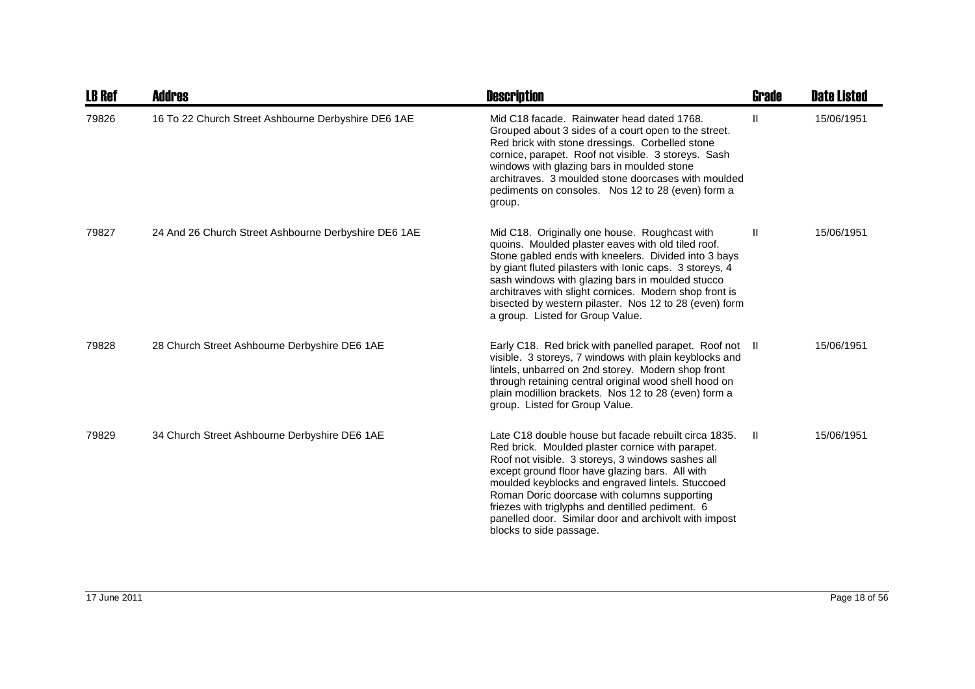| <b>LB Ref</b> | <b>Addres</b>                                        | <b>Description</b>                                                                                                                                                                                                                                                                                                                                                                                                                                           | Grade        | <b>Date Listed</b> |
|---------------|------------------------------------------------------|--------------------------------------------------------------------------------------------------------------------------------------------------------------------------------------------------------------------------------------------------------------------------------------------------------------------------------------------------------------------------------------------------------------------------------------------------------------|--------------|--------------------|
| 79826         | 16 To 22 Church Street Ashbourne Derbyshire DE6 1AE  | Mid C18 facade. Rainwater head dated 1768.<br>Grouped about 3 sides of a court open to the street.<br>Red brick with stone dressings. Corbelled stone<br>cornice, parapet. Roof not visible. 3 storeys. Sash<br>windows with glazing bars in moulded stone<br>architraves. 3 moulded stone doorcases with moulded<br>pediments on consoles. Nos 12 to 28 (even) form a<br>group.                                                                             | $\mathbf{H}$ | 15/06/1951         |
| 79827         | 24 And 26 Church Street Ashbourne Derbyshire DE6 1AE | Mid C18. Originally one house. Roughcast with<br>quoins. Moulded plaster eaves with old tiled roof.<br>Stone gabled ends with kneelers. Divided into 3 bays<br>by giant fluted pilasters with lonic caps. 3 storeys, 4<br>sash windows with glazing bars in moulded stucco<br>architraves with slight cornices. Modern shop front is<br>bisected by western pilaster. Nos 12 to 28 (even) form<br>a group. Listed for Group Value.                           | Ш            | 15/06/1951         |
| 79828         | 28 Church Street Ashbourne Derbyshire DE6 1AE        | Early C18. Red brick with panelled parapet. Roof not II<br>visible. 3 storeys, 7 windows with plain keyblocks and<br>lintels, unbarred on 2nd storey. Modern shop front<br>through retaining central original wood shell hood on<br>plain modillion brackets. Nos 12 to 28 (even) form a<br>group. Listed for Group Value.                                                                                                                                   |              | 15/06/1951         |
| 79829         | 34 Church Street Ashbourne Derbyshire DE6 1AE        | Late C18 double house but facade rebuilt circa 1835.<br>Red brick. Moulded plaster cornice with parapet.<br>Roof not visible. 3 storeys, 3 windows sashes all<br>except ground floor have glazing bars. All with<br>moulded keyblocks and engraved lintels. Stuccoed<br>Roman Doric doorcase with columns supporting<br>friezes with triglyphs and dentilled pediment. 6<br>panelled door. Similar door and archivolt with impost<br>blocks to side passage. | $\mathbf{H}$ | 15/06/1951         |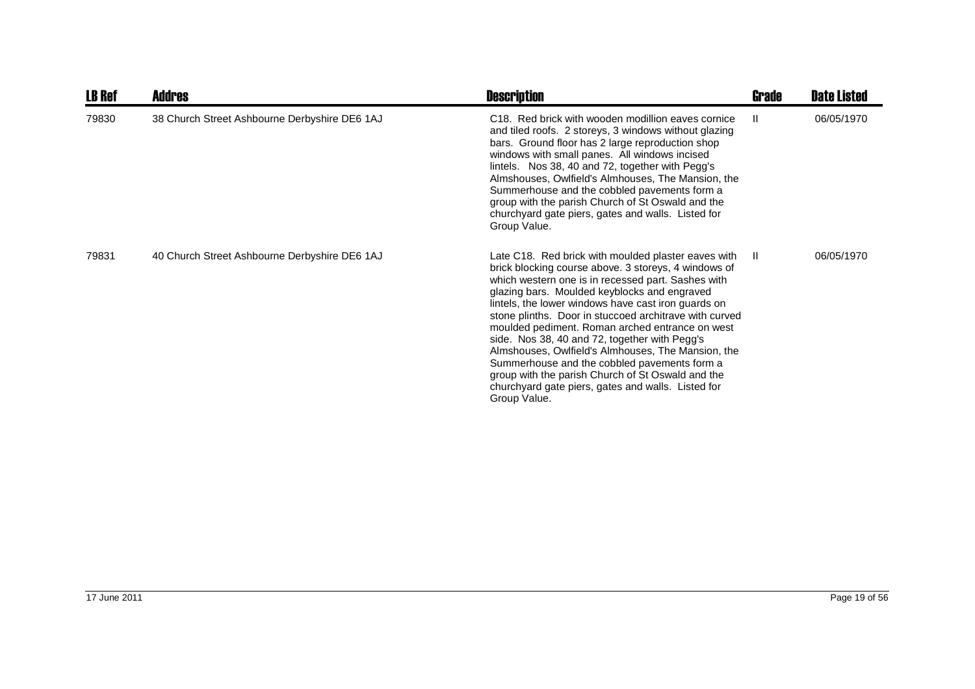| <b>LB Ref</b> | Addres                                        | <b>Description</b>                                                                                                                                                                                                                                                                                                                                                                                                                                                                                                                                                                                                                                                      | Grade        | <b>Date Listed</b> |
|---------------|-----------------------------------------------|-------------------------------------------------------------------------------------------------------------------------------------------------------------------------------------------------------------------------------------------------------------------------------------------------------------------------------------------------------------------------------------------------------------------------------------------------------------------------------------------------------------------------------------------------------------------------------------------------------------------------------------------------------------------------|--------------|--------------------|
| 79830         | 38 Church Street Ashbourne Derbyshire DE6 1AJ | C <sub>18</sub> . Red brick with wooden modillion eaves cornice<br>and tiled roofs. 2 storeys, 3 windows without glazing<br>bars. Ground floor has 2 large reproduction shop<br>windows with small panes. All windows incised<br>lintels. Nos 38, 40 and 72, together with Pegg's<br>Almshouses, Owlfield's Almhouses, The Mansion, the<br>Summerhouse and the cobbled pavements form a<br>group with the parish Church of St Oswald and the<br>churchyard gate piers, gates and walls. Listed for<br>Group Value.                                                                                                                                                      | Ш            | 06/05/1970         |
| 79831         | 40 Church Street Ashbourne Derbyshire DE6 1AJ | Late C18. Red brick with moulded plaster eaves with<br>brick blocking course above. 3 storeys, 4 windows of<br>which western one is in recessed part. Sashes with<br>glazing bars. Moulded keyblocks and engraved<br>lintels, the lower windows have cast iron guards on<br>stone plinths. Door in stuccoed architrave with curved<br>moulded pediment. Roman arched entrance on west<br>side. Nos 38, 40 and 72, together with Pegg's<br>Almshouses, Owlfield's Almhouses, The Mansion, the<br>Summerhouse and the cobbled pavements form a<br>group with the parish Church of St Oswald and the<br>churchyard gate piers, gates and walls. Listed for<br>Group Value. | $\mathbf{I}$ | 06/05/1970         |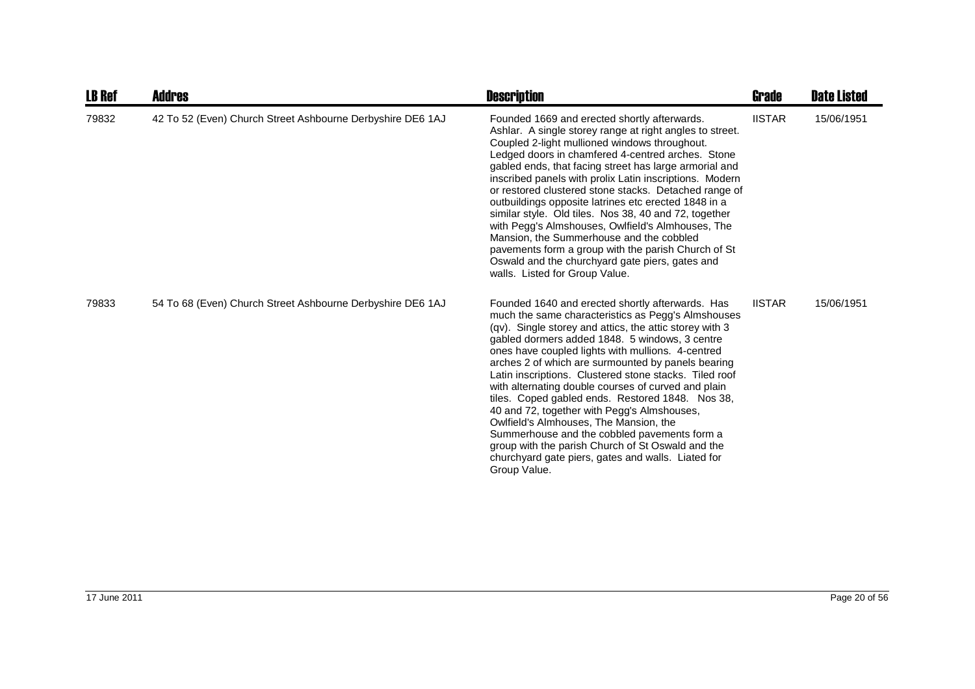| <b>LB Ref</b> | <b>Addres</b>                                              | <b>Description</b>                                                                                                                                                                                                                                                                                                                                                                                                                                                                                                                                                                                                                                                                                                                                                      | Grade         | <b>Date Listed</b> |
|---------------|------------------------------------------------------------|-------------------------------------------------------------------------------------------------------------------------------------------------------------------------------------------------------------------------------------------------------------------------------------------------------------------------------------------------------------------------------------------------------------------------------------------------------------------------------------------------------------------------------------------------------------------------------------------------------------------------------------------------------------------------------------------------------------------------------------------------------------------------|---------------|--------------------|
| 79832         | 42 To 52 (Even) Church Street Ashbourne Derbyshire DE6 1AJ | Founded 1669 and erected shortly afterwards.<br>Ashlar. A single storey range at right angles to street.<br>Coupled 2-light mullioned windows throughout.<br>Ledged doors in chamfered 4-centred arches. Stone<br>gabled ends, that facing street has large armorial and<br>inscribed panels with prolix Latin inscriptions. Modern<br>or restored clustered stone stacks. Detached range of<br>outbuildings opposite latrines etc erected 1848 in a<br>similar style. Old tiles. Nos 38, 40 and 72, together<br>with Pegg's Almshouses, Owlfield's Almhouses, The<br>Mansion, the Summerhouse and the cobbled<br>pavements form a group with the parish Church of St<br>Oswald and the churchyard gate piers, gates and<br>walls. Listed for Group Value.              | <b>IISTAR</b> | 15/06/1951         |
| 79833         | 54 To 68 (Even) Church Street Ashbourne Derbyshire DE6 1AJ | Founded 1640 and erected shortly afterwards. Has<br>much the same characteristics as Pegg's Almshouses<br>(qv). Single storey and attics, the attic storey with 3<br>gabled dormers added 1848. 5 windows, 3 centre<br>ones have coupled lights with mullions. 4-centred<br>arches 2 of which are surmounted by panels bearing<br>Latin inscriptions. Clustered stone stacks. Tiled roof<br>with alternating double courses of curved and plain<br>tiles. Coped gabled ends. Restored 1848. Nos 38,<br>40 and 72, together with Pegg's Almshouses,<br>Owlfield's Almhouses, The Mansion, the<br>Summerhouse and the cobbled pavements form a<br>group with the parish Church of St Oswald and the<br>churchyard gate piers, gates and walls. Liated for<br>Group Value. | <b>IISTAR</b> | 15/06/1951         |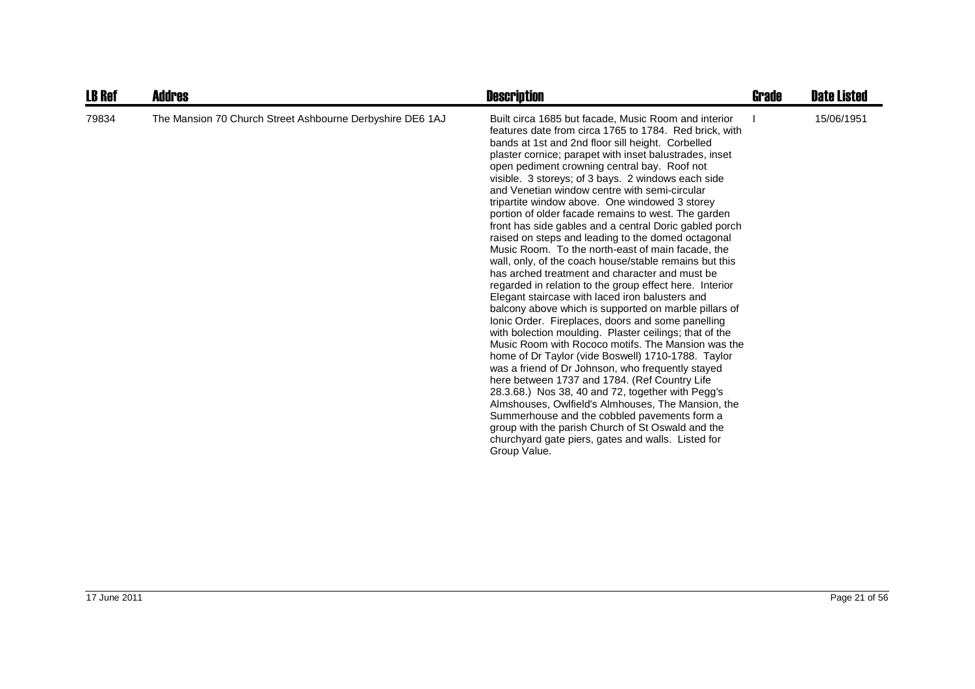| <b>LB Ref</b> | <b>Addres</b>                                             | <b>Description</b>                                                                                                                                                                                                                                                                                                                                                                                                                                                                                                                                                                                                                                                                                                                                                                                                                                                                                                                                                                                                                                                                                                                                                                                                                                                                                                                                                                                                                                                                                                                                                           | Grade | <b>Date Listed</b> |
|---------------|-----------------------------------------------------------|------------------------------------------------------------------------------------------------------------------------------------------------------------------------------------------------------------------------------------------------------------------------------------------------------------------------------------------------------------------------------------------------------------------------------------------------------------------------------------------------------------------------------------------------------------------------------------------------------------------------------------------------------------------------------------------------------------------------------------------------------------------------------------------------------------------------------------------------------------------------------------------------------------------------------------------------------------------------------------------------------------------------------------------------------------------------------------------------------------------------------------------------------------------------------------------------------------------------------------------------------------------------------------------------------------------------------------------------------------------------------------------------------------------------------------------------------------------------------------------------------------------------------------------------------------------------------|-------|--------------------|
| 79834         | The Mansion 70 Church Street Ashbourne Derbyshire DE6 1AJ | Built circa 1685 but facade, Music Room and interior<br>features date from circa 1765 to 1784. Red brick, with<br>bands at 1st and 2nd floor sill height. Corbelled<br>plaster cornice; parapet with inset balustrades, inset<br>open pediment crowning central bay. Roof not<br>visible. 3 storeys; of 3 bays. 2 windows each side<br>and Venetian window centre with semi-circular<br>tripartite window above. One windowed 3 storey<br>portion of older facade remains to west. The garden<br>front has side gables and a central Doric gabled porch<br>raised on steps and leading to the domed octagonal<br>Music Room. To the north-east of main facade, the<br>wall, only, of the coach house/stable remains but this<br>has arched treatment and character and must be<br>regarded in relation to the group effect here. Interior<br>Elegant staircase with laced iron balusters and<br>balcony above which is supported on marble pillars of<br>Ionic Order. Fireplaces, doors and some panelling<br>with bolection moulding. Plaster ceilings; that of the<br>Music Room with Rococo motifs. The Mansion was the<br>home of Dr Taylor (vide Boswell) 1710-1788. Taylor<br>was a friend of Dr Johnson, who frequently stayed<br>here between 1737 and 1784. (Ref Country Life<br>28.3.68.) Nos 38, 40 and 72, together with Pegg's<br>Almshouses, Owlfield's Almhouses, The Mansion, the<br>Summerhouse and the cobbled pavements form a<br>group with the parish Church of St Oswald and the<br>churchyard gate piers, gates and walls. Listed for<br>Group Value. |       | 15/06/1951         |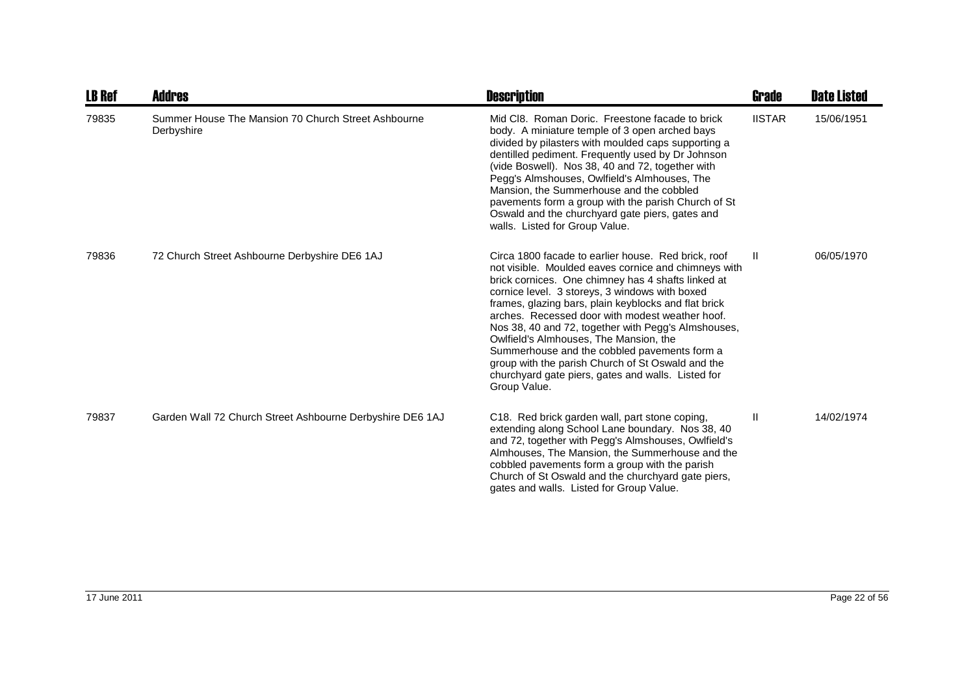| <b>LB Ref</b> | Addres                                                            | <b>Description</b>                                                                                                                                                                                                                                                                                                                                                                                                                                                                                                                                                                                         | Grade         | <b>Date Listed</b> |
|---------------|-------------------------------------------------------------------|------------------------------------------------------------------------------------------------------------------------------------------------------------------------------------------------------------------------------------------------------------------------------------------------------------------------------------------------------------------------------------------------------------------------------------------------------------------------------------------------------------------------------------------------------------------------------------------------------------|---------------|--------------------|
| 79835         | Summer House The Mansion 70 Church Street Ashbourne<br>Derbyshire | Mid CI8. Roman Doric. Freestone facade to brick<br>body. A miniature temple of 3 open arched bays<br>divided by pilasters with moulded caps supporting a<br>dentilled pediment. Frequently used by Dr Johnson<br>(vide Boswell). Nos 38, 40 and 72, together with<br>Pegg's Almshouses, Owlfield's Almhouses, The<br>Mansion, the Summerhouse and the cobbled<br>pavements form a group with the parish Church of St<br>Oswald and the churchyard gate piers, gates and<br>walls. Listed for Group Value.                                                                                                  | <b>IISTAR</b> | 15/06/1951         |
| 79836         | 72 Church Street Ashbourne Derbyshire DE6 1AJ                     | Circa 1800 facade to earlier house. Red brick, roof<br>not visible. Moulded eaves cornice and chimneys with<br>brick cornices. One chimney has 4 shafts linked at<br>cornice level. 3 storeys, 3 windows with boxed<br>frames, glazing bars, plain keyblocks and flat brick<br>arches. Recessed door with modest weather hoof.<br>Nos 38, 40 and 72, together with Pegg's Almshouses,<br>Owlfield's Almhouses, The Mansion, the<br>Summerhouse and the cobbled pavements form a<br>group with the parish Church of St Oswald and the<br>churchyard gate piers, gates and walls. Listed for<br>Group Value. | H.            | 06/05/1970         |
| 79837         | Garden Wall 72 Church Street Ashbourne Derbyshire DE6 1AJ         | C18. Red brick garden wall, part stone coping,<br>extending along School Lane boundary. Nos 38, 40<br>and 72, together with Pegg's Almshouses, Owlfield's<br>Almhouses, The Mansion, the Summerhouse and the<br>cobbled pavements form a group with the parish<br>Church of St Oswald and the churchyard gate piers,<br>gates and walls. Listed for Group Value.                                                                                                                                                                                                                                           | Ш             | 14/02/1974         |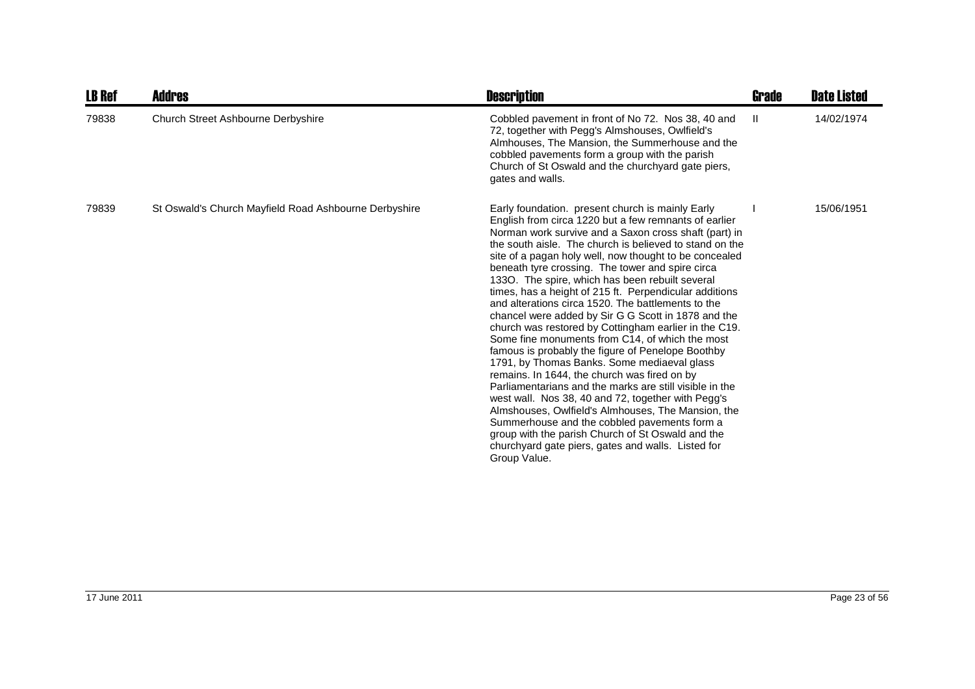| <b>LB Ref</b> | <b>Addres</b>                                         | <b>Description</b>                                                                                                                                                                                                                                                                                                                                                                                                                                                                                                                                                                                                                                                                                                                                                                                                                                                                                                                                                                                                                                                                                                                                                                      | Grade | <b>Date Listed</b> |
|---------------|-------------------------------------------------------|-----------------------------------------------------------------------------------------------------------------------------------------------------------------------------------------------------------------------------------------------------------------------------------------------------------------------------------------------------------------------------------------------------------------------------------------------------------------------------------------------------------------------------------------------------------------------------------------------------------------------------------------------------------------------------------------------------------------------------------------------------------------------------------------------------------------------------------------------------------------------------------------------------------------------------------------------------------------------------------------------------------------------------------------------------------------------------------------------------------------------------------------------------------------------------------------|-------|--------------------|
| 79838         | Church Street Ashbourne Derbyshire                    | Cobbled pavement in front of No 72. Nos 38, 40 and<br>72, together with Pegg's Almshouses, Owlfield's<br>Almhouses, The Mansion, the Summerhouse and the<br>cobbled pavements form a group with the parish<br>Church of St Oswald and the churchyard gate piers,<br>gates and walls.                                                                                                                                                                                                                                                                                                                                                                                                                                                                                                                                                                                                                                                                                                                                                                                                                                                                                                    | Ш     | 14/02/1974         |
| 79839         | St Oswald's Church Mayfield Road Ashbourne Derbyshire | Early foundation. present church is mainly Early<br>English from circa 1220 but a few remnants of earlier<br>Norman work survive and a Saxon cross shaft (part) in<br>the south aisle. The church is believed to stand on the<br>site of a pagan holy well, now thought to be concealed<br>beneath tyre crossing. The tower and spire circa<br>1330. The spire, which has been rebuilt several<br>times, has a height of 215 ft. Perpendicular additions<br>and alterations circa 1520. The battlements to the<br>chancel were added by Sir G G Scott in 1878 and the<br>church was restored by Cottingham earlier in the C19.<br>Some fine monuments from C14, of which the most<br>famous is probably the figure of Penelope Boothby<br>1791, by Thomas Banks. Some mediaeval glass<br>remains. In 1644, the church was fired on by<br>Parliamentarians and the marks are still visible in the<br>west wall. Nos 38, 40 and 72, together with Pegg's<br>Almshouses, Owlfield's Almhouses, The Mansion, the<br>Summerhouse and the cobbled pavements form a<br>group with the parish Church of St Oswald and the<br>churchyard gate piers, gates and walls. Listed for<br>Group Value. |       | 15/06/1951         |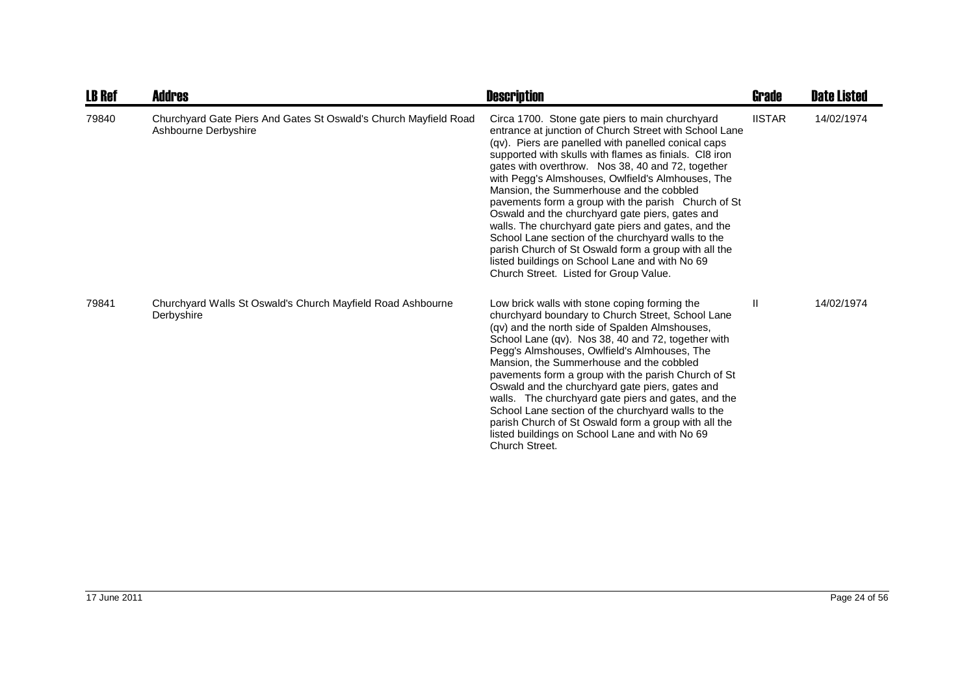| <b>LB Ref</b> | Addres                                                                                   | <b>Description</b>                                                                                                                                                                                                                                                                                                                                                                                                                                                                                                                                                                                                                                                                                                                                          | Grade         | <b>Date Listed</b> |
|---------------|------------------------------------------------------------------------------------------|-------------------------------------------------------------------------------------------------------------------------------------------------------------------------------------------------------------------------------------------------------------------------------------------------------------------------------------------------------------------------------------------------------------------------------------------------------------------------------------------------------------------------------------------------------------------------------------------------------------------------------------------------------------------------------------------------------------------------------------------------------------|---------------|--------------------|
| 79840         | Churchyard Gate Piers And Gates St Oswald's Church Mayfield Road<br>Ashbourne Derbyshire | Circa 1700. Stone gate piers to main churchyard<br>entrance at junction of Church Street with School Lane<br>(qv). Piers are panelled with panelled conical caps<br>supported with skulls with flames as finials. CI8 iron<br>gates with overthrow. Nos 38, 40 and 72, together<br>with Pegg's Almshouses, Owlfield's Almhouses, The<br>Mansion, the Summerhouse and the cobbled<br>pavements form a group with the parish Church of St<br>Oswald and the churchyard gate piers, gates and<br>walls. The churchyard gate piers and gates, and the<br>School Lane section of the churchyard walls to the<br>parish Church of St Oswald form a group with all the<br>listed buildings on School Lane and with No 69<br>Church Street. Listed for Group Value. | <b>IISTAR</b> | 14/02/1974         |
| 79841         | Churchyard Walls St Oswald's Church Mayfield Road Ashbourne<br>Derbyshire                | Low brick walls with stone coping forming the<br>churchyard boundary to Church Street, School Lane<br>(qv) and the north side of Spalden Almshouses,<br>School Lane (qv). Nos 38, 40 and 72, together with<br>Pegg's Almshouses, Owlfield's Almhouses, The<br>Mansion, the Summerhouse and the cobbled<br>pavements form a group with the parish Church of St<br>Oswald and the churchyard gate piers, gates and<br>walls. The churchyard gate piers and gates, and the<br>School Lane section of the churchyard walls to the<br>parish Church of St Oswald form a group with all the<br>listed buildings on School Lane and with No 69<br>Church Street.                                                                                                   | Ш             | 14/02/1974         |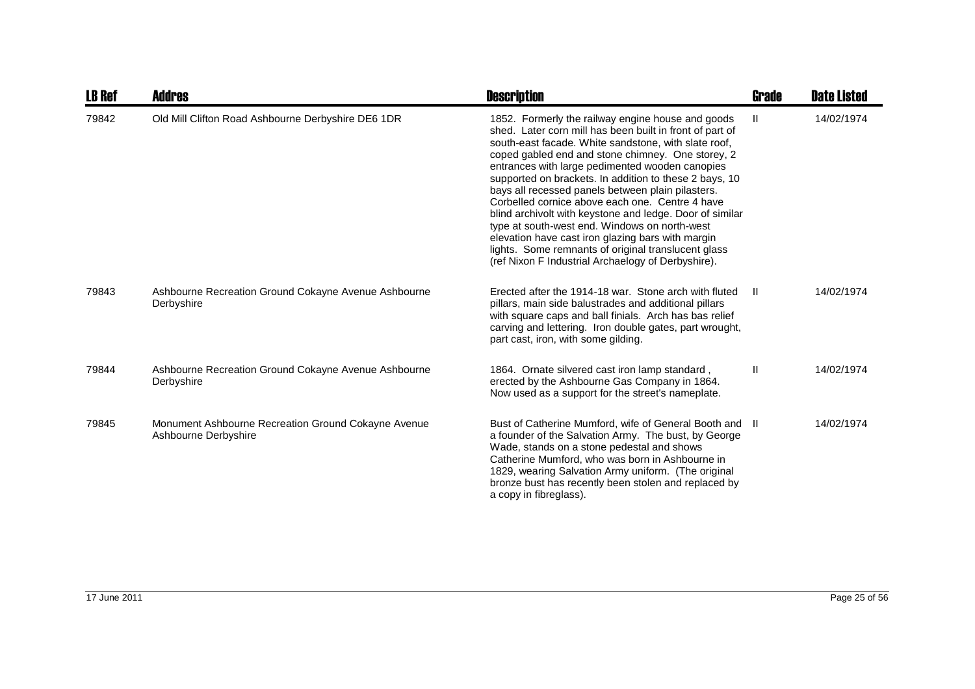| <b>LB Ref</b> | Addres                                                                      | <b>Description</b>                                                                                                                                                                                                                                                                                                                                                                                                                                                                                                                                                                                                                                                                                                             | Grade | <b>Date Listed</b> |
|---------------|-----------------------------------------------------------------------------|--------------------------------------------------------------------------------------------------------------------------------------------------------------------------------------------------------------------------------------------------------------------------------------------------------------------------------------------------------------------------------------------------------------------------------------------------------------------------------------------------------------------------------------------------------------------------------------------------------------------------------------------------------------------------------------------------------------------------------|-------|--------------------|
| 79842         | Old Mill Clifton Road Ashbourne Derbyshire DE6 1DR                          | 1852. Formerly the railway engine house and goods<br>shed. Later corn mill has been built in front of part of<br>south-east facade. White sandstone, with slate roof,<br>coped gabled end and stone chimney. One storey, 2<br>entrances with large pedimented wooden canopies<br>supported on brackets. In addition to these 2 bays, 10<br>bays all recessed panels between plain pilasters.<br>Corbelled cornice above each one. Centre 4 have<br>blind archivolt with keystone and ledge. Door of similar<br>type at south-west end. Windows on north-west<br>elevation have cast iron glazing bars with margin<br>lights. Some remnants of original translucent glass<br>(ref Nixon F Industrial Archaelogy of Derbyshire). | Ш     | 14/02/1974         |
| 79843         | Ashbourne Recreation Ground Cokayne Avenue Ashbourne<br>Derbyshire          | Erected after the 1914-18 war. Stone arch with fluted<br>pillars, main side balustrades and additional pillars<br>with square caps and ball finials. Arch has bas relief<br>carving and lettering. Iron double gates, part wrought,<br>part cast, iron, with some gilding.                                                                                                                                                                                                                                                                                                                                                                                                                                                     | H     | 14/02/1974         |
| 79844         | Ashbourne Recreation Ground Cokayne Avenue Ashbourne<br>Derbyshire          | 1864. Ornate silvered cast iron lamp standard,<br>erected by the Ashbourne Gas Company in 1864.<br>Now used as a support for the street's nameplate.                                                                                                                                                                                                                                                                                                                                                                                                                                                                                                                                                                           | Ш     | 14/02/1974         |
| 79845         | Monument Ashbourne Recreation Ground Cokayne Avenue<br>Ashbourne Derbyshire | Bust of Catherine Mumford, wife of General Booth and II<br>a founder of the Salvation Army. The bust, by George<br>Wade, stands on a stone pedestal and shows<br>Catherine Mumford, who was born in Ashbourne in<br>1829, wearing Salvation Army uniform. (The original<br>bronze bust has recently been stolen and replaced by<br>a copy in fibreglass).                                                                                                                                                                                                                                                                                                                                                                      |       | 14/02/1974         |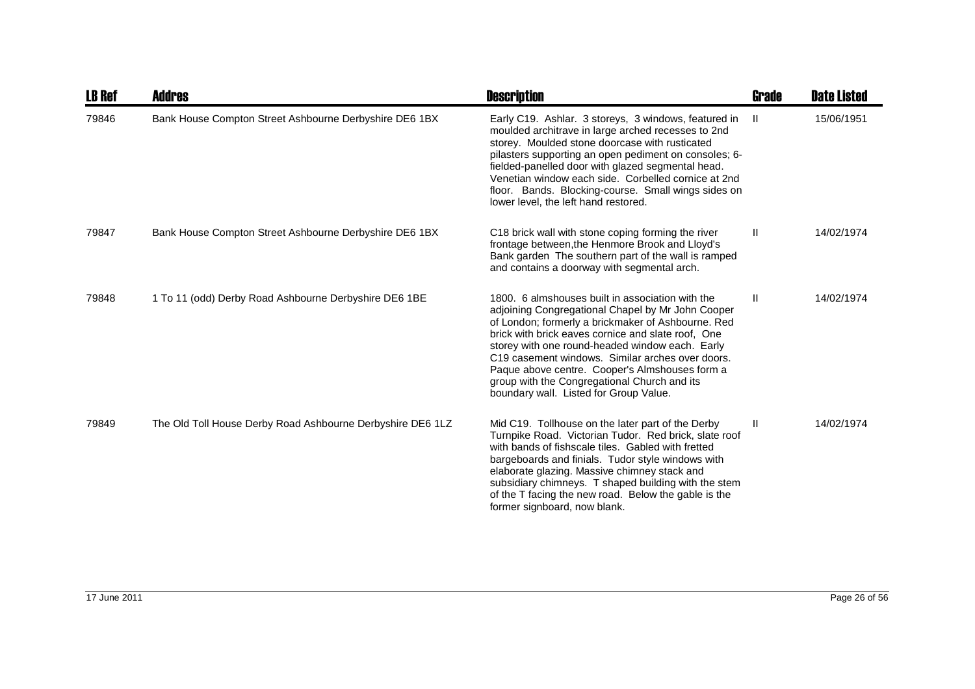| <b>LB Ref</b> | <b>Addres</b>                                              | <b>Description</b>                                                                                                                                                                                                                                                                                                                                                                                                                                                   | Grade        | <b>Date Listed</b> |
|---------------|------------------------------------------------------------|----------------------------------------------------------------------------------------------------------------------------------------------------------------------------------------------------------------------------------------------------------------------------------------------------------------------------------------------------------------------------------------------------------------------------------------------------------------------|--------------|--------------------|
| 79846         | Bank House Compton Street Ashbourne Derbyshire DE6 1BX     | Early C19. Ashlar. 3 storeys, 3 windows, featured in<br>moulded architrave in large arched recesses to 2nd<br>storey. Moulded stone doorcase with rusticated<br>pilasters supporting an open pediment on consoles; 6-<br>fielded-panelled door with glazed segmental head.<br>Venetian window each side. Corbelled cornice at 2nd<br>floor. Bands. Blocking-course. Small wings sides on<br>lower level, the left hand restored.                                     | $\mathbf{H}$ | 15/06/1951         |
| 79847         | Bank House Compton Street Ashbourne Derbyshire DE6 1BX     | C18 brick wall with stone coping forming the river<br>frontage between, the Henmore Brook and Lloyd's<br>Bank garden The southern part of the wall is ramped<br>and contains a doorway with segmental arch.                                                                                                                                                                                                                                                          | H.           | 14/02/1974         |
| 79848         | 1 To 11 (odd) Derby Road Ashbourne Derbyshire DE6 1BE      | 1800. 6 almshouses built in association with the<br>adjoining Congregational Chapel by Mr John Cooper<br>of London; formerly a brickmaker of Ashbourne. Red<br>brick with brick eaves cornice and slate roof, One<br>storey with one round-headed window each. Early<br>C19 casement windows. Similar arches over doors.<br>Paque above centre. Cooper's Almshouses form a<br>group with the Congregational Church and its<br>boundary wall. Listed for Group Value. | Ш.           | 14/02/1974         |
| 79849         | The Old Toll House Derby Road Ashbourne Derbyshire DE6 1LZ | Mid C19. Tollhouse on the later part of the Derby<br>Turnpike Road. Victorian Tudor. Red brick, slate roof<br>with bands of fishscale tiles. Gabled with fretted<br>bargeboards and finials. Tudor style windows with<br>elaborate glazing. Massive chimney stack and<br>subsidiary chimneys. T shaped building with the stem<br>of the T facing the new road. Below the gable is the<br>former signboard, now blank.                                                | Ш.           | 14/02/1974         |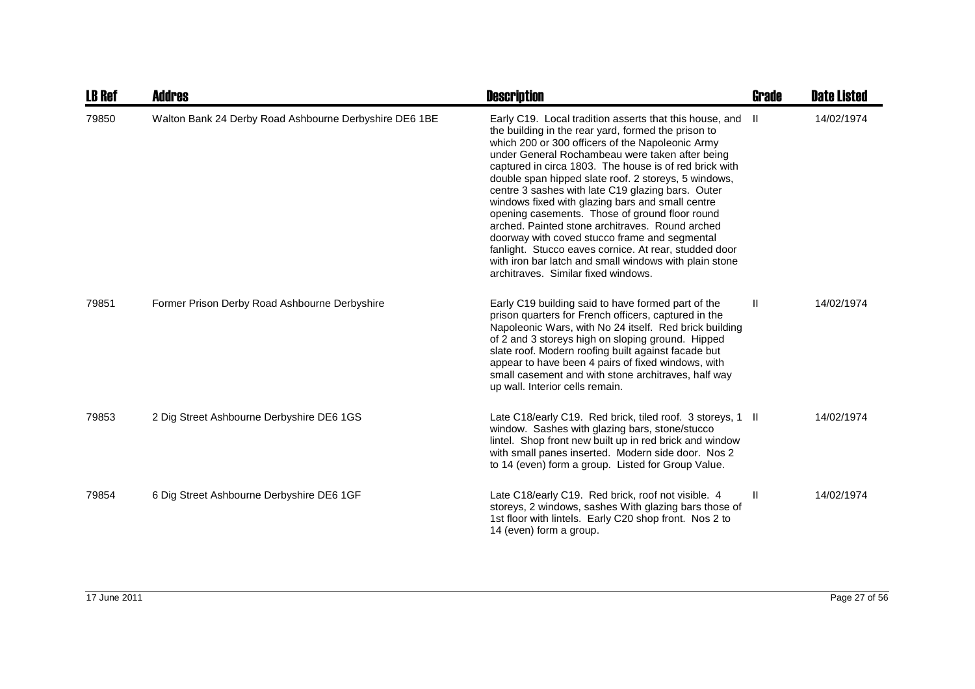| <b>LB Ref</b> | Addres                                                 | <b>Description</b>                                                                                                                                                                                                                                                                                                                                                                                                                                                                                                                                                                                                                                                                                                                                               | Grade        | <b>Date Listed</b> |
|---------------|--------------------------------------------------------|------------------------------------------------------------------------------------------------------------------------------------------------------------------------------------------------------------------------------------------------------------------------------------------------------------------------------------------------------------------------------------------------------------------------------------------------------------------------------------------------------------------------------------------------------------------------------------------------------------------------------------------------------------------------------------------------------------------------------------------------------------------|--------------|--------------------|
| 79850         | Walton Bank 24 Derby Road Ashbourne Derbyshire DE6 1BE | Early C19. Local tradition asserts that this house, and<br>the building in the rear yard, formed the prison to<br>which 200 or 300 officers of the Napoleonic Army<br>under General Rochambeau were taken after being<br>captured in circa 1803. The house is of red brick with<br>double span hipped slate roof. 2 storeys, 5 windows,<br>centre 3 sashes with late C19 glazing bars. Outer<br>windows fixed with glazing bars and small centre<br>opening casements. Those of ground floor round<br>arched. Painted stone architraves. Round arched<br>doorway with coved stucco frame and segmental<br>fanlight. Stucco eaves cornice. At rear, studded door<br>with iron bar latch and small windows with plain stone<br>architraves. Similar fixed windows. | H.           | 14/02/1974         |
| 79851         | Former Prison Derby Road Ashbourne Derbyshire          | Early C19 building said to have formed part of the<br>prison quarters for French officers, captured in the<br>Napoleonic Wars, with No 24 itself. Red brick building<br>of 2 and 3 storeys high on sloping ground. Hipped<br>slate roof. Modern roofing built against facade but<br>appear to have been 4 pairs of fixed windows, with<br>small casement and with stone architraves, half way<br>up wall. Interior cells remain.                                                                                                                                                                                                                                                                                                                                 | $\mathbf{H}$ | 14/02/1974         |
| 79853         | 2 Dig Street Ashbourne Derbyshire DE6 1GS              | Late C18/early C19. Red brick, tiled roof. 3 storeys, 1 II<br>window. Sashes with glazing bars, stone/stucco<br>lintel. Shop front new built up in red brick and window<br>with small panes inserted. Modern side door. Nos 2<br>to 14 (even) form a group. Listed for Group Value.                                                                                                                                                                                                                                                                                                                                                                                                                                                                              |              | 14/02/1974         |
| 79854         | 6 Dig Street Ashbourne Derbyshire DE6 1GF              | Late C18/early C19. Red brick, roof not visible. 4<br>storeys, 2 windows, sashes With glazing bars those of<br>1st floor with lintels. Early C20 shop front. Nos 2 to<br>14 (even) form a group.                                                                                                                                                                                                                                                                                                                                                                                                                                                                                                                                                                 | Ш            | 14/02/1974         |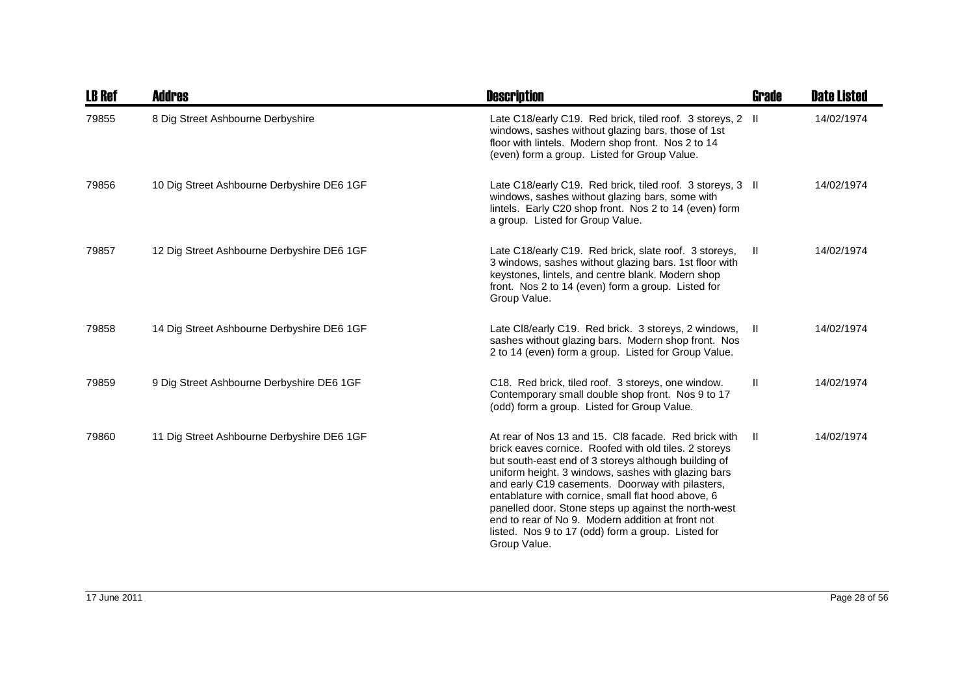| <b>LB Ref</b> | Addres                                     | <b>Description</b>                                                                                                                                                                                                                                                                                                                                                                                                                                                                                                        | Grade | <b>Date Listed</b> |
|---------------|--------------------------------------------|---------------------------------------------------------------------------------------------------------------------------------------------------------------------------------------------------------------------------------------------------------------------------------------------------------------------------------------------------------------------------------------------------------------------------------------------------------------------------------------------------------------------------|-------|--------------------|
| 79855         | 8 Dig Street Ashbourne Derbyshire          | Late C18/early C19. Red brick, tiled roof. 3 storeys, 2 II<br>windows, sashes without glazing bars, those of 1st<br>floor with lintels. Modern shop front. Nos 2 to 14<br>(even) form a group. Listed for Group Value.                                                                                                                                                                                                                                                                                                    |       | 14/02/1974         |
| 79856         | 10 Dig Street Ashbourne Derbyshire DE6 1GF | Late C18/early C19. Red brick, tiled roof. 3 storeys, 3 II<br>windows, sashes without glazing bars, some with<br>lintels. Early C20 shop front. Nos 2 to 14 (even) form<br>a group. Listed for Group Value.                                                                                                                                                                                                                                                                                                               |       | 14/02/1974         |
| 79857         | 12 Dig Street Ashbourne Derbyshire DE6 1GF | Late C18/early C19. Red brick, slate roof. 3 storeys,<br>3 windows, sashes without glazing bars. 1st floor with<br>keystones, lintels, and centre blank. Modern shop<br>front. Nos 2 to 14 (even) form a group. Listed for<br>Group Value.                                                                                                                                                                                                                                                                                | H.    | 14/02/1974         |
| 79858         | 14 Dig Street Ashbourne Derbyshire DE6 1GF | Late CI8/early C19. Red brick. 3 storeys, 2 windows,<br>sashes without glazing bars. Modern shop front. Nos<br>2 to 14 (even) form a group. Listed for Group Value.                                                                                                                                                                                                                                                                                                                                                       | - II  | 14/02/1974         |
| 79859         | 9 Dig Street Ashbourne Derbyshire DE6 1GF  | C18. Red brick, tiled roof. 3 storeys, one window.<br>Contemporary small double shop front. Nos 9 to 17<br>(odd) form a group. Listed for Group Value.                                                                                                                                                                                                                                                                                                                                                                    | Ш     | 14/02/1974         |
| 79860         | 11 Dig Street Ashbourne Derbyshire DE6 1GF | At rear of Nos 13 and 15. CI8 facade. Red brick with<br>brick eaves cornice. Roofed with old tiles. 2 storeys<br>but south-east end of 3 storeys although building of<br>uniform height. 3 windows, sashes with glazing bars<br>and early C19 casements. Doorway with pilasters,<br>entablature with cornice, small flat hood above, 6<br>panelled door. Stone steps up against the north-west<br>end to rear of No 9. Modern addition at front not<br>listed. Nos 9 to 17 (odd) form a group. Listed for<br>Group Value. | -II   | 14/02/1974         |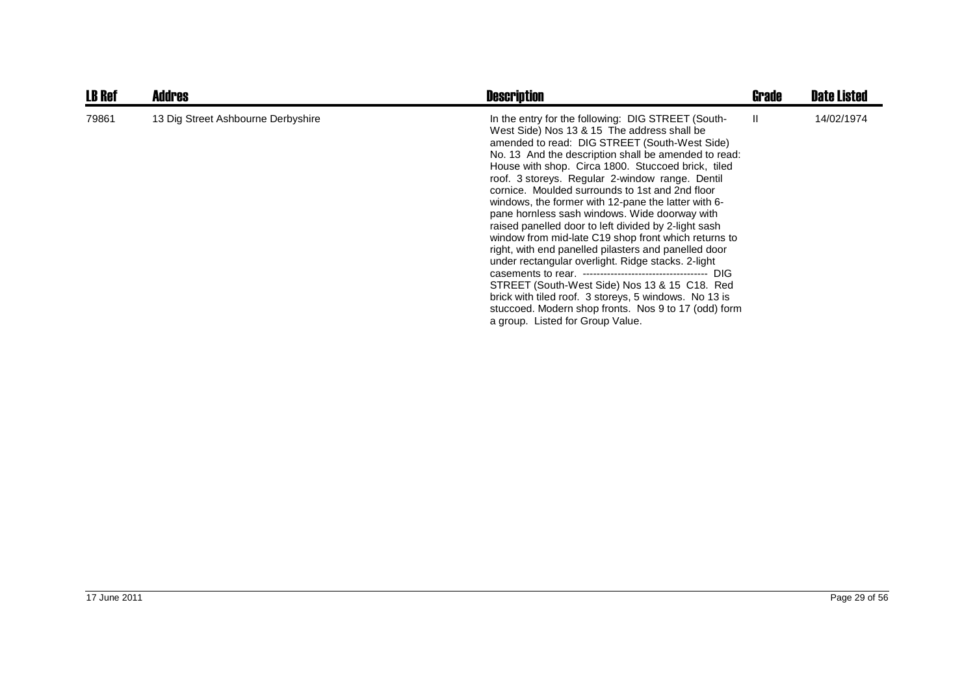| <b>LB Ref</b> | <b>Addres</b>                      | <b>Description</b>                                                                                                                                                                                                                                                                                                                                                                                                                                                                                                                                                                                                                                                                                                                                                                                                                                                                                                 | Grade | <b>Date Listed</b> |
|---------------|------------------------------------|--------------------------------------------------------------------------------------------------------------------------------------------------------------------------------------------------------------------------------------------------------------------------------------------------------------------------------------------------------------------------------------------------------------------------------------------------------------------------------------------------------------------------------------------------------------------------------------------------------------------------------------------------------------------------------------------------------------------------------------------------------------------------------------------------------------------------------------------------------------------------------------------------------------------|-------|--------------------|
| 79861         | 13 Dig Street Ashbourne Derbyshire | In the entry for the following: DIG STREET (South-<br>West Side) Nos 13 & 15 The address shall be<br>amended to read: DIG STREET (South-West Side)<br>No. 13 And the description shall be amended to read:<br>House with shop. Circa 1800. Stuccoed brick, tiled<br>roof. 3 storeys. Regular 2-window range. Dentil<br>cornice. Moulded surrounds to 1st and 2nd floor<br>windows, the former with 12-pane the latter with 6-<br>pane hornless sash windows. Wide doorway with<br>raised panelled door to left divided by 2-light sash<br>window from mid-late C19 shop front which returns to<br>right, with end panelled pilasters and panelled door<br>under rectangular overlight. Ridge stacks. 2-light<br>STREET (South-West Side) Nos 13 & 15 C18. Red<br>brick with tiled roof. 3 storeys, 5 windows. No 13 is<br>stuccoed. Modern shop fronts. Nos 9 to 17 (odd) form<br>a group. Listed for Group Value. | H.    | 14/02/1974         |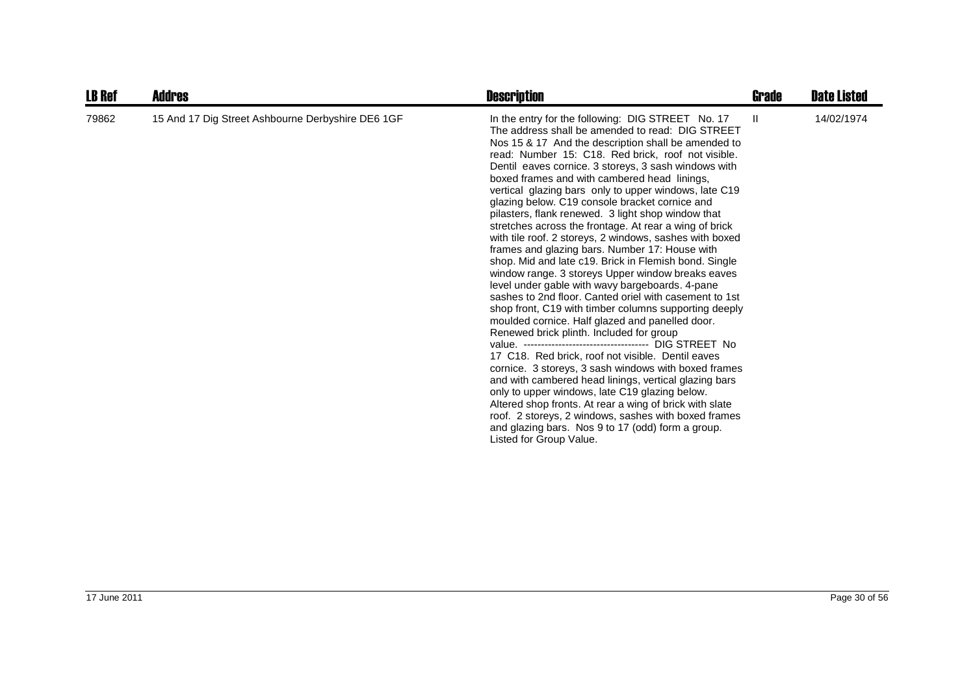| <b>LB Ref</b> | Addres                                            | <b>Description</b>                                                                                                                                                                                                                                                                                                                                                                                                                                                                                                                                                                                                                                                                                                                                                                                                                                                                                                                                                                                                                                                                                                                                                                                                                                                                                                                                                                                                                                                               | Grade        | <b>Date Listed</b> |
|---------------|---------------------------------------------------|----------------------------------------------------------------------------------------------------------------------------------------------------------------------------------------------------------------------------------------------------------------------------------------------------------------------------------------------------------------------------------------------------------------------------------------------------------------------------------------------------------------------------------------------------------------------------------------------------------------------------------------------------------------------------------------------------------------------------------------------------------------------------------------------------------------------------------------------------------------------------------------------------------------------------------------------------------------------------------------------------------------------------------------------------------------------------------------------------------------------------------------------------------------------------------------------------------------------------------------------------------------------------------------------------------------------------------------------------------------------------------------------------------------------------------------------------------------------------------|--------------|--------------------|
| 79862         | 15 And 17 Dig Street Ashbourne Derbyshire DE6 1GF | In the entry for the following: DIG STREET No. 17<br>The address shall be amended to read: DIG STREET<br>Nos 15 & 17 And the description shall be amended to<br>read: Number 15: C18. Red brick, roof not visible.<br>Dentil eaves cornice. 3 storeys, 3 sash windows with<br>boxed frames and with cambered head linings,<br>vertical glazing bars only to upper windows, late C19<br>glazing below. C19 console bracket cornice and<br>pilasters, flank renewed. 3 light shop window that<br>stretches across the frontage. At rear a wing of brick<br>with tile roof. 2 storeys, 2 windows, sashes with boxed<br>frames and glazing bars. Number 17: House with<br>shop. Mid and late c19. Brick in Flemish bond. Single<br>window range. 3 storeys Upper window breaks eaves<br>level under gable with wavy bargeboards. 4-pane<br>sashes to 2nd floor. Canted oriel with casement to 1st<br>shop front, C19 with timber columns supporting deeply<br>moulded cornice. Half glazed and panelled door.<br>Renewed brick plinth. Included for group<br>17 C18. Red brick, roof not visible. Dentil eaves<br>cornice. 3 storeys, 3 sash windows with boxed frames<br>and with cambered head linings, vertical glazing bars<br>only to upper windows, late C19 glazing below.<br>Altered shop fronts. At rear a wing of brick with slate<br>roof. 2 storeys, 2 windows, sashes with boxed frames<br>and glazing bars. Nos 9 to 17 (odd) form a group.<br>Listed for Group Value. | $\mathbf{H}$ | 14/02/1974         |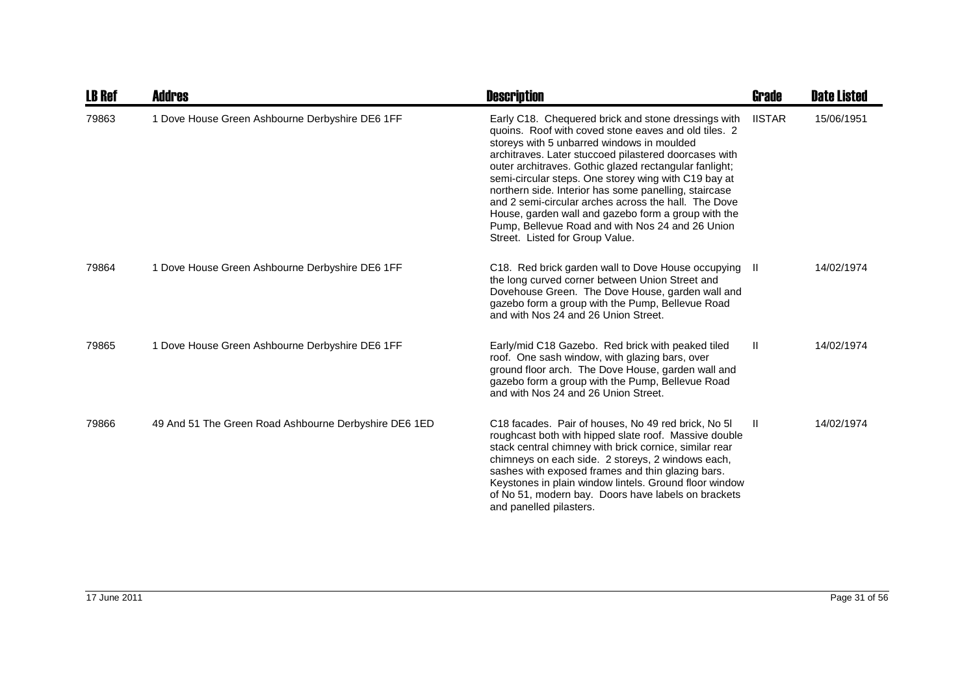| <b>LB Ref</b> | Addres                                                | <b>Description</b>                                                                                                                                                                                                                                                                                                                                                                                                                                                                                                                                                                                  | Grade         | <b>Date Listed</b> |
|---------------|-------------------------------------------------------|-----------------------------------------------------------------------------------------------------------------------------------------------------------------------------------------------------------------------------------------------------------------------------------------------------------------------------------------------------------------------------------------------------------------------------------------------------------------------------------------------------------------------------------------------------------------------------------------------------|---------------|--------------------|
| 79863         | 1 Dove House Green Ashbourne Derbyshire DE6 1FF       | Early C18. Chequered brick and stone dressings with<br>quoins. Roof with coved stone eaves and old tiles. 2<br>storeys with 5 unbarred windows in moulded<br>architraves. Later stuccoed pilastered doorcases with<br>outer architraves. Gothic glazed rectangular fanlight;<br>semi-circular steps. One storey wing with C19 bay at<br>northern side. Interior has some panelling, staircase<br>and 2 semi-circular arches across the hall. The Dove<br>House, garden wall and gazebo form a group with the<br>Pump, Bellevue Road and with Nos 24 and 26 Union<br>Street. Listed for Group Value. | <b>IISTAR</b> | 15/06/1951         |
| 79864         | 1 Dove House Green Ashbourne Derbyshire DE6 1FF       | C18. Red brick garden wall to Dove House occupying<br>the long curved corner between Union Street and<br>Dovehouse Green. The Dove House, garden wall and<br>gazebo form a group with the Pump, Bellevue Road<br>and with Nos 24 and 26 Union Street.                                                                                                                                                                                                                                                                                                                                               | -II.          | 14/02/1974         |
| 79865         | 1 Dove House Green Ashbourne Derbyshire DE6 1FF       | Early/mid C18 Gazebo. Red brick with peaked tiled<br>roof. One sash window, with glazing bars, over<br>ground floor arch. The Dove House, garden wall and<br>gazebo form a group with the Pump, Bellevue Road<br>and with Nos 24 and 26 Union Street.                                                                                                                                                                                                                                                                                                                                               | $\mathbf{H}$  | 14/02/1974         |
| 79866         | 49 And 51 The Green Road Ashbourne Derbyshire DE6 1ED | C18 facades. Pair of houses, No 49 red brick, No 51<br>roughcast both with hipped slate roof. Massive double<br>stack central chimney with brick cornice, similar rear<br>chimneys on each side. 2 storeys, 2 windows each,<br>sashes with exposed frames and thin glazing bars.<br>Keystones in plain window lintels. Ground floor window<br>of No 51, modern bay. Doors have labels on brackets<br>and panelled pilasters.                                                                                                                                                                        | Ш.            | 14/02/1974         |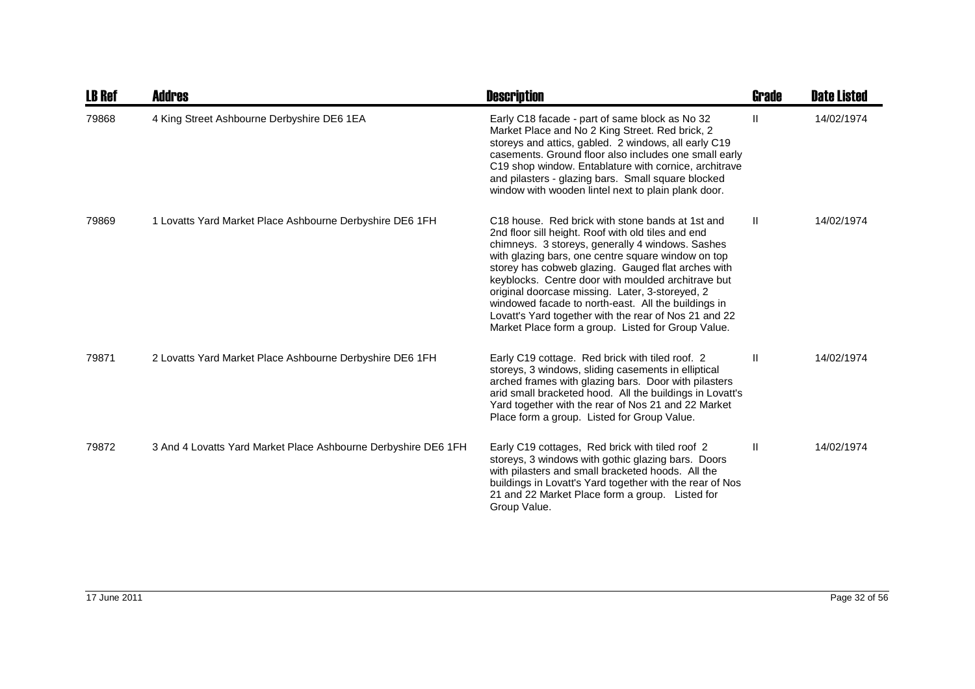| <b>LB Ref</b> | <b>Addres</b>                                                  | <b>Description</b>                                                                                                                                                                                                                                                                                                                                                                                                                                                                                                                                    | Grade         | <b>Date Listed</b> |
|---------------|----------------------------------------------------------------|-------------------------------------------------------------------------------------------------------------------------------------------------------------------------------------------------------------------------------------------------------------------------------------------------------------------------------------------------------------------------------------------------------------------------------------------------------------------------------------------------------------------------------------------------------|---------------|--------------------|
| 79868         | 4 King Street Ashbourne Derbyshire DE6 1EA                     | Early C18 facade - part of same block as No 32<br>Market Place and No 2 King Street. Red brick, 2<br>storeys and attics, gabled. 2 windows, all early C19<br>casements. Ground floor also includes one small early<br>C19 shop window. Entablature with cornice, architrave<br>and pilasters - glazing bars. Small square blocked<br>window with wooden lintel next to plain plank door.                                                                                                                                                              | Ш             | 14/02/1974         |
| 79869         | 1 Lovatts Yard Market Place Ashbourne Derbyshire DE6 1FH       | C18 house. Red brick with stone bands at 1st and<br>2nd floor sill height. Roof with old tiles and end<br>chimneys. 3 storeys, generally 4 windows. Sashes<br>with glazing bars, one centre square window on top<br>storey has cobweb glazing. Gauged flat arches with<br>keyblocks. Centre door with moulded architrave but<br>original doorcase missing. Later, 3-storeyed, 2<br>windowed facade to north-east. All the buildings in<br>Lovatt's Yard together with the rear of Nos 21 and 22<br>Market Place form a group. Listed for Group Value. | $\mathbf{II}$ | 14/02/1974         |
| 79871         | 2 Lovatts Yard Market Place Ashbourne Derbyshire DE6 1FH       | Early C19 cottage. Red brick with tiled roof. 2<br>storeys, 3 windows, sliding casements in elliptical<br>arched frames with glazing bars. Door with pilasters<br>arid small bracketed hood. All the buildings in Lovatt's<br>Yard together with the rear of Nos 21 and 22 Market<br>Place form a group. Listed for Group Value.                                                                                                                                                                                                                      | Ш             | 14/02/1974         |
| 79872         | 3 And 4 Lovatts Yard Market Place Ashbourne Derbyshire DE6 1FH | Early C19 cottages, Red brick with tiled roof 2<br>storeys, 3 windows with gothic glazing bars. Doors<br>with pilasters and small bracketed hoods. All the<br>buildings in Lovatt's Yard together with the rear of Nos<br>21 and 22 Market Place form a group. Listed for<br>Group Value.                                                                                                                                                                                                                                                             | Ш             | 14/02/1974         |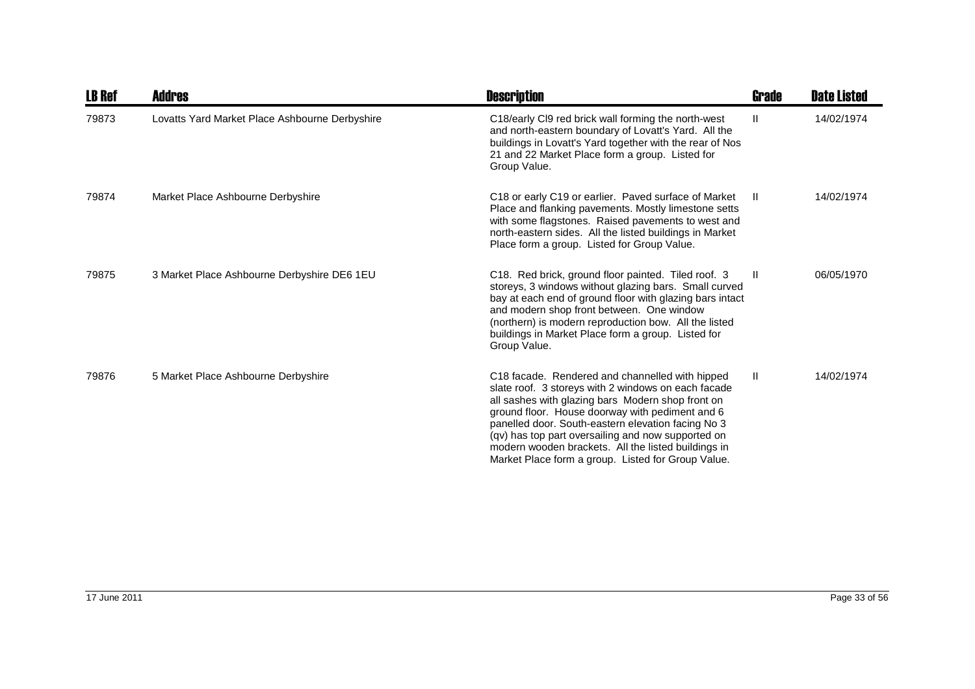| <b>LB Ref</b> | <b>Addres</b>                                  | <b>Description</b>                                                                                                                                                                                                                                                                                                                                                                                                                                  | Grade        | <b>Date Listed</b> |
|---------------|------------------------------------------------|-----------------------------------------------------------------------------------------------------------------------------------------------------------------------------------------------------------------------------------------------------------------------------------------------------------------------------------------------------------------------------------------------------------------------------------------------------|--------------|--------------------|
| 79873         | Lovatts Yard Market Place Ashbourne Derbyshire | C18/early CI9 red brick wall forming the north-west<br>and north-eastern boundary of Lovatt's Yard. All the<br>buildings in Lovatt's Yard together with the rear of Nos<br>21 and 22 Market Place form a group. Listed for<br>Group Value.                                                                                                                                                                                                          | $\mathbf{H}$ | 14/02/1974         |
| 79874         | Market Place Ashbourne Derbyshire              | C18 or early C19 or earlier. Paved surface of Market<br>Place and flanking pavements. Mostly limestone setts<br>with some flagstones. Raised pavements to west and<br>north-eastern sides. All the listed buildings in Market<br>Place form a group. Listed for Group Value.                                                                                                                                                                        | - 11         | 14/02/1974         |
| 79875         | 3 Market Place Ashbourne Derbyshire DE6 1EU    | C18. Red brick, ground floor painted. Tiled roof. 3<br>storeys, 3 windows without glazing bars. Small curved<br>bay at each end of ground floor with glazing bars intact<br>and modern shop front between. One window<br>(northern) is modern reproduction bow. All the listed<br>buildings in Market Place form a group. Listed for<br>Group Value.                                                                                                | -H.          | 06/05/1970         |
| 79876         | 5 Market Place Ashbourne Derbyshire            | C <sub>18</sub> facade. Rendered and channelled with hipped<br>slate roof. 3 storeys with 2 windows on each facade<br>all sashes with glazing bars Modern shop front on<br>ground floor. House doorway with pediment and 6<br>panelled door. South-eastern elevation facing No 3<br>(qv) has top part oversailing and now supported on<br>modern wooden brackets. All the listed buildings in<br>Market Place form a group. Listed for Group Value. | $\mathbf{H}$ | 14/02/1974         |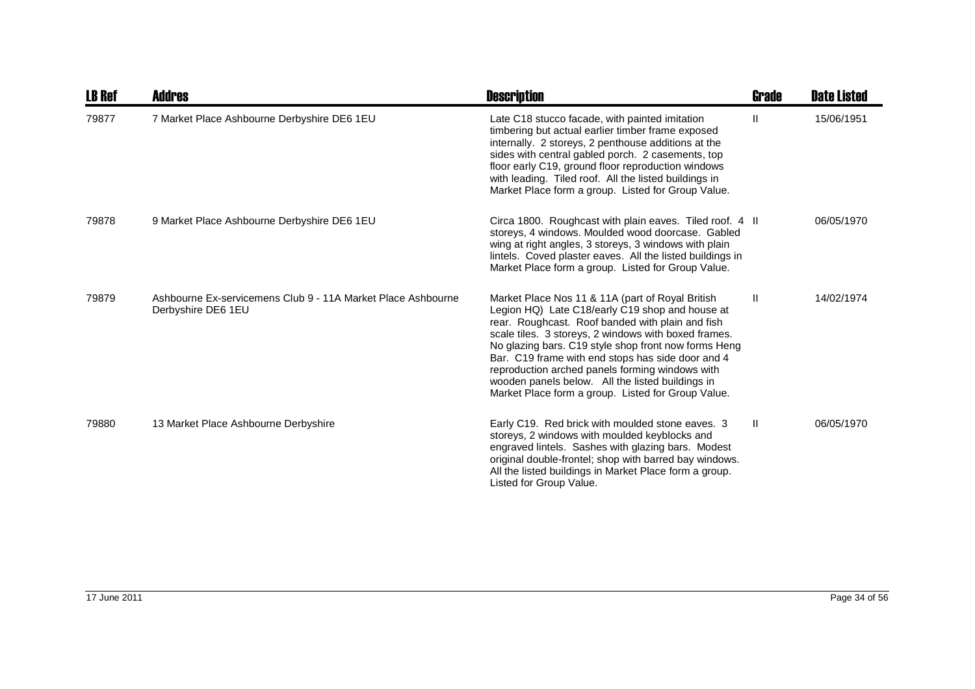| <b>LB Ref</b> | <b>Addres</b>                                                                      | <b>Description</b>                                                                                                                                                                                                                                                                                                                                                                                                                                                                        | Grade        | <b>Date Listed</b> |
|---------------|------------------------------------------------------------------------------------|-------------------------------------------------------------------------------------------------------------------------------------------------------------------------------------------------------------------------------------------------------------------------------------------------------------------------------------------------------------------------------------------------------------------------------------------------------------------------------------------|--------------|--------------------|
| 79877         | 7 Market Place Ashbourne Derbyshire DE6 1EU                                        | Late C18 stucco facade, with painted imitation<br>timbering but actual earlier timber frame exposed<br>internally. 2 storeys, 2 penthouse additions at the<br>sides with central gabled porch. 2 casements, top<br>floor early C19, ground floor reproduction windows<br>with leading. Tiled roof. All the listed buildings in<br>Market Place form a group. Listed for Group Value.                                                                                                      | Ш            | 15/06/1951         |
| 79878         | 9 Market Place Ashbourne Derbyshire DE6 1EU                                        | Circa 1800. Roughcast with plain eaves. Tiled roof. 4 II<br>storeys, 4 windows. Moulded wood doorcase. Gabled<br>wing at right angles, 3 storeys, 3 windows with plain<br>lintels. Coved plaster eaves. All the listed buildings in<br>Market Place form a group. Listed for Group Value.                                                                                                                                                                                                 |              | 06/05/1970         |
| 79879         | Ashbourne Ex-servicemens Club 9 - 11A Market Place Ashbourne<br>Derbyshire DE6 1EU | Market Place Nos 11 & 11A (part of Royal British<br>Legion HQ) Late C18/early C19 shop and house at<br>rear. Roughcast. Roof banded with plain and fish<br>scale tiles. 3 storeys, 2 windows with boxed frames.<br>No glazing bars. C19 style shop front now forms Heng<br>Bar. C19 frame with end stops has side door and 4<br>reproduction arched panels forming windows with<br>wooden panels below. All the listed buildings in<br>Market Place form a group. Listed for Group Value. | $\mathbf{H}$ | 14/02/1974         |
| 79880         | 13 Market Place Ashbourne Derbyshire                                               | Early C19. Red brick with moulded stone eaves. 3<br>storeys, 2 windows with moulded keyblocks and<br>engraved lintels. Sashes with glazing bars. Modest<br>original double-frontel; shop with barred bay windows.<br>All the listed buildings in Market Place form a group.<br>Listed for Group Value.                                                                                                                                                                                    | $\mathbf{H}$ | 06/05/1970         |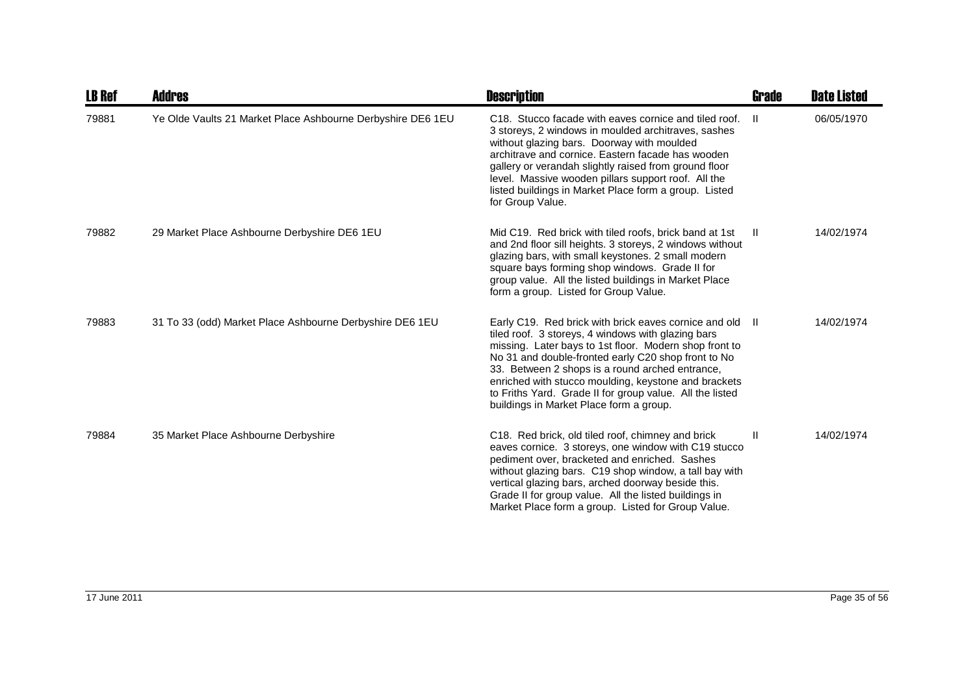| <b>LB Ref</b> | <b>Addres</b>                                               | <b>Description</b>                                                                                                                                                                                                                                                                                                                                                                                                                                | Grade | <b>Date Listed</b> |
|---------------|-------------------------------------------------------------|---------------------------------------------------------------------------------------------------------------------------------------------------------------------------------------------------------------------------------------------------------------------------------------------------------------------------------------------------------------------------------------------------------------------------------------------------|-------|--------------------|
| 79881         | Ye Olde Vaults 21 Market Place Ashbourne Derbyshire DE6 1EU | C18. Stucco facade with eaves cornice and tiled roof.<br>3 storeys, 2 windows in moulded architraves, sashes<br>without glazing bars. Doorway with moulded<br>architrave and cornice. Eastern facade has wooden<br>gallery or verandah slightly raised from ground floor<br>level. Massive wooden pillars support roof. All the<br>listed buildings in Market Place form a group. Listed<br>for Group Value.                                      | H.    | 06/05/1970         |
| 79882         | 29 Market Place Ashbourne Derbyshire DE6 1EU                | Mid C19. Red brick with tiled roofs, brick band at 1st<br>and 2nd floor sill heights. 3 storeys, 2 windows without<br>glazing bars, with small keystones. 2 small modern<br>square bays forming shop windows. Grade II for<br>group value. All the listed buildings in Market Place<br>form a group. Listed for Group Value.                                                                                                                      | H.    | 14/02/1974         |
| 79883         | 31 To 33 (odd) Market Place Ashbourne Derbyshire DE6 1EU    | Early C19. Red brick with brick eaves cornice and old II<br>tiled roof. 3 storeys, 4 windows with glazing bars<br>missing. Later bays to 1st floor. Modern shop front to<br>No 31 and double-fronted early C20 shop front to No<br>33. Between 2 shops is a round arched entrance,<br>enriched with stucco moulding, keystone and brackets<br>to Friths Yard. Grade II for group value. All the listed<br>buildings in Market Place form a group. |       | 14/02/1974         |
| 79884         | 35 Market Place Ashbourne Derbyshire                        | C18. Red brick, old tiled roof, chimney and brick<br>eaves cornice. 3 storeys, one window with C19 stucco<br>pediment over, bracketed and enriched. Sashes<br>without glazing bars. C19 shop window, a tall bay with<br>vertical glazing bars, arched doorway beside this.<br>Grade II for group value. All the listed buildings in<br>Market Place form a group. Listed for Group Value.                                                         | Ш     | 14/02/1974         |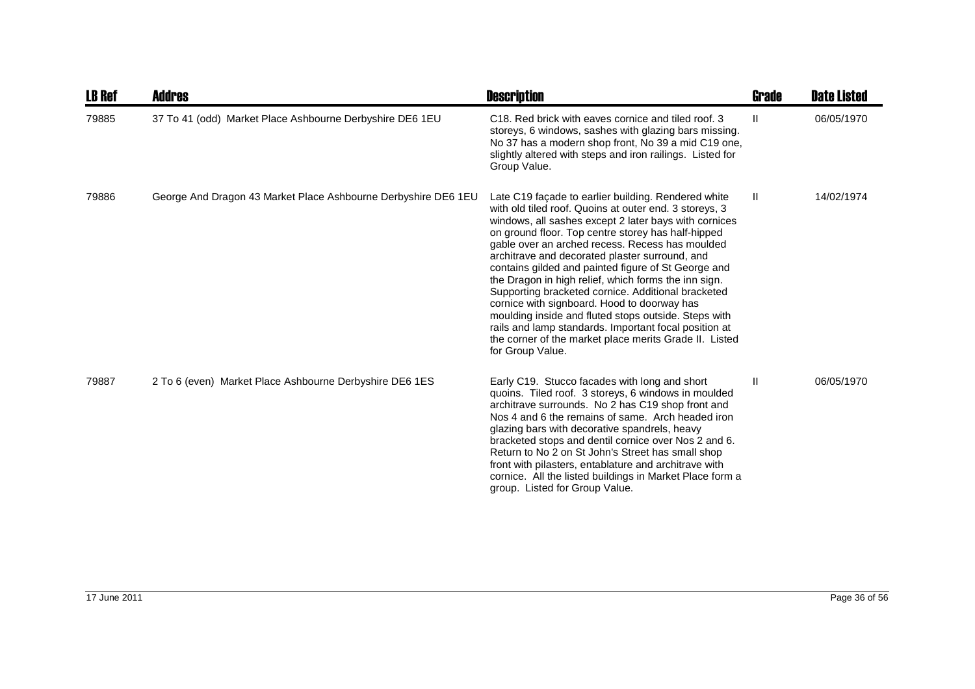| <b>LB Ref</b> | <b>Addres</b>                                                  | <b>Description</b>                                                                                                                                                                                                                                                                                                                                                                                                                                                                                                                                                                                                                                                                                                                                   | Grade        | <b>Date Listed</b> |
|---------------|----------------------------------------------------------------|------------------------------------------------------------------------------------------------------------------------------------------------------------------------------------------------------------------------------------------------------------------------------------------------------------------------------------------------------------------------------------------------------------------------------------------------------------------------------------------------------------------------------------------------------------------------------------------------------------------------------------------------------------------------------------------------------------------------------------------------------|--------------|--------------------|
| 79885         | 37 To 41 (odd) Market Place Ashbourne Derbyshire DE6 1EU       | C18. Red brick with eaves cornice and tiled roof. 3<br>storeys, 6 windows, sashes with glazing bars missing.<br>No 37 has a modern shop front, No 39 a mid C19 one,<br>slightly altered with steps and iron railings. Listed for<br>Group Value.                                                                                                                                                                                                                                                                                                                                                                                                                                                                                                     | Ш            | 06/05/1970         |
| 79886         | George And Dragon 43 Market Place Ashbourne Derbyshire DE6 1EU | Late C19 façade to earlier building. Rendered white<br>with old tiled roof. Quoins at outer end. 3 storeys, 3<br>windows, all sashes except 2 later bays with cornices<br>on ground floor. Top centre storey has half-hipped<br>gable over an arched recess. Recess has moulded<br>architrave and decorated plaster surround, and<br>contains gilded and painted figure of St George and<br>the Dragon in high relief, which forms the inn sign.<br>Supporting bracketed cornice. Additional bracketed<br>cornice with signboard. Hood to doorway has<br>moulding inside and fluted stops outside. Steps with<br>rails and lamp standards. Important focal position at<br>the corner of the market place merits Grade II. Listed<br>for Group Value. | Ш            | 14/02/1974         |
| 79887         | 2 To 6 (even) Market Place Ashbourne Derbyshire DE6 1ES        | Early C19. Stucco facades with long and short<br>quoins. Tiled roof. 3 storeys, 6 windows in moulded<br>architrave surrounds. No 2 has C19 shop front and<br>Nos 4 and 6 the remains of same. Arch headed iron<br>glazing bars with decorative spandrels, heavy<br>bracketed stops and dentil cornice over Nos 2 and 6.<br>Return to No 2 on St John's Street has small shop<br>front with pilasters, entablature and architrave with<br>cornice. All the listed buildings in Market Place form a<br>group. Listed for Group Value.                                                                                                                                                                                                                  | $\mathbf{I}$ | 06/05/1970         |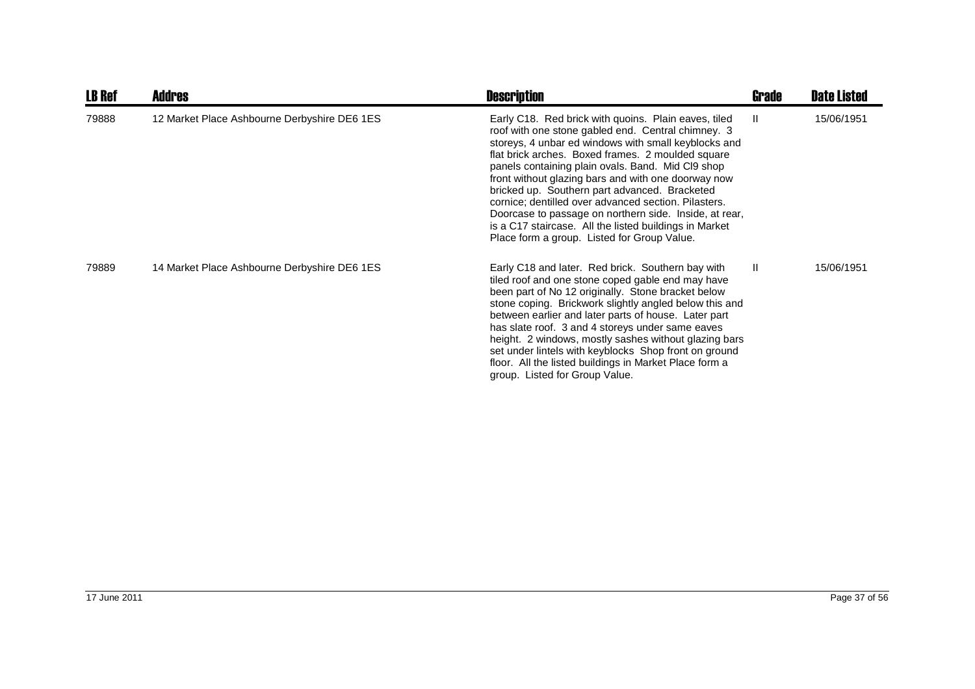| <b>LB Ref</b> | <b>Addres</b>                                | <b>Description</b>                                                                                                                                                                                                                                                                                                                                                                                                                                                                                                                                                                                              | Grade        | <b>Date Listed</b> |
|---------------|----------------------------------------------|-----------------------------------------------------------------------------------------------------------------------------------------------------------------------------------------------------------------------------------------------------------------------------------------------------------------------------------------------------------------------------------------------------------------------------------------------------------------------------------------------------------------------------------------------------------------------------------------------------------------|--------------|--------------------|
| 79888         | 12 Market Place Ashbourne Derbyshire DE6 1ES | Early C18. Red brick with quoins. Plain eaves, tiled<br>roof with one stone gabled end. Central chimney. 3<br>storeys, 4 unbar ed windows with small keyblocks and<br>flat brick arches. Boxed frames. 2 moulded square<br>panels containing plain ovals. Band. Mid Cl9 shop<br>front without glazing bars and with one doorway now<br>bricked up. Southern part advanced. Bracketed<br>cornice; dentilled over advanced section. Pilasters.<br>Doorcase to passage on northern side. Inside, at rear,<br>is a C17 staircase. All the listed buildings in Market<br>Place form a group. Listed for Group Value. | $\mathbf{H}$ | 15/06/1951         |
| 79889         | 14 Market Place Ashbourne Derbyshire DE6 1ES | Early C18 and later. Red brick. Southern bay with<br>tiled roof and one stone coped gable end may have<br>been part of No 12 originally. Stone bracket below<br>stone coping. Brickwork slightly angled below this and<br>between earlier and later parts of house. Later part<br>has slate roof. 3 and 4 storeys under same eaves<br>height. 2 windows, mostly sashes without glazing bars<br>set under lintels with keyblocks Shop front on ground<br>floor. All the listed buildings in Market Place form a<br>group. Listed for Group Value.                                                                | $\mathbf{H}$ | 15/06/1951         |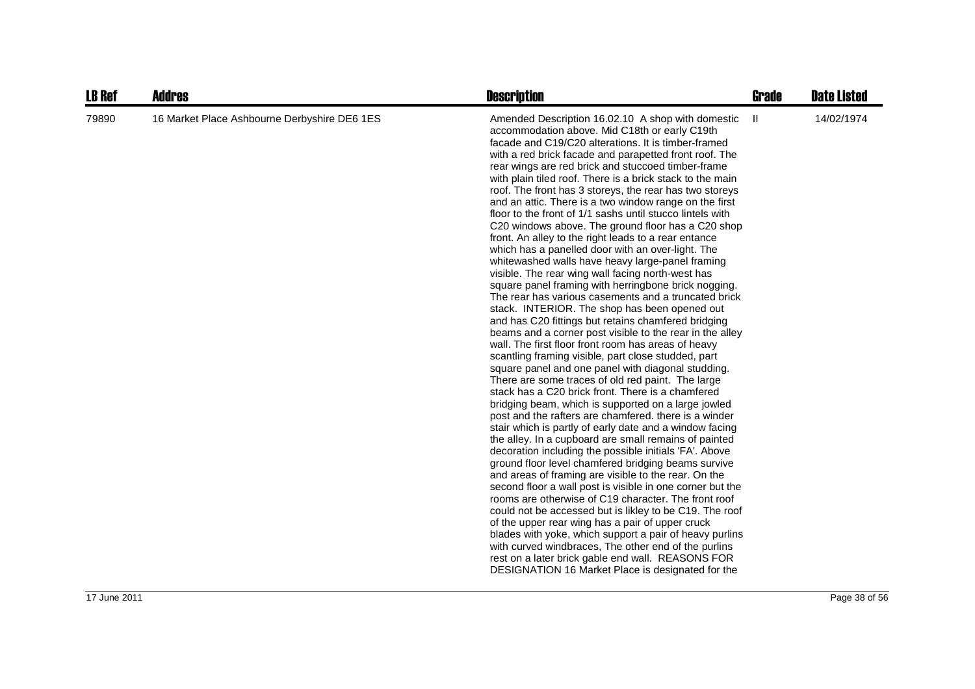| <b>LB Ref</b> | <b>Addres</b>                                | <b>Description</b>                                                                                                                                                                                                                                                                                                                                                                                                                                                                                                                                                                                                                                                                                                                                                                                                                                                                                                                                                                                                                                                                                                                                                                                                                                                                                                                                                                                                                                                                                                                                                                                                                                                                                                                                                                                                                                                                                                                                                                                                                                                                                                                                                                                                                                   | <b>Grade</b> | <b>Date Listed</b> |
|---------------|----------------------------------------------|------------------------------------------------------------------------------------------------------------------------------------------------------------------------------------------------------------------------------------------------------------------------------------------------------------------------------------------------------------------------------------------------------------------------------------------------------------------------------------------------------------------------------------------------------------------------------------------------------------------------------------------------------------------------------------------------------------------------------------------------------------------------------------------------------------------------------------------------------------------------------------------------------------------------------------------------------------------------------------------------------------------------------------------------------------------------------------------------------------------------------------------------------------------------------------------------------------------------------------------------------------------------------------------------------------------------------------------------------------------------------------------------------------------------------------------------------------------------------------------------------------------------------------------------------------------------------------------------------------------------------------------------------------------------------------------------------------------------------------------------------------------------------------------------------------------------------------------------------------------------------------------------------------------------------------------------------------------------------------------------------------------------------------------------------------------------------------------------------------------------------------------------------------------------------------------------------------------------------------------------------|--------------|--------------------|
| 79890         | 16 Market Place Ashbourne Derbyshire DE6 1ES | Amended Description 16.02.10 A shop with domestic<br>accommodation above. Mid C18th or early C19th<br>facade and C19/C20 alterations. It is timber-framed<br>with a red brick facade and parapetted front roof. The<br>rear wings are red brick and stuccoed timber-frame<br>with plain tiled roof. There is a brick stack to the main<br>roof. The front has 3 storeys, the rear has two storeys<br>and an attic. There is a two window range on the first<br>floor to the front of 1/1 sashs until stucco lintels with<br>C20 windows above. The ground floor has a C20 shop<br>front. An alley to the right leads to a rear entance<br>which has a panelled door with an over-light. The<br>whitewashed walls have heavy large-panel framing<br>visible. The rear wing wall facing north-west has<br>square panel framing with herringbone brick nogging.<br>The rear has various casements and a truncated brick<br>stack. INTERIOR. The shop has been opened out<br>and has C20 fittings but retains chamfered bridging<br>beams and a corner post visible to the rear in the alley<br>wall. The first floor front room has areas of heavy<br>scantling framing visible, part close studded, part<br>square panel and one panel with diagonal studding.<br>There are some traces of old red paint. The large<br>stack has a C20 brick front. There is a chamfered<br>bridging beam, which is supported on a large jowled<br>post and the rafters are chamfered, there is a winder<br>stair which is partly of early date and a window facing<br>the alley. In a cupboard are small remains of painted<br>decoration including the possible initials 'FA'. Above<br>ground floor level chamfered bridging beams survive<br>and areas of framing are visible to the rear. On the<br>second floor a wall post is visible in one corner but the<br>rooms are otherwise of C19 character. The front roof<br>could not be accessed but is likley to be C19. The roof<br>of the upper rear wing has a pair of upper cruck<br>blades with yoke, which support a pair of heavy purlins<br>with curved windbraces, The other end of the purlins<br>rest on a later brick gable end wall. REASONS FOR<br>DESIGNATION 16 Market Place is designated for the | Ш            | 14/02/1974         |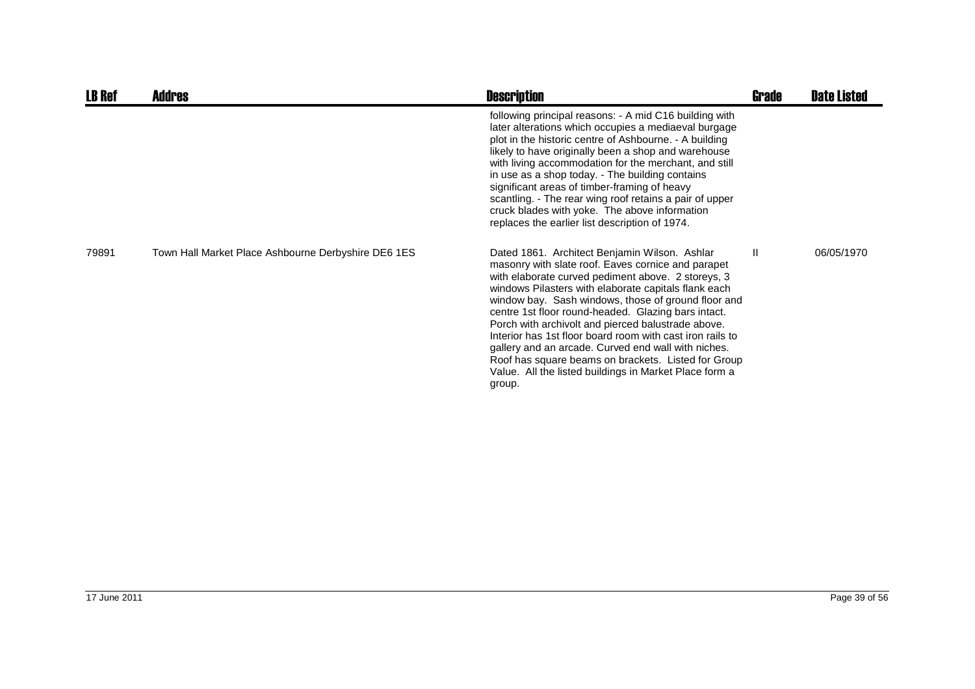| <b>LB Ref</b> | <b>Addres</b>                                       | <b>Description</b>                                                                                                                                                                                                                                                                                                                                                                                                                                                                                                                                                                                                                   | <b>Grade</b> | <b>Date Listed</b> |
|---------------|-----------------------------------------------------|--------------------------------------------------------------------------------------------------------------------------------------------------------------------------------------------------------------------------------------------------------------------------------------------------------------------------------------------------------------------------------------------------------------------------------------------------------------------------------------------------------------------------------------------------------------------------------------------------------------------------------------|--------------|--------------------|
|               |                                                     | following principal reasons: - A mid C16 building with<br>later alterations which occupies a mediaeval burgage<br>plot in the historic centre of Ashbourne. - A building<br>likely to have originally been a shop and warehouse<br>with living accommodation for the merchant, and still<br>in use as a shop today. - The building contains<br>significant areas of timber-framing of heavy<br>scantling. - The rear wing roof retains a pair of upper<br>cruck blades with yoke. The above information<br>replaces the earlier list description of 1974.                                                                            |              |                    |
| 79891         | Town Hall Market Place Ashbourne Derbyshire DE6 1ES | Dated 1861. Architect Benjamin Wilson. Ashlar<br>masonry with slate roof. Eaves cornice and parapet<br>with elaborate curved pediment above. 2 storeys, 3<br>windows Pilasters with elaborate capitals flank each<br>window bay. Sash windows, those of ground floor and<br>centre 1st floor round-headed. Glazing bars intact.<br>Porch with archivolt and pierced balustrade above.<br>Interior has 1st floor board room with cast iron rails to<br>gallery and an arcade. Curved end wall with niches.<br>Roof has square beams on brackets. Listed for Group<br>Value. All the listed buildings in Market Place form a<br>group. | $\mathbf{I}$ | 06/05/1970         |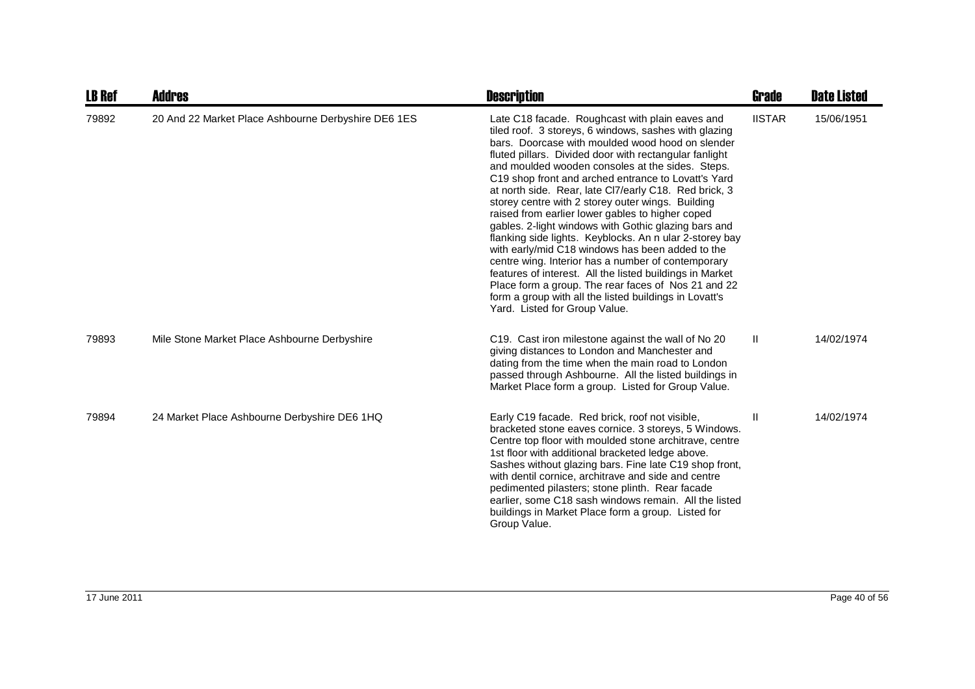| <b>LB Ref</b> | Addres                                              | <b>Description</b>                                                                                                                                                                                                                                                                                                                                                                                                                                                                                                                                                                                                                                                                                                                                                                                                                                                                                                                             | Grade         | <b>Date Listed</b> |
|---------------|-----------------------------------------------------|------------------------------------------------------------------------------------------------------------------------------------------------------------------------------------------------------------------------------------------------------------------------------------------------------------------------------------------------------------------------------------------------------------------------------------------------------------------------------------------------------------------------------------------------------------------------------------------------------------------------------------------------------------------------------------------------------------------------------------------------------------------------------------------------------------------------------------------------------------------------------------------------------------------------------------------------|---------------|--------------------|
| 79892         | 20 And 22 Market Place Ashbourne Derbyshire DE6 1ES | Late C18 facade. Roughcast with plain eaves and<br>tiled roof. 3 storeys, 6 windows, sashes with glazing<br>bars. Doorcase with moulded wood hood on slender<br>fluted pillars. Divided door with rectangular fanlight<br>and moulded wooden consoles at the sides. Steps.<br>C19 shop front and arched entrance to Lovatt's Yard<br>at north side. Rear, late Cl7/early C18. Red brick, 3<br>storey centre with 2 storey outer wings. Building<br>raised from earlier lower gables to higher coped<br>gables. 2-light windows with Gothic glazing bars and<br>flanking side lights. Keyblocks. An n ular 2-storey bay<br>with early/mid C18 windows has been added to the<br>centre wing. Interior has a number of contemporary<br>features of interest. All the listed buildings in Market<br>Place form a group. The rear faces of Nos 21 and 22<br>form a group with all the listed buildings in Lovatt's<br>Yard. Listed for Group Value. | <b>IISTAR</b> | 15/06/1951         |
| 79893         | Mile Stone Market Place Ashbourne Derbyshire        | C19. Cast iron milestone against the wall of No 20<br>giving distances to London and Manchester and<br>dating from the time when the main road to London<br>passed through Ashbourne. All the listed buildings in<br>Market Place form a group. Listed for Group Value.                                                                                                                                                                                                                                                                                                                                                                                                                                                                                                                                                                                                                                                                        | $\mathbf{H}$  | 14/02/1974         |
| 79894         | 24 Market Place Ashbourne Derbyshire DE6 1HQ        | Early C19 facade. Red brick, roof not visible,<br>bracketed stone eaves cornice. 3 storeys, 5 Windows.<br>Centre top floor with moulded stone architrave, centre<br>1st floor with additional bracketed ledge above.<br>Sashes without glazing bars. Fine late C19 shop front,<br>with dentil cornice, architrave and side and centre<br>pedimented pilasters; stone plinth. Rear facade<br>earlier, some C18 sash windows remain. All the listed<br>buildings in Market Place form a group. Listed for<br>Group Value.                                                                                                                                                                                                                                                                                                                                                                                                                        | Ш             | 14/02/1974         |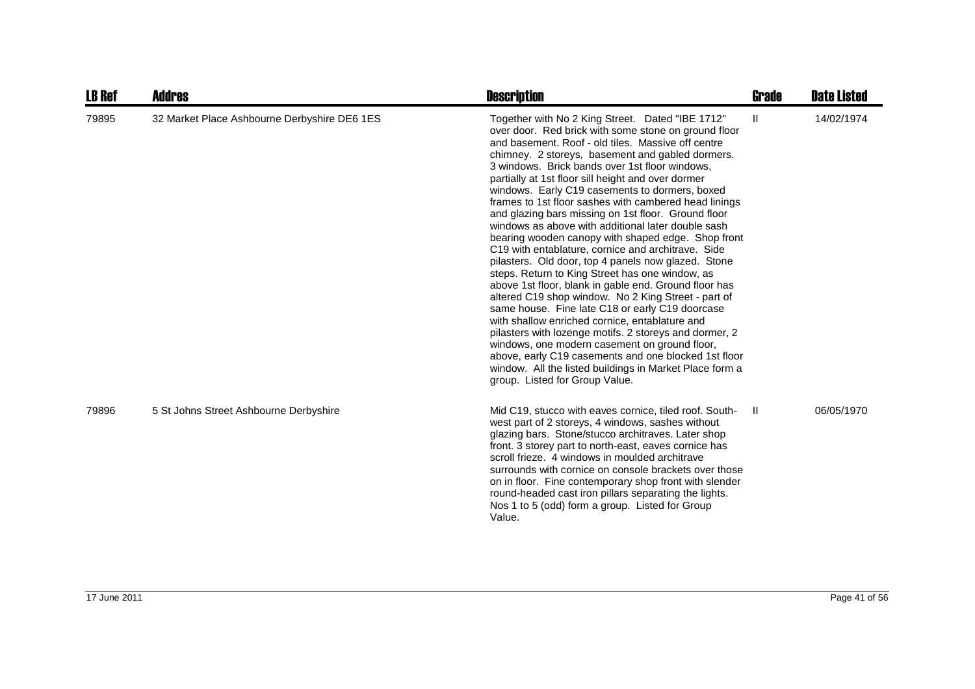| <b>LB Ref</b> | <b>Addres</b>                                | <b>Description</b>                                                                                                                                                                                                                                                                                                                                                                                                                                                                                                                                                                                                                                                                                                                                                                                                                                                                                                                                                                                                                                                                                                                                                                                                                                            | <b>Grade</b> | <b>Date Listed</b> |
|---------------|----------------------------------------------|---------------------------------------------------------------------------------------------------------------------------------------------------------------------------------------------------------------------------------------------------------------------------------------------------------------------------------------------------------------------------------------------------------------------------------------------------------------------------------------------------------------------------------------------------------------------------------------------------------------------------------------------------------------------------------------------------------------------------------------------------------------------------------------------------------------------------------------------------------------------------------------------------------------------------------------------------------------------------------------------------------------------------------------------------------------------------------------------------------------------------------------------------------------------------------------------------------------------------------------------------------------|--------------|--------------------|
| 79895         | 32 Market Place Ashbourne Derbyshire DE6 1ES | Together with No 2 King Street. Dated "IBE 1712"<br>over door. Red brick with some stone on ground floor<br>and basement. Roof - old tiles. Massive off centre<br>chimney. 2 storeys, basement and gabled dormers.<br>3 windows. Brick bands over 1st floor windows,<br>partially at 1st floor sill height and over dormer<br>windows. Early C19 casements to dormers, boxed<br>frames to 1st floor sashes with cambered head linings<br>and glazing bars missing on 1st floor. Ground floor<br>windows as above with additional later double sash<br>bearing wooden canopy with shaped edge. Shop front<br>C19 with entablature, cornice and architrave. Side<br>pilasters. Old door, top 4 panels now glazed. Stone<br>steps. Return to King Street has one window, as<br>above 1st floor, blank in gable end. Ground floor has<br>altered C19 shop window. No 2 King Street - part of<br>same house. Fine late C18 or early C19 doorcase<br>with shallow enriched cornice, entablature and<br>pilasters with lozenge motifs. 2 storeys and dormer, 2<br>windows, one modern casement on ground floor,<br>above, early C19 casements and one blocked 1st floor<br>window. All the listed buildings in Market Place form a<br>group. Listed for Group Value. | $\mathbf{H}$ | 14/02/1974         |
| 79896         | 5 St Johns Street Ashbourne Derbyshire       | Mid C19, stucco with eaves cornice, tiled roof. South-<br>west part of 2 storeys, 4 windows, sashes without<br>glazing bars. Stone/stucco architraves. Later shop<br>front. 3 storey part to north-east, eaves cornice has<br>scroll frieze. 4 windows in moulded architrave<br>surrounds with cornice on console brackets over those<br>on in floor. Fine contemporary shop front with slender<br>round-headed cast iron pillars separating the lights.<br>Nos 1 to 5 (odd) form a group. Listed for Group<br>Value.                                                                                                                                                                                                                                                                                                                                                                                                                                                                                                                                                                                                                                                                                                                                         | $\mathbf{H}$ | 06/05/1970         |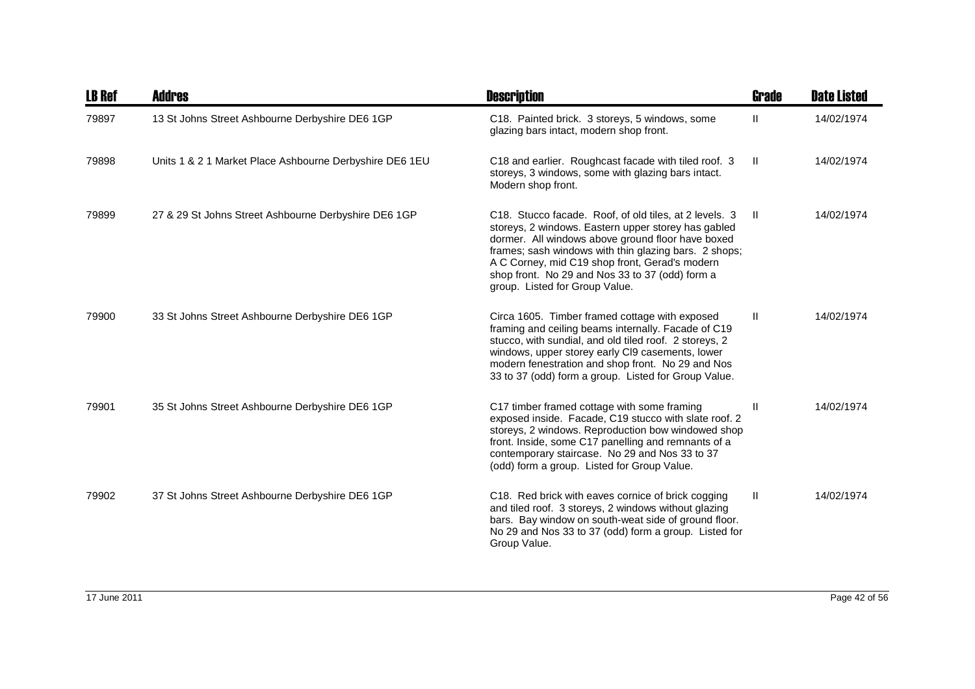| <b>LB Ref</b> | <b>Addres</b>                                           | <b>Description</b>                                                                                                                                                                                                                                                                                                                                                 | <b>Grade</b> | <b>Date Listed</b> |
|---------------|---------------------------------------------------------|--------------------------------------------------------------------------------------------------------------------------------------------------------------------------------------------------------------------------------------------------------------------------------------------------------------------------------------------------------------------|--------------|--------------------|
| 79897         | 13 St Johns Street Ashbourne Derbyshire DE6 1GP         | C18. Painted brick. 3 storeys, 5 windows, some<br>glazing bars intact, modern shop front.                                                                                                                                                                                                                                                                          | Ш            | 14/02/1974         |
| 79898         | Units 1 & 2 1 Market Place Ashbourne Derbyshire DE6 1EU | C18 and earlier. Roughcast facade with tiled roof. 3<br>storeys, 3 windows, some with glazing bars intact.<br>Modern shop front.                                                                                                                                                                                                                                   | -II          | 14/02/1974         |
| 79899         | 27 & 29 St Johns Street Ashbourne Derbyshire DE6 1GP    | C18. Stucco facade. Roof, of old tiles, at 2 levels. 3<br>storeys, 2 windows. Eastern upper storey has gabled<br>dormer. All windows above ground floor have boxed<br>frames; sash windows with thin glazing bars. 2 shops;<br>A C Corney, mid C19 shop front, Gerad's modern<br>shop front. No 29 and Nos 33 to 37 (odd) form a<br>group. Listed for Group Value. | Ш            | 14/02/1974         |
| 79900         | 33 St Johns Street Ashbourne Derbyshire DE6 1GP         | Circa 1605. Timber framed cottage with exposed<br>framing and ceiling beams internally. Facade of C19<br>stucco, with sundial, and old tiled roof. 2 storeys, 2<br>windows, upper storey early CI9 casements, lower<br>modern fenestration and shop front. No 29 and Nos<br>33 to 37 (odd) form a group. Listed for Group Value.                                   | H.           | 14/02/1974         |
| 79901         | 35 St Johns Street Ashbourne Derbyshire DE6 1GP         | C17 timber framed cottage with some framing<br>exposed inside. Facade, C19 stucco with slate roof. 2<br>storeys, 2 windows. Reproduction bow windowed shop<br>front. Inside, some C17 panelling and remnants of a<br>contemporary staircase. No 29 and Nos 33 to 37<br>(odd) form a group. Listed for Group Value.                                                 | Ш            | 14/02/1974         |
| 79902         | 37 St Johns Street Ashbourne Derbyshire DE6 1GP         | C18. Red brick with eaves cornice of brick cogging<br>and tiled roof. 3 storeys, 2 windows without glazing<br>bars. Bay window on south-weat side of ground floor.<br>No 29 and Nos 33 to 37 (odd) form a group. Listed for<br>Group Value.                                                                                                                        | Ш            | 14/02/1974         |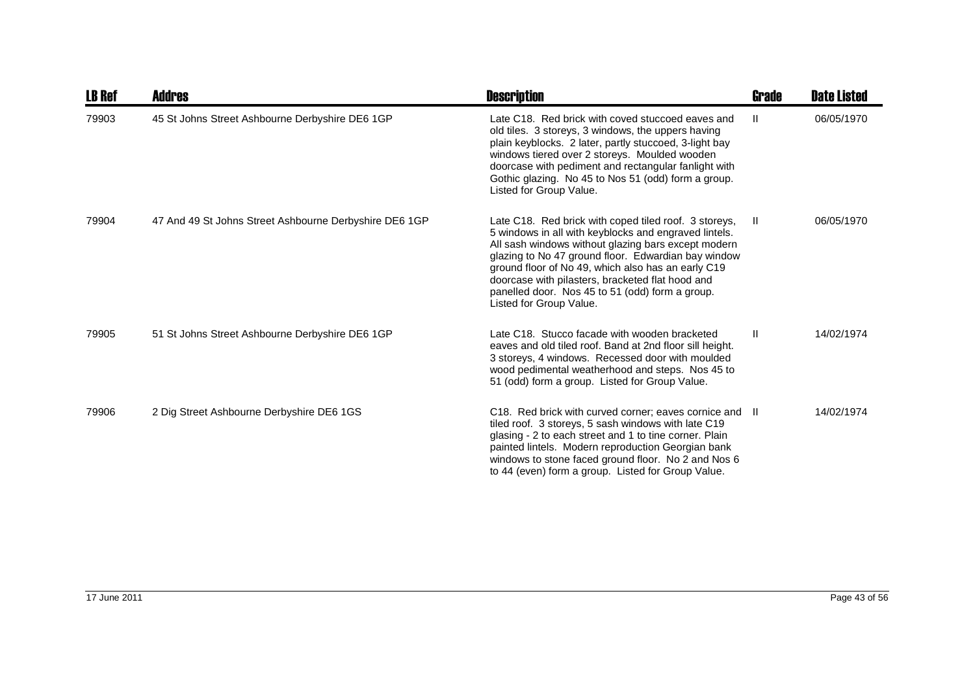| <b>LB Ref</b> | <b>Addres</b>                                          | <b>Description</b>                                                                                                                                                                                                                                                                                                                                                                                                   | Grade         | <b>Date Listed</b> |
|---------------|--------------------------------------------------------|----------------------------------------------------------------------------------------------------------------------------------------------------------------------------------------------------------------------------------------------------------------------------------------------------------------------------------------------------------------------------------------------------------------------|---------------|--------------------|
| 79903         | 45 St Johns Street Ashbourne Derbyshire DE6 1GP        | Late C18. Red brick with coved stuccoed eaves and<br>old tiles. 3 storeys, 3 windows, the uppers having<br>plain keyblocks. 2 later, partly stuccoed, 3-light bay<br>windows tiered over 2 storeys. Moulded wooden<br>doorcase with pediment and rectangular fanlight with<br>Gothic glazing. No 45 to Nos 51 (odd) form a group.<br>Listed for Group Value.                                                         | H.            | 06/05/1970         |
| 79904         | 47 And 49 St Johns Street Ashbourne Derbyshire DE6 1GP | Late C18. Red brick with coped tiled roof. 3 storeys,<br>5 windows in all with keyblocks and engraved lintels.<br>All sash windows without glazing bars except modern<br>glazing to No 47 ground floor. Edwardian bay window<br>ground floor of No 49, which also has an early C19<br>doorcase with pilasters, bracketed flat hood and<br>panelled door. Nos 45 to 51 (odd) form a group.<br>Listed for Group Value. | -11           | 06/05/1970         |
| 79905         | 51 St Johns Street Ashbourne Derbyshire DE6 1GP        | Late C18. Stucco facade with wooden bracketed<br>eaves and old tiled roof. Band at 2nd floor sill height.<br>3 storeys, 4 windows. Recessed door with moulded<br>wood pedimental weatherhood and steps. Nos 45 to<br>51 (odd) form a group. Listed for Group Value.                                                                                                                                                  | $\mathbf{II}$ | 14/02/1974         |
| 79906         | 2 Dig Street Ashbourne Derbyshire DE6 1GS              | C18. Red brick with curved corner; eaves cornice and II<br>tiled roof. 3 storeys, 5 sash windows with late C19<br>glasing - 2 to each street and 1 to tine corner. Plain<br>painted lintels. Modern reproduction Georgian bank<br>windows to stone faced ground floor. No 2 and Nos 6<br>to 44 (even) form a group. Listed for Group Value.                                                                          |               | 14/02/1974         |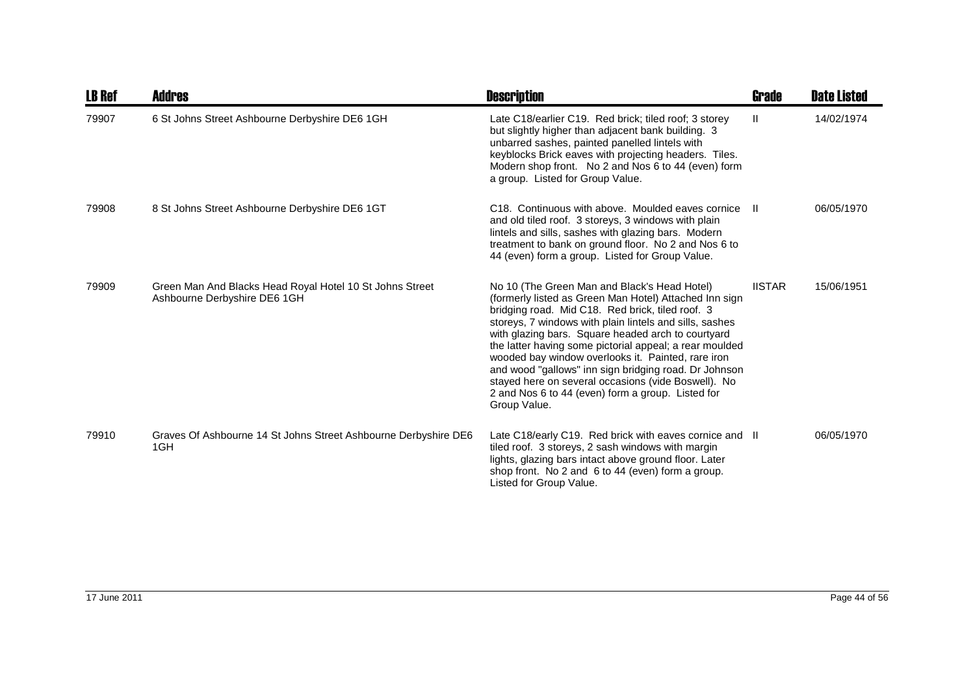| <b>LB Ref</b> | <b>Addres</b>                                                                            | <b>Description</b>                                                                                                                                                                                                                                                                                                                                                                                                                                                                                                                                                                | Grade         | <b>Date Listed</b> |
|---------------|------------------------------------------------------------------------------------------|-----------------------------------------------------------------------------------------------------------------------------------------------------------------------------------------------------------------------------------------------------------------------------------------------------------------------------------------------------------------------------------------------------------------------------------------------------------------------------------------------------------------------------------------------------------------------------------|---------------|--------------------|
| 79907         | 6 St Johns Street Ashbourne Derbyshire DE6 1GH                                           | Late C18/earlier C19. Red brick; tiled roof; 3 storey<br>but slightly higher than adjacent bank building. 3<br>unbarred sashes, painted panelled lintels with<br>keyblocks Brick eaves with projecting headers. Tiles.<br>Modern shop front. No 2 and Nos 6 to 44 (even) form<br>a group. Listed for Group Value.                                                                                                                                                                                                                                                                 | $\mathbf{H}$  | 14/02/1974         |
| 79908         | 8 St Johns Street Ashbourne Derbyshire DE6 1GT                                           | C <sub>18</sub> . Continuous with above. Moulded eaves cornice<br>and old tiled roof. 3 storeys, 3 windows with plain<br>lintels and sills, sashes with glazing bars. Modern<br>treatment to bank on ground floor. No 2 and Nos 6 to<br>44 (even) form a group. Listed for Group Value.                                                                                                                                                                                                                                                                                           | H.            | 06/05/1970         |
| 79909         | Green Man And Blacks Head Royal Hotel 10 St Johns Street<br>Ashbourne Derbyshire DE6 1GH | No 10 (The Green Man and Black's Head Hotel)<br>(formerly listed as Green Man Hotel) Attached Inn sign<br>bridging road. Mid C18. Red brick, tiled roof. 3<br>storeys, 7 windows with plain lintels and sills, sashes<br>with glazing bars. Square headed arch to courtyard<br>the latter having some pictorial appeal; a rear moulded<br>wooded bay window overlooks it. Painted, rare iron<br>and wood "gallows" inn sign bridging road. Dr Johnson<br>stayed here on several occasions (vide Boswell). No<br>2 and Nos 6 to 44 (even) form a group. Listed for<br>Group Value. | <b>IISTAR</b> | 15/06/1951         |
| 79910         | Graves Of Ashbourne 14 St Johns Street Ashbourne Derbyshire DE6<br>1GH                   | Late C18/early C19. Red brick with eaves cornice and II<br>tiled roof. 3 storeys, 2 sash windows with margin<br>lights, glazing bars intact above ground floor. Later<br>shop front. No 2 and 6 to 44 (even) form a group.<br>Listed for Group Value.                                                                                                                                                                                                                                                                                                                             |               | 06/05/1970         |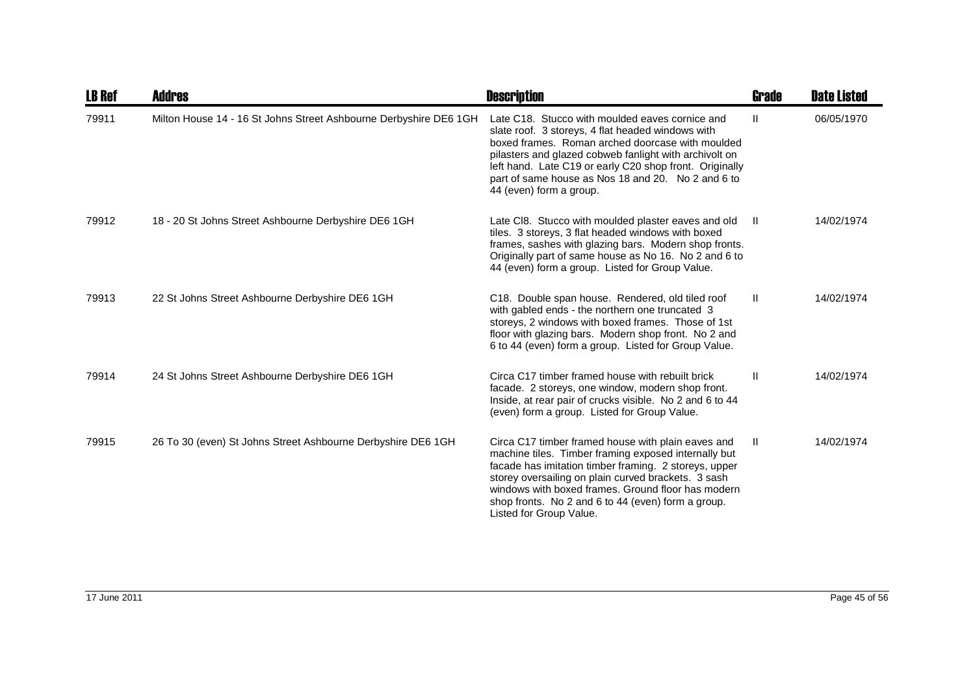| <b>LB Ref</b> | Addres                                                            | <b>Description</b>                                                                                                                                                                                                                                                                                                                                                | <b>Grade</b>  | <b>Date Listed</b> |
|---------------|-------------------------------------------------------------------|-------------------------------------------------------------------------------------------------------------------------------------------------------------------------------------------------------------------------------------------------------------------------------------------------------------------------------------------------------------------|---------------|--------------------|
| 79911         | Milton House 14 - 16 St Johns Street Ashbourne Derbyshire DE6 1GH | Late C18. Stucco with moulded eaves cornice and<br>slate roof. 3 storeys, 4 flat headed windows with<br>boxed frames. Roman arched doorcase with moulded<br>pilasters and glazed cobweb fanlight with archivolt on<br>left hand. Late C19 or early C20 shop front. Originally<br>part of same house as Nos 18 and 20. No 2 and 6 to<br>44 (even) form a group.    | $\mathbf{H}$  | 06/05/1970         |
| 79912         | 18 - 20 St Johns Street Ashbourne Derbyshire DE6 1GH              | Late CI8. Stucco with moulded plaster eaves and old<br>tiles. 3 storeys, 3 flat headed windows with boxed<br>frames, sashes with glazing bars. Modern shop fronts.<br>Originally part of same house as No 16. No 2 and 6 to<br>44 (even) form a group. Listed for Group Value.                                                                                    | $\mathbf{H}$  | 14/02/1974         |
| 79913         | 22 St Johns Street Ashbourne Derbyshire DE6 1GH                   | C18. Double span house. Rendered, old tiled roof<br>with gabled ends - the northern one truncated 3<br>storeys, 2 windows with boxed frames. Those of 1st<br>floor with glazing bars. Modern shop front. No 2 and<br>6 to 44 (even) form a group. Listed for Group Value.                                                                                         | Ш.            | 14/02/1974         |
| 79914         | 24 St Johns Street Ashbourne Derbyshire DE6 1GH                   | Circa C17 timber framed house with rebuilt brick<br>facade. 2 storeys, one window, modern shop front.<br>Inside, at rear pair of crucks visible. No 2 and 6 to 44<br>(even) form a group. Listed for Group Value.                                                                                                                                                 | $\mathbf{II}$ | 14/02/1974         |
| 79915         | 26 To 30 (even) St Johns Street Ashbourne Derbyshire DE6 1GH      | Circa C17 timber framed house with plain eaves and<br>machine tiles. Timber framing exposed internally but<br>facade has imitation timber framing. 2 storeys, upper<br>storey oversailing on plain curved brackets. 3 sash<br>windows with boxed frames. Ground floor has modern<br>shop fronts. No 2 and 6 to 44 (even) form a group.<br>Listed for Group Value. | $\mathbf{H}$  | 14/02/1974         |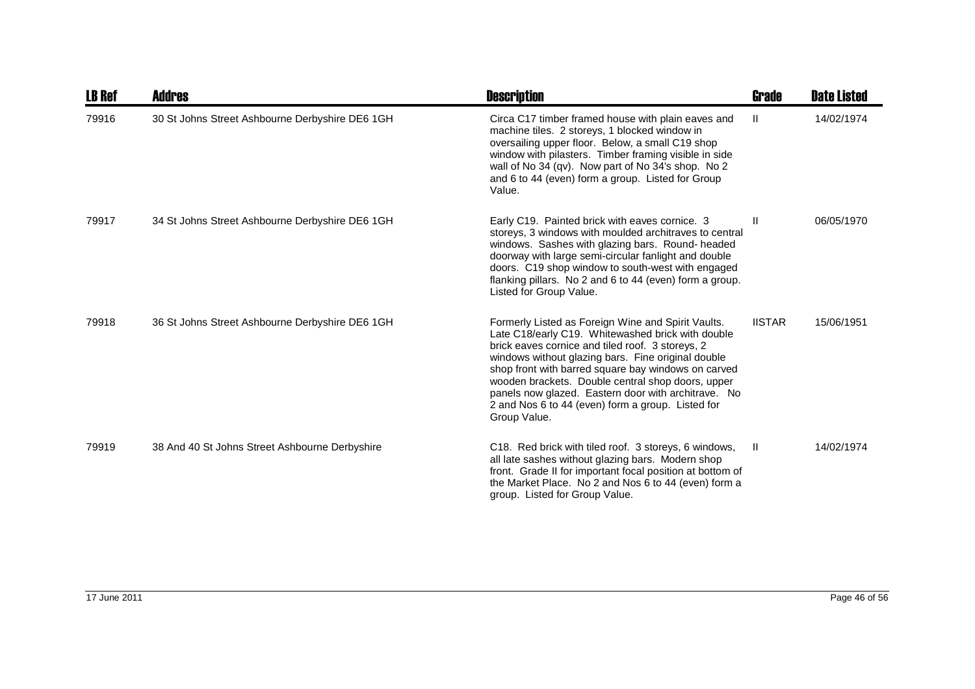| <b>LB Ref</b> | Addres                                          | <b>Description</b>                                                                                                                                                                                                                                                                                                                                                                                                                                        | Grade         | <b>Date Listed</b> |
|---------------|-------------------------------------------------|-----------------------------------------------------------------------------------------------------------------------------------------------------------------------------------------------------------------------------------------------------------------------------------------------------------------------------------------------------------------------------------------------------------------------------------------------------------|---------------|--------------------|
| 79916         | 30 St Johns Street Ashbourne Derbyshire DE6 1GH | Circa C17 timber framed house with plain eaves and<br>machine tiles. 2 storeys, 1 blocked window in<br>oversailing upper floor. Below, a small C19 shop<br>window with pilasters. Timber framing visible in side<br>wall of No 34 (qv). Now part of No 34's shop. No 2<br>and 6 to 44 (even) form a group. Listed for Group<br>Value.                                                                                                                     | Ш             | 14/02/1974         |
| 79917         | 34 St Johns Street Ashbourne Derbyshire DE6 1GH | Early C19. Painted brick with eaves cornice. 3<br>storeys, 3 windows with moulded architraves to central<br>windows. Sashes with glazing bars. Round-headed<br>doorway with large semi-circular fanlight and double<br>doors. C19 shop window to south-west with engaged<br>flanking pillars. No 2 and 6 to 44 (even) form a group.<br>Listed for Group Value.                                                                                            | Ш             | 06/05/1970         |
| 79918         | 36 St Johns Street Ashbourne Derbyshire DE6 1GH | Formerly Listed as Foreign Wine and Spirit Vaults.<br>Late C18/early C19. Whitewashed brick with double<br>brick eaves cornice and tiled roof. 3 storeys, 2<br>windows without glazing bars. Fine original double<br>shop front with barred square bay windows on carved<br>wooden brackets. Double central shop doors, upper<br>panels now glazed. Eastern door with architrave. No<br>2 and Nos 6 to 44 (even) form a group. Listed for<br>Group Value. | <b>IISTAR</b> | 15/06/1951         |
| 79919         | 38 And 40 St Johns Street Ashbourne Derbyshire  | C18. Red brick with tiled roof. 3 storeys, 6 windows,<br>all late sashes without glazing bars. Modern shop<br>front. Grade II for important focal position at bottom of<br>the Market Place. No 2 and Nos 6 to 44 (even) form a<br>group. Listed for Group Value.                                                                                                                                                                                         | H             | 14/02/1974         |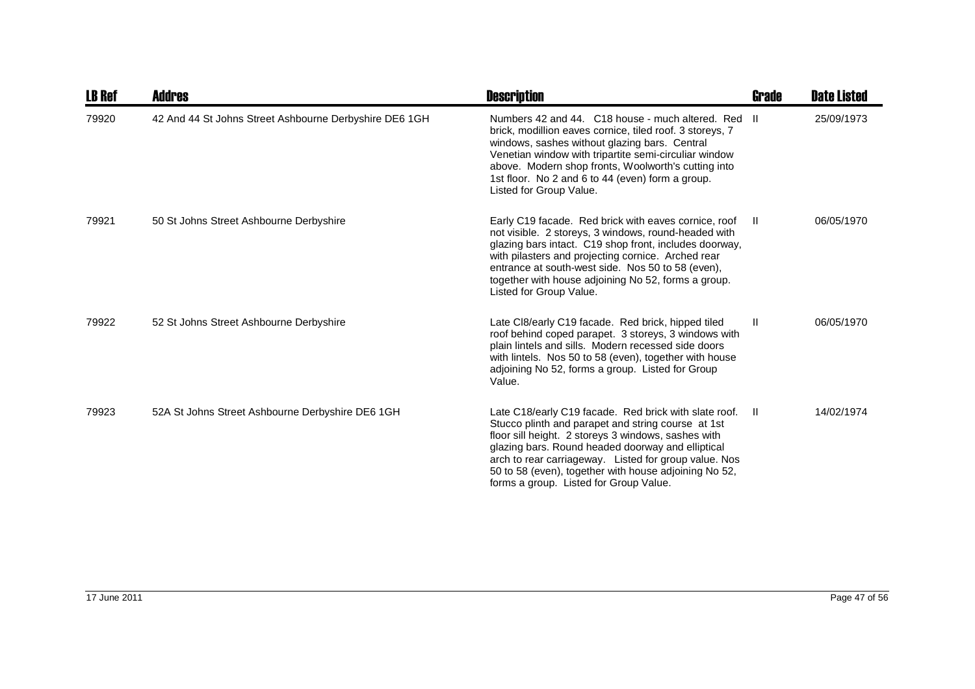| <b>LB Ref</b> | <b>Addres</b>                                          | <b>Description</b>                                                                                                                                                                                                                                                                                                                                                                  | <b>Grade</b> | <b>Date Listed</b> |
|---------------|--------------------------------------------------------|-------------------------------------------------------------------------------------------------------------------------------------------------------------------------------------------------------------------------------------------------------------------------------------------------------------------------------------------------------------------------------------|--------------|--------------------|
| 79920         | 42 And 44 St Johns Street Ashbourne Derbyshire DE6 1GH | Numbers 42 and 44. C18 house - much altered. Red II<br>brick, modillion eaves cornice, tiled roof. 3 storeys, 7<br>windows, sashes without glazing bars. Central<br>Venetian window with tripartite semi-circuliar window<br>above. Modern shop fronts, Woolworth's cutting into<br>1st floor. No 2 and 6 to 44 (even) form a group.<br>Listed for Group Value.                     |              | 25/09/1973         |
| 79921         | 50 St Johns Street Ashbourne Derbyshire                | Early C19 facade. Red brick with eaves cornice, roof<br>not visible. 2 storeys, 3 windows, round-headed with<br>glazing bars intact. C19 shop front, includes doorway,<br>with pilasters and projecting cornice. Arched rear<br>entrance at south-west side. Nos 50 to 58 (even),<br>together with house adjoining No 52, forms a group.<br>Listed for Group Value.                 | $\mathbf{I}$ | 06/05/1970         |
| 79922         | 52 St Johns Street Ashbourne Derbyshire                | Late CI8/early C19 facade. Red brick, hipped tiled<br>roof behind coped parapet. 3 storeys, 3 windows with<br>plain lintels and sills. Modern recessed side doors<br>with lintels. Nos 50 to 58 (even), together with house<br>adjoining No 52, forms a group. Listed for Group<br>Value.                                                                                           | $\mathbf{H}$ | 06/05/1970         |
| 79923         | 52A St Johns Street Ashbourne Derbyshire DE6 1GH       | Late C18/early C19 facade. Red brick with slate roof.<br>Stucco plinth and parapet and string course at 1st<br>floor sill height. 2 storeys 3 windows, sashes with<br>glazing bars. Round headed doorway and elliptical<br>arch to rear carriageway. Listed for group value. Nos<br>50 to 58 (even), together with house adjoining No 52,<br>forms a group. Listed for Group Value. | Ш.           | 14/02/1974         |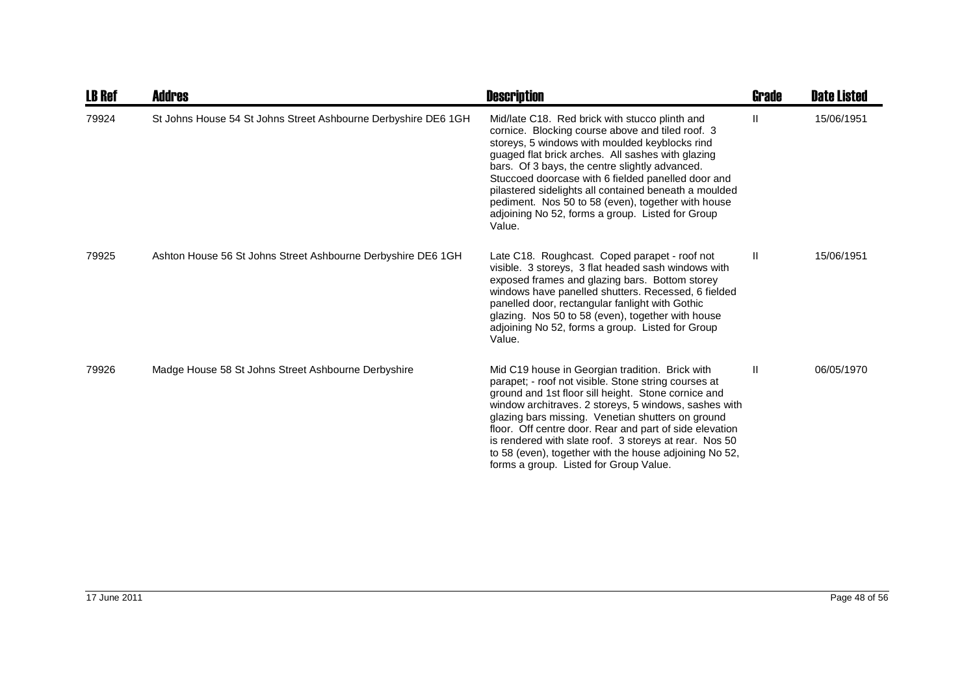| <b>LB Ref</b> | <b>Addres</b>                                                  | <b>Description</b>                                                                                                                                                                                                                                                                                                                                                                                                                                                                                    | Grade        | <b>Date Listed</b> |
|---------------|----------------------------------------------------------------|-------------------------------------------------------------------------------------------------------------------------------------------------------------------------------------------------------------------------------------------------------------------------------------------------------------------------------------------------------------------------------------------------------------------------------------------------------------------------------------------------------|--------------|--------------------|
| 79924         | St Johns House 54 St Johns Street Ashbourne Derbyshire DE6 1GH | Mid/late C18. Red brick with stucco plinth and<br>cornice. Blocking course above and tiled roof. 3<br>storeys, 5 windows with moulded keyblocks rind<br>guaged flat brick arches. All sashes with glazing<br>bars. Of 3 bays, the centre slightly advanced.<br>Stuccoed doorcase with 6 fielded panelled door and<br>pilastered sidelights all contained beneath a moulded<br>pediment. Nos 50 to 58 (even), together with house<br>adjoining No 52, forms a group. Listed for Group<br>Value.        | Ш            | 15/06/1951         |
| 79925         | Ashton House 56 St Johns Street Ashbourne Derbyshire DE6 1GH   | Late C18. Roughcast. Coped parapet - roof not<br>visible. 3 storeys, 3 flat headed sash windows with<br>exposed frames and glazing bars. Bottom storey<br>windows have panelled shutters. Recessed, 6 fielded<br>panelled door, rectangular fanlight with Gothic<br>glazing. Nos 50 to 58 (even), together with house<br>adjoining No 52, forms a group. Listed for Group<br>Value.                                                                                                                   | $\mathbf{H}$ | 15/06/1951         |
| 79926         | Madge House 58 St Johns Street Ashbourne Derbyshire            | Mid C19 house in Georgian tradition. Brick with<br>parapet; - roof not visible. Stone string courses at<br>ground and 1st floor sill height. Stone cornice and<br>window architraves. 2 storeys, 5 windows, sashes with<br>glazing bars missing. Venetian shutters on ground<br>floor. Off centre door. Rear and part of side elevation<br>is rendered with slate roof. 3 storeys at rear. Nos 50<br>to 58 (even), together with the house adjoining No 52,<br>forms a group. Listed for Group Value. | Ш            | 06/05/1970         |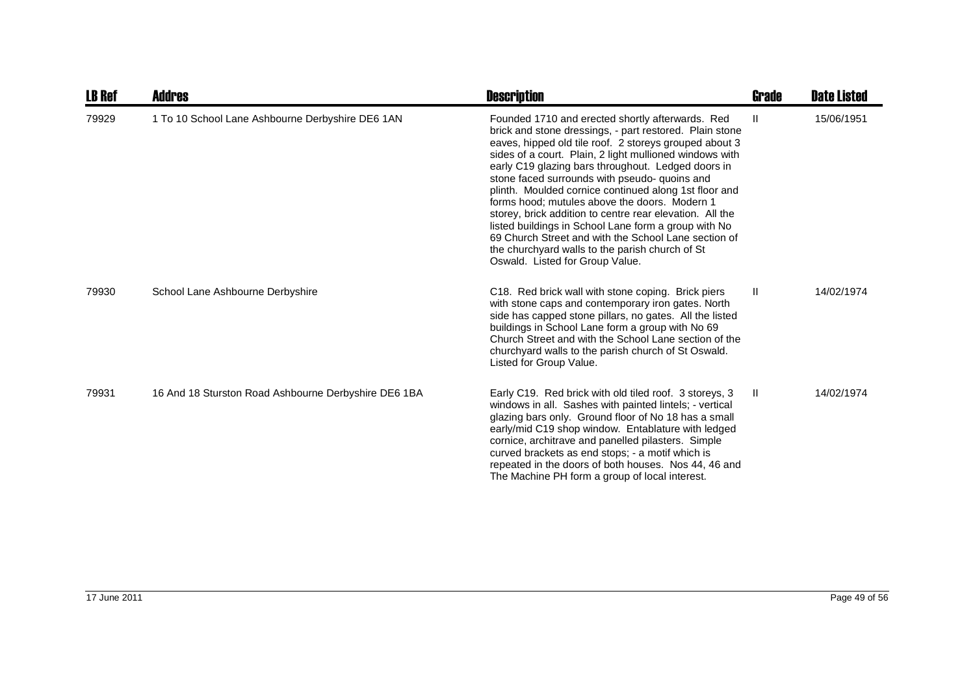| <b>LB Ref</b> | Addres                                               | <b>Description</b>                                                                                                                                                                                                                                                                                                                                                                                                                                                                                                                                                                                                                                                                                                  | <b>Grade</b>  | <b>Date Listed</b> |
|---------------|------------------------------------------------------|---------------------------------------------------------------------------------------------------------------------------------------------------------------------------------------------------------------------------------------------------------------------------------------------------------------------------------------------------------------------------------------------------------------------------------------------------------------------------------------------------------------------------------------------------------------------------------------------------------------------------------------------------------------------------------------------------------------------|---------------|--------------------|
| 79929         | 1 To 10 School Lane Ashbourne Derbyshire DE6 1AN     | Founded 1710 and erected shortly afterwards. Red<br>brick and stone dressings, - part restored. Plain stone<br>eaves, hipped old tile roof. 2 storeys grouped about 3<br>sides of a court. Plain, 2 light mullioned windows with<br>early C19 glazing bars throughout. Ledged doors in<br>stone faced surrounds with pseudo- quoins and<br>plinth. Moulded cornice continued along 1st floor and<br>forms hood; mutules above the doors. Modern 1<br>storey, brick addition to centre rear elevation. All the<br>listed buildings in School Lane form a group with No<br>69 Church Street and with the School Lane section of<br>the churchyard walls to the parish church of St<br>Oswald. Listed for Group Value. | $\mathbf{II}$ | 15/06/1951         |
| 79930         | School Lane Ashbourne Derbyshire                     | C18. Red brick wall with stone coping. Brick piers<br>with stone caps and contemporary iron gates. North<br>side has capped stone pillars, no gates. All the listed<br>buildings in School Lane form a group with No 69<br>Church Street and with the School Lane section of the<br>churchyard walls to the parish church of St Oswald.<br>Listed for Group Value.                                                                                                                                                                                                                                                                                                                                                  | $\mathbf{I}$  | 14/02/1974         |
| 79931         | 16 And 18 Sturston Road Ashbourne Derbyshire DE6 1BA | Early C19. Red brick with old tiled roof. 3 storeys, 3<br>windows in all. Sashes with painted lintels; - vertical<br>glazing bars only. Ground floor of No 18 has a small<br>early/mid C19 shop window. Entablature with ledged<br>cornice, architrave and panelled pilasters. Simple<br>curved brackets as end stops; - a motif which is<br>repeated in the doors of both houses. Nos 44, 46 and<br>The Machine PH form a group of local interest.                                                                                                                                                                                                                                                                 | $\mathbf{II}$ | 14/02/1974         |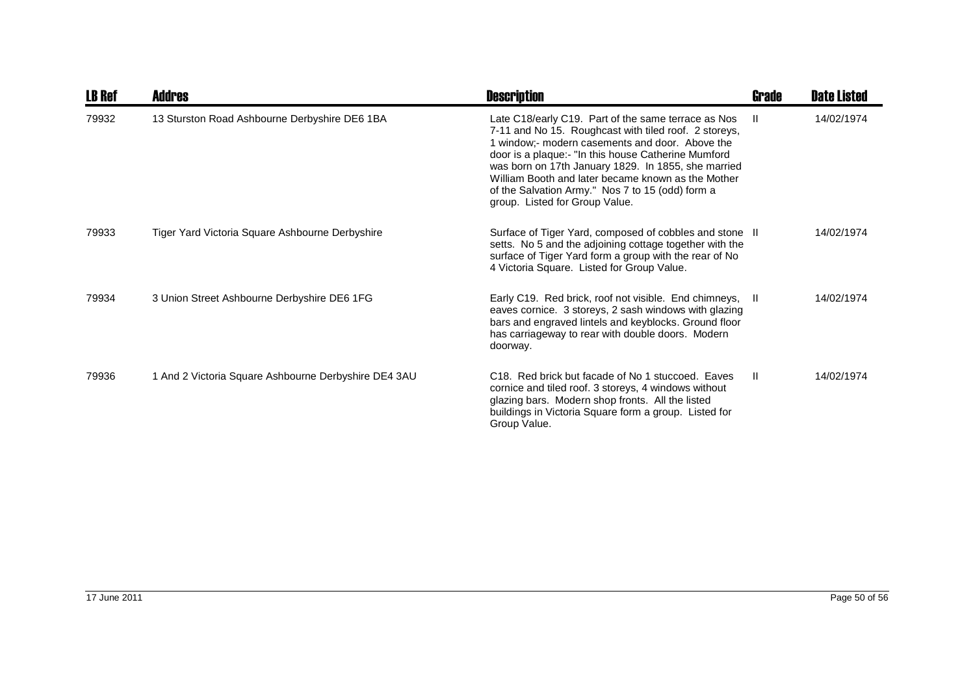| <b>LB Ref</b> | Addres                                               | <b>Description</b>                                                                                                                                                                                                                                                                                                                                                                                                        | Grade         | <b>Date Listed</b> |
|---------------|------------------------------------------------------|---------------------------------------------------------------------------------------------------------------------------------------------------------------------------------------------------------------------------------------------------------------------------------------------------------------------------------------------------------------------------------------------------------------------------|---------------|--------------------|
| 79932         | 13 Sturston Road Ashbourne Derbyshire DE6 1BA        | Late C18/early C19. Part of the same terrace as Nos<br>7-11 and No 15. Roughcast with tiled roof. 2 storeys,<br>1 window;- modern casements and door. Above the<br>door is a plaque:- "In this house Catherine Mumford<br>was born on 17th January 1829. In 1855, she married<br>William Booth and later became known as the Mother<br>of the Salvation Army." Nos 7 to 15 (odd) form a<br>group. Listed for Group Value. | H.            | 14/02/1974         |
| 79933         | Tiger Yard Victoria Square Ashbourne Derbyshire      | Surface of Tiger Yard, composed of cobbles and stone II<br>setts. No 5 and the adjoining cottage together with the<br>surface of Tiger Yard form a group with the rear of No<br>4 Victoria Square. Listed for Group Value.                                                                                                                                                                                                |               | 14/02/1974         |
| 79934         | 3 Union Street Ashbourne Derbyshire DE6 1FG          | Early C19. Red brick, roof not visible. End chimneys, II<br>eaves cornice. 3 storeys, 2 sash windows with glazing<br>bars and engraved lintels and keyblocks. Ground floor<br>has carriageway to rear with double doors. Modern<br>doorway.                                                                                                                                                                               |               | 14/02/1974         |
| 79936         | 1 And 2 Victoria Square Ashbourne Derbyshire DE4 3AU | C <sub>18</sub> . Red brick but facade of No 1 stuccoed. Eaves<br>cornice and tiled roof. 3 storeys, 4 windows without<br>glazing bars. Modern shop fronts. All the listed<br>buildings in Victoria Square form a group. Listed for<br>Group Value.                                                                                                                                                                       | $\mathbf{II}$ | 14/02/1974         |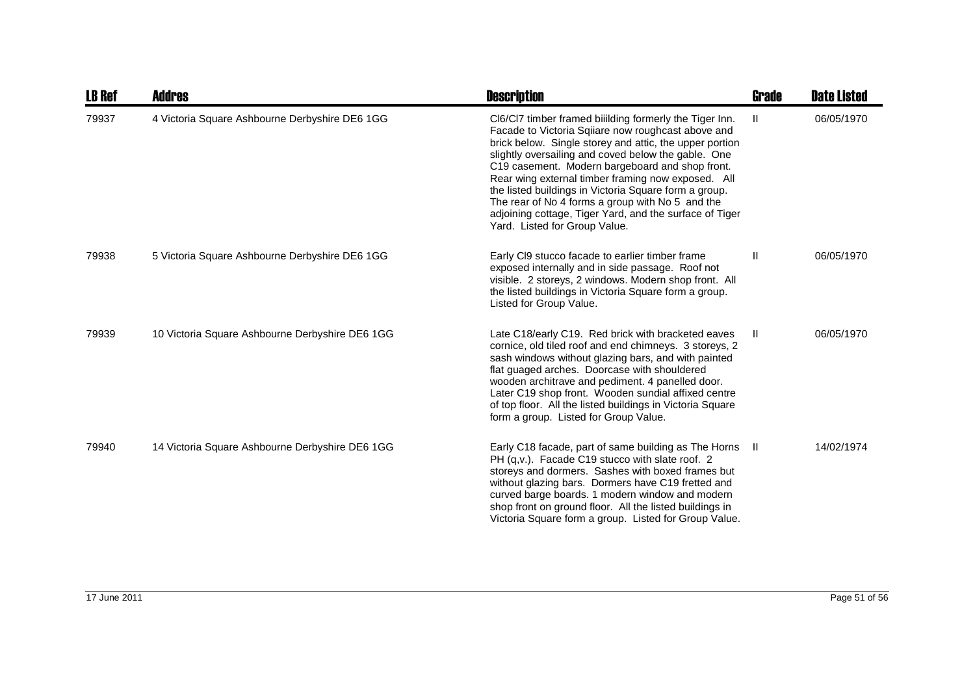| <b>LB Ref</b> | <b>Addres</b>                                   | <b>Description</b>                                                                                                                                                                                                                                                                                                                                                                                                                                                                                                                                | <b>Grade</b> | <b>Date Listed</b> |
|---------------|-------------------------------------------------|---------------------------------------------------------------------------------------------------------------------------------------------------------------------------------------------------------------------------------------------------------------------------------------------------------------------------------------------------------------------------------------------------------------------------------------------------------------------------------------------------------------------------------------------------|--------------|--------------------|
| 79937         | 4 Victoria Square Ashbourne Derbyshire DE6 1GG  | CI6/CI7 timber framed biiilding formerly the Tiger Inn.<br>Facade to Victoria Sqiiare now roughcast above and<br>brick below. Single storey and attic, the upper portion<br>slightly oversailing and coved below the gable. One<br>C19 casement. Modern bargeboard and shop front.<br>Rear wing external timber framing now exposed. All<br>the listed buildings in Victoria Square form a group.<br>The rear of No 4 forms a group with No 5 and the<br>adjoining cottage, Tiger Yard, and the surface of Tiger<br>Yard. Listed for Group Value. | Ш            | 06/05/1970         |
| 79938         | 5 Victoria Square Ashbourne Derbyshire DE6 1GG  | Early CI9 stucco facade to earlier timber frame<br>exposed internally and in side passage. Roof not<br>visible. 2 storeys, 2 windows. Modern shop front. All<br>the listed buildings in Victoria Square form a group.<br>Listed for Group Value.                                                                                                                                                                                                                                                                                                  | Ш            | 06/05/1970         |
| 79939         | 10 Victoria Square Ashbourne Derbyshire DE6 1GG | Late C18/early C19. Red brick with bracketed eaves<br>cornice, old tiled roof and end chimneys. 3 storeys, 2<br>sash windows without glazing bars, and with painted<br>flat guaged arches. Doorcase with shouldered<br>wooden architrave and pediment. 4 panelled door.<br>Later C19 shop front. Wooden sundial affixed centre<br>of top floor. All the listed buildings in Victoria Square<br>form a group. Listed for Group Value.                                                                                                              | H            | 06/05/1970         |
| 79940         | 14 Victoria Square Ashbourne Derbyshire DE6 1GG | Early C18 facade, part of same building as The Horns II<br>PH (q,v.). Facade C19 stucco with slate roof. 2<br>storeys and dormers. Sashes with boxed frames but<br>without glazing bars. Dormers have C19 fretted and<br>curved barge boards. 1 modern window and modern<br>shop front on ground floor. All the listed buildings in<br>Victoria Square form a group. Listed for Group Value.                                                                                                                                                      |              | 14/02/1974         |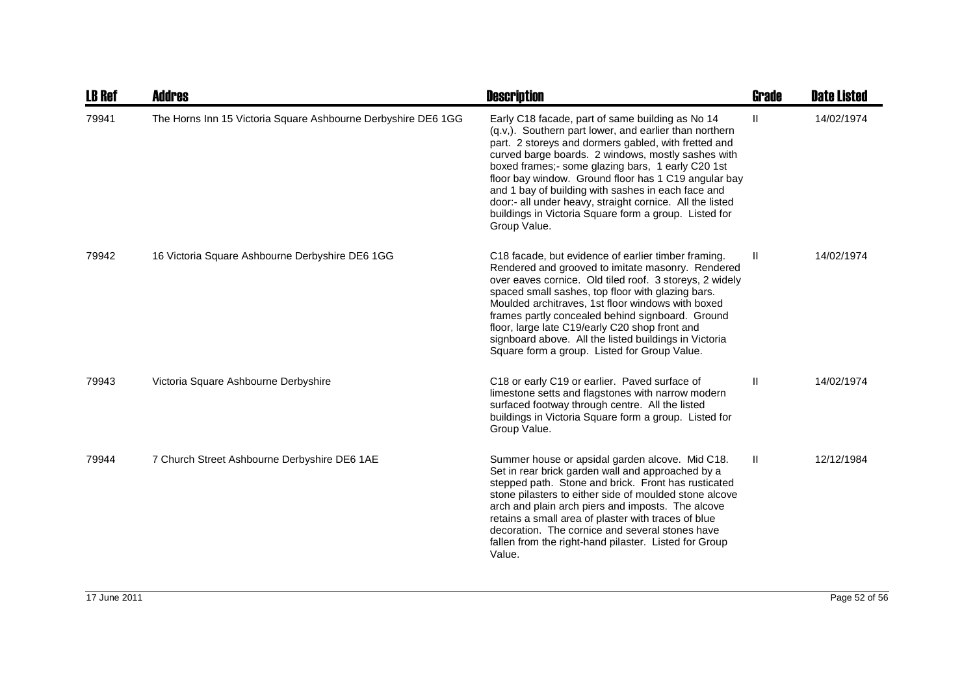| <b>LB Ref</b> | <b>Addres</b>                                                 | <b>Description</b>                                                                                                                                                                                                                                                                                                                                                                                                                                                                                                               | Grade        | <b>Date Listed</b> |
|---------------|---------------------------------------------------------------|----------------------------------------------------------------------------------------------------------------------------------------------------------------------------------------------------------------------------------------------------------------------------------------------------------------------------------------------------------------------------------------------------------------------------------------------------------------------------------------------------------------------------------|--------------|--------------------|
| 79941         | The Horns Inn 15 Victoria Square Ashbourne Derbyshire DE6 1GG | Early C18 facade, part of same building as No 14<br>(q.v.). Southern part lower, and earlier than northern<br>part. 2 storeys and dormers gabled, with fretted and<br>curved barge boards. 2 windows, mostly sashes with<br>boxed frames;- some glazing bars, 1 early C20 1st<br>floor bay window. Ground floor has 1 C19 angular bay<br>and 1 bay of building with sashes in each face and<br>door:- all under heavy, straight cornice. All the listed<br>buildings in Victoria Square form a group. Listed for<br>Group Value. | $\mathbf{H}$ | 14/02/1974         |
| 79942         | 16 Victoria Square Ashbourne Derbyshire DE6 1GG               | C18 facade, but evidence of earlier timber framing.<br>Rendered and grooved to imitate masonry. Rendered<br>over eaves cornice. Old tiled roof. 3 storeys, 2 widely<br>spaced small sashes, top floor with glazing bars.<br>Moulded architraves, 1st floor windows with boxed<br>frames partly concealed behind signboard. Ground<br>floor, large late C19/early C20 shop front and<br>signboard above. All the listed buildings in Victoria<br>Square form a group. Listed for Group Value.                                     | Ш            | 14/02/1974         |
| 79943         | Victoria Square Ashbourne Derbyshire                          | C18 or early C19 or earlier. Paved surface of<br>limestone setts and flagstones with narrow modern<br>surfaced footway through centre. All the listed<br>buildings in Victoria Square form a group. Listed for<br>Group Value.                                                                                                                                                                                                                                                                                                   | Ш            | 14/02/1974         |
| 79944         | 7 Church Street Ashbourne Derbyshire DE6 1AE                  | Summer house or apsidal garden alcove. Mid C18.<br>Set in rear brick garden wall and approached by a<br>stepped path. Stone and brick. Front has rusticated<br>stone pilasters to either side of moulded stone alcove<br>arch and plain arch piers and imposts. The alcove<br>retains a small area of plaster with traces of blue<br>decoration. The cornice and several stones have<br>fallen from the right-hand pilaster. Listed for Group<br>Value.                                                                          | $\mathbf{H}$ | 12/12/1984         |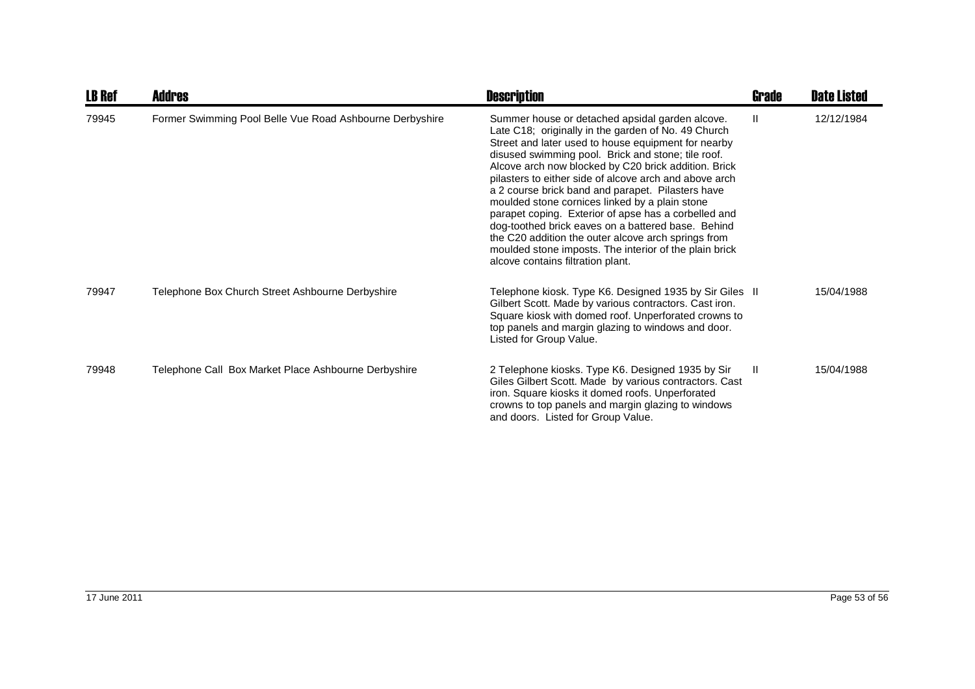| <b>LB Ref</b> | <b>Addres</b>                                            | <b>Description</b>                                                                                                                                                                                                                                                                                                                                                                                                                                                                                                                                                                                                                                                                                               | Grade        | <b>Date Listed</b> |
|---------------|----------------------------------------------------------|------------------------------------------------------------------------------------------------------------------------------------------------------------------------------------------------------------------------------------------------------------------------------------------------------------------------------------------------------------------------------------------------------------------------------------------------------------------------------------------------------------------------------------------------------------------------------------------------------------------------------------------------------------------------------------------------------------------|--------------|--------------------|
| 79945         | Former Swimming Pool Belle Vue Road Ashbourne Derbyshire | Summer house or detached apsidal garden alcove.<br>Late C18; originally in the garden of No. 49 Church<br>Street and later used to house equipment for nearby<br>disused swimming pool. Brick and stone; tile roof.<br>Alcove arch now blocked by C20 brick addition. Brick<br>pilasters to either side of alcove arch and above arch<br>a 2 course brick band and parapet. Pilasters have<br>moulded stone cornices linked by a plain stone<br>parapet coping. Exterior of apse has a corbelled and<br>dog-toothed brick eaves on a battered base. Behind<br>the C20 addition the outer alcove arch springs from<br>moulded stone imposts. The interior of the plain brick<br>alcove contains filtration plant. | $\mathbf{H}$ | 12/12/1984         |
| 79947         | Telephone Box Church Street Ashbourne Derbyshire         | Telephone kiosk. Type K6. Designed 1935 by Sir Giles II<br>Gilbert Scott. Made by various contractors. Cast iron.<br>Square kiosk with domed roof. Unperforated crowns to<br>top panels and margin glazing to windows and door.<br>Listed for Group Value.                                                                                                                                                                                                                                                                                                                                                                                                                                                       |              | 15/04/1988         |
| 79948         | Telephone Call Box Market Place Ashbourne Derbyshire     | 2 Telephone kiosks. Type K6. Designed 1935 by Sir<br>Giles Gilbert Scott. Made by various contractors. Cast<br>iron. Square kiosks it domed roofs. Unperforated<br>crowns to top panels and margin glazing to windows<br>and doors. Listed for Group Value.                                                                                                                                                                                                                                                                                                                                                                                                                                                      | -II          | 15/04/1988         |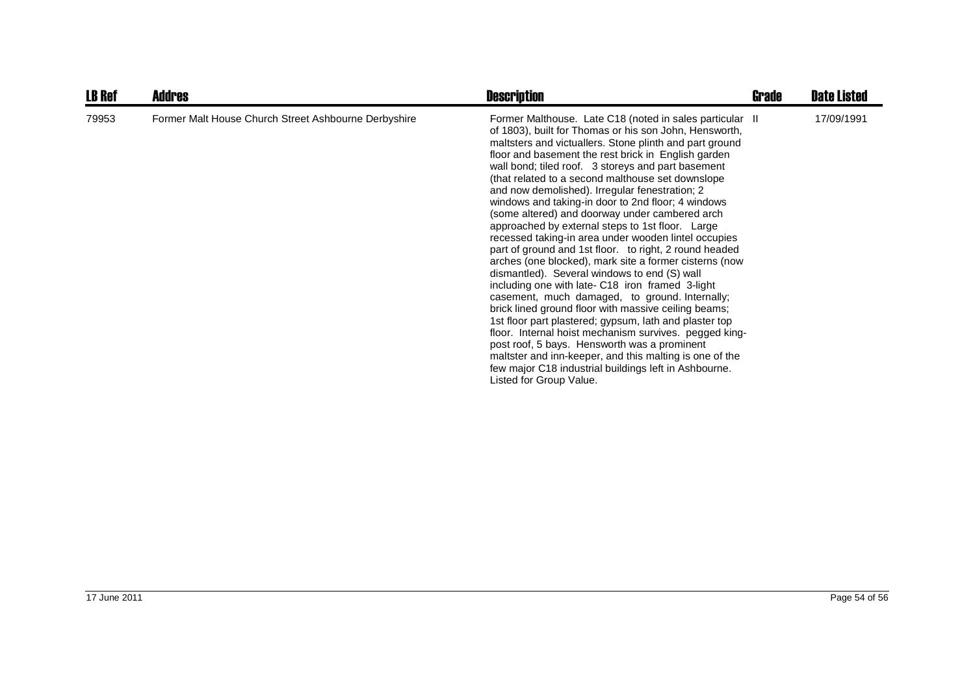| <b>LB Ref</b> | <b>Addres</b>                                        | <b>Description</b>                                                                                                                                                                                                                                                                                                                                                                                                                                                                                                                                                                                                                                                                                                                                                                                                                                                                                                                                                                                                                                                                                                                                                                                                                                                          | Grade | <b>Date Listed</b> |
|---------------|------------------------------------------------------|-----------------------------------------------------------------------------------------------------------------------------------------------------------------------------------------------------------------------------------------------------------------------------------------------------------------------------------------------------------------------------------------------------------------------------------------------------------------------------------------------------------------------------------------------------------------------------------------------------------------------------------------------------------------------------------------------------------------------------------------------------------------------------------------------------------------------------------------------------------------------------------------------------------------------------------------------------------------------------------------------------------------------------------------------------------------------------------------------------------------------------------------------------------------------------------------------------------------------------------------------------------------------------|-------|--------------------|
| 79953         | Former Malt House Church Street Ashbourne Derbyshire | Former Malthouse. Late C18 (noted in sales particular II<br>of 1803), built for Thomas or his son John, Hensworth,<br>maltsters and victuallers. Stone plinth and part ground<br>floor and basement the rest brick in English garden<br>wall bond; tiled roof. 3 storeys and part basement<br>(that related to a second malthouse set downslope)<br>and now demolished). Irregular fenestration; 2<br>windows and taking-in door to 2nd floor; 4 windows<br>(some altered) and doorway under cambered arch<br>approached by external steps to 1st floor. Large<br>recessed taking-in area under wooden lintel occupies<br>part of ground and 1st floor. to right, 2 round headed<br>arches (one blocked), mark site a former cisterns (now<br>dismantled). Several windows to end (S) wall<br>including one with late- C18 iron framed 3-light<br>casement, much damaged, to ground. Internally;<br>brick lined ground floor with massive ceiling beams;<br>1st floor part plastered; gypsum, lath and plaster top<br>floor. Internal hoist mechanism survives. pegged king-<br>post roof, 5 bays. Hensworth was a prominent<br>maltster and inn-keeper, and this malting is one of the<br>few major C18 industrial buildings left in Ashbourne.<br>Listed for Group Value. |       | 17/09/1991         |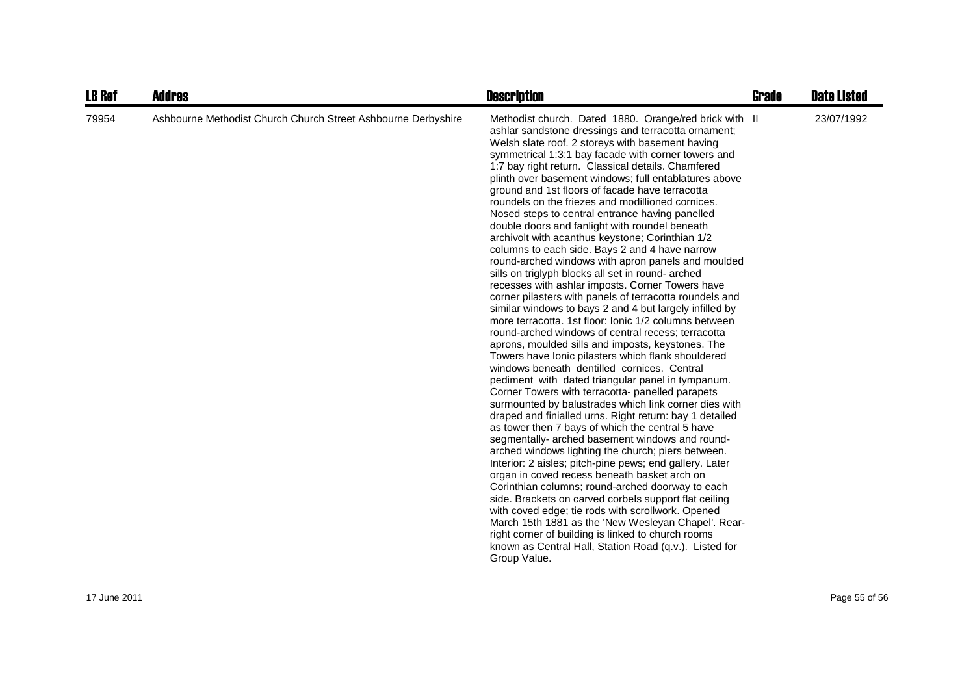| <b>LB Ref</b> | <b>Addres</b>                                                 | <b>Description</b>                                                                                                                                                                                                                                                                                                                                                                                                                                                                                                                                                                                                                                                                                                                                                                                                                                                                                                                                                                                                                                                                                                                                                                                                                                                                                                                                                                                                                                                                                                                                                                                                                                                                                                                                                                                                                                                                                                                                                                                                                                                                     | <b>Grade</b> | <b>Date Listed</b> |
|---------------|---------------------------------------------------------------|----------------------------------------------------------------------------------------------------------------------------------------------------------------------------------------------------------------------------------------------------------------------------------------------------------------------------------------------------------------------------------------------------------------------------------------------------------------------------------------------------------------------------------------------------------------------------------------------------------------------------------------------------------------------------------------------------------------------------------------------------------------------------------------------------------------------------------------------------------------------------------------------------------------------------------------------------------------------------------------------------------------------------------------------------------------------------------------------------------------------------------------------------------------------------------------------------------------------------------------------------------------------------------------------------------------------------------------------------------------------------------------------------------------------------------------------------------------------------------------------------------------------------------------------------------------------------------------------------------------------------------------------------------------------------------------------------------------------------------------------------------------------------------------------------------------------------------------------------------------------------------------------------------------------------------------------------------------------------------------------------------------------------------------------------------------------------------------|--------------|--------------------|
| 79954         | Ashbourne Methodist Church Church Street Ashbourne Derbyshire | Methodist church. Dated 1880. Orange/red brick with II<br>ashlar sandstone dressings and terracotta ornament;<br>Welsh slate roof. 2 storeys with basement having<br>symmetrical 1:3:1 bay facade with corner towers and<br>1:7 bay right return. Classical details. Chamfered<br>plinth over basement windows; full entablatures above<br>ground and 1st floors of facade have terracotta<br>roundels on the friezes and modillioned cornices.<br>Nosed steps to central entrance having panelled<br>double doors and fanlight with roundel beneath<br>archivolt with acanthus keystone; Corinthian 1/2<br>columns to each side. Bays 2 and 4 have narrow<br>round-arched windows with apron panels and moulded<br>sills on triglyph blocks all set in round- arched<br>recesses with ashlar imposts. Corner Towers have<br>corner pilasters with panels of terracotta roundels and<br>similar windows to bays 2 and 4 but largely infilled by<br>more terracotta. 1st floor: Ionic 1/2 columns between<br>round-arched windows of central recess; terracotta<br>aprons, moulded sills and imposts, keystones. The<br>Towers have lonic pilasters which flank shouldered<br>windows beneath dentilled cornices. Central<br>pediment with dated triangular panel in tympanum.<br>Corner Towers with terracotta- panelled parapets<br>surmounted by balustrades which link corner dies with<br>draped and finialled urns. Right return: bay 1 detailed<br>as tower then 7 bays of which the central 5 have<br>segmentally- arched basement windows and round-<br>arched windows lighting the church; piers between.<br>Interior: 2 aisles; pitch-pine pews; end gallery. Later<br>organ in coved recess beneath basket arch on<br>Corinthian columns; round-arched doorway to each<br>side. Brackets on carved corbels support flat ceiling<br>with coved edge; tie rods with scrollwork. Opened<br>March 15th 1881 as the 'New Wesleyan Chapel'. Rear-<br>right corner of building is linked to church rooms<br>known as Central Hall, Station Road (q.v.). Listed for<br>Group Value. |              | 23/07/1992         |